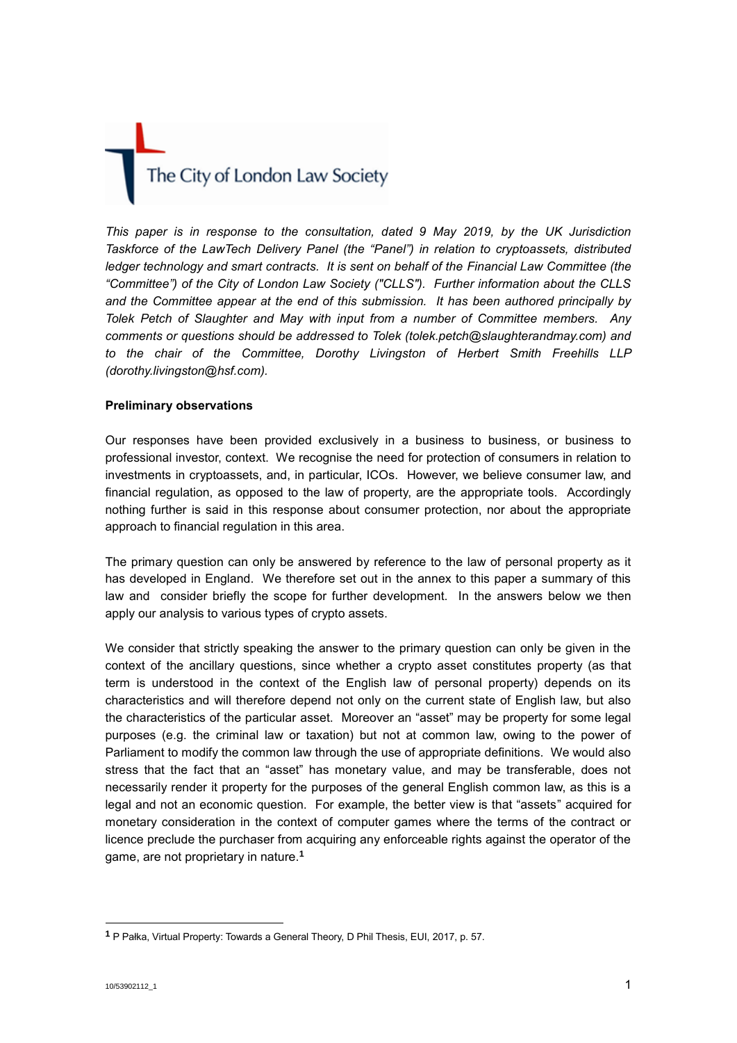# The City of London Law Society

*This paper is in response to the consultation, dated 9 May 2019, by the UK Jurisdiction Taskforce of the LawTech Delivery Panel (the "Panel") in relation to cryptoassets, distributed ledger technology and smart contracts. It is sent on behalf of the Financial Law Committee (the "Committee") of the City of London Law Society ("CLLS"). Further information about the CLLS and the Committee appear at the end of this submission. It has been authored principally by Tolek Petch of Slaughter and May with input from a number of Committee members. Any comments or questions should be addressed to Tolek (tolek.petch@slaughterandmay.com) and to the chair of the Committee, Dorothy Livingston of Herbert Smith Freehills LLP (dorothy.livingston@hsf.com).* 

# **Preliminary observations**

Our responses have been provided exclusively in a business to business, or business to professional investor, context. We recognise the need for protection of consumers in relation to investments in cryptoassets, and, in particular, ICOs. However, we believe consumer law, and financial regulation, as opposed to the law of property, are the appropriate tools. Accordingly nothing further is said in this response about consumer protection, nor about the appropriate approach to financial regulation in this area.

The primary question can only be answered by reference to the law of personal property as it has developed in England. We therefore set out in the annex to this paper a summary of this law and consider briefly the scope for further development. In the answers below we then apply our analysis to various types of crypto assets.

We consider that strictly speaking the answer to the primary question can only be given in the context of the ancillary questions, since whether a crypto asset constitutes property (as that term is understood in the context of the English law of personal property) depends on its characteristics and will therefore depend not only on the current state of English law, but also the characteristics of the particular asset. Moreover an "asset" may be property for some legal purposes (e.g. the criminal law or taxation) but not at common law, owing to the power of Parliament to modify the common law through the use of appropriate definitions. We would also stress that the fact that an "asset" has monetary value, and may be transferable, does not necessarily render it property for the purposes of the general English common law, as this is a legal and not an economic question. For example, the better view is that "assets" acquired for monetary consideration in the context of computer games where the terms of the contract or licence preclude the purchaser from acquiring any enforceable rights against the operator of the game, are not proprietary in nature.**<sup>1</sup>**

**<sup>1</sup>** P Pałka, Virtual Property: Towards a General Theory, D Phil Thesis, EUI, 2017, p. 57.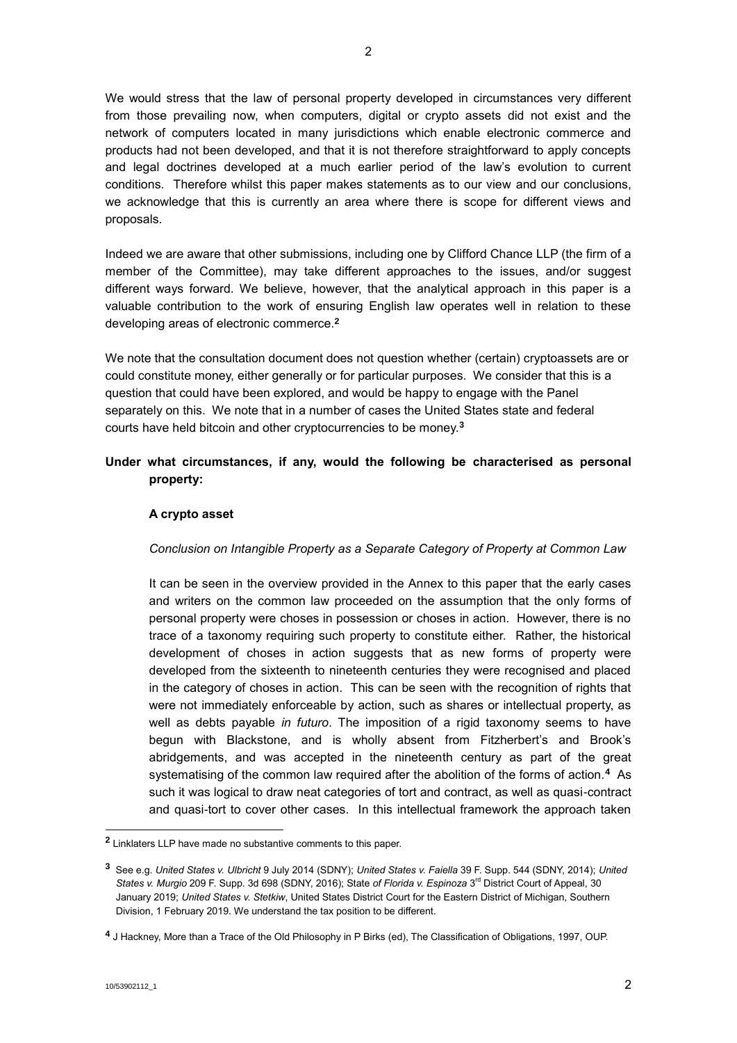We would stress that the law of personal property developed in circumstances very different from those prevailing now, when computers, digital or crypto assets did not exist and the network of computers located in many jurisdictions which enable electronic commerce and products had not been developed, and that it is not therefore straightforward to apply concepts and legal doctrines developed at a much earlier period of the law's evolution to current conditions. Therefore whilst this paper makes statements as to our view and our conclusions, we acknowledge that this is currently an area where there is scope for different views and proposals.

Indeed we are aware that other submissions, including one by Clifford Chance LLP (the firm of a member of the Committee), may take different approaches to the issues, and/or suggest different ways forward. We believe, however, that the analytical approach in this paper is a valuable contribution to the work of ensuring English law operates well in relation to these developing areas of electronic commerce.**<sup>2</sup>**

We note that the consultation document does not question whether (certain) cryptoassets are or could constitute money, either generally or for particular purposes. We consider that this is a question that could have been explored, and would be happy to engage with the Panel separately on this. We note that in a number of cases the United States state and federal courts have held bitcoin and other cryptocurrencies to be money.**<sup>3</sup>**

# **Under what circumstances, if any, would the following be characterised as personal property:**

# **A crypto asset**

#### *Conclusion on Intangible Property as a Separate Category of Property at Common Law*

It can be seen in the overview provided in the Annex to this paper that the early cases and writers on the common law proceeded on the assumption that the only forms of personal property were choses in possession or choses in action. However, there is no trace of a taxonomy requiring such property to constitute either. Rather, the historical development of choses in action suggests that as new forms of property were developed from the sixteenth to nineteenth centuries they were recognised and placed in the category of choses in action. This can be seen with the recognition of rights that were not immediately enforceable by action, such as shares or intellectual property, as well as debts payable *in futuro*. The imposition of a rigid taxonomy seems to have begun with Blackstone, and is wholly absent from Fitzherbert's and Brook's abridgements, and was accepted in the nineteenth century as part of the great systematising of the common law required after the abolition of the forms of action.**<sup>4</sup>** As such it was logical to draw neat categories of tort and contract, as well as quasi-contract and quasi-tort to cover other cases. In this intellectual framework the approach taken

**<sup>2</sup>** Linklaters LLP have made no substantive comments to this paper.

**<sup>3</sup>** See e.g. *United States v. Ulbricht* 9 July 2014 (SDNY); *United States v. Faiella* 39 F. Supp. 544 (SDNY, 2014); *United*  States v. Murgio 209 F. Supp. 3d 698 (SDNY, 2016); State of Florida v. Espinoza 3<sup>rd</sup> District Court of Appeal, 30 January 2019; *United States v. Stetkiw*, United States District Court for the Eastern District of Michigan, Southern Division, 1 February 2019. We understand the tax position to be different.

**<sup>4</sup>** J Hackney, More than a Trace of the Old Philosophy in P Birks (ed), The Classification of Obligations, 1997, OUP.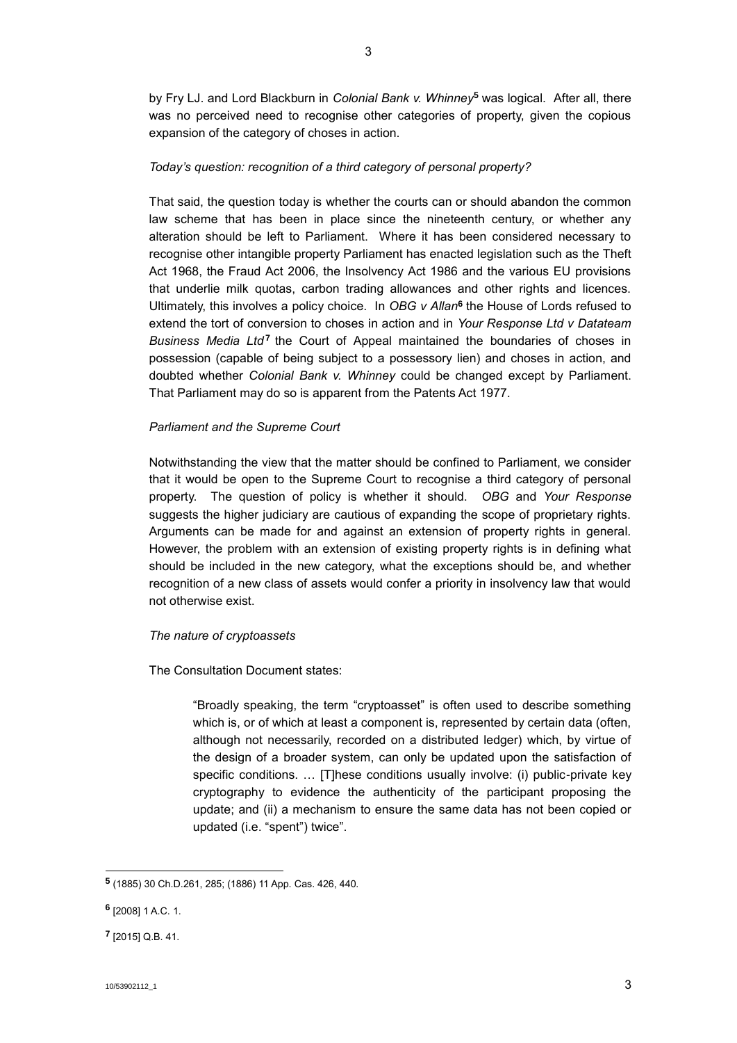by Fry LJ. and Lord Blackburn in *Colonial Bank v. Whinney***<sup>5</sup>** was logical. After all, there was no perceived need to recognise other categories of property, given the copious expansion of the category of choses in action.

## *Today's question: recognition of a third category of personal property?*

That said, the question today is whether the courts can or should abandon the common law scheme that has been in place since the nineteenth century, or whether any alteration should be left to Parliament. Where it has been considered necessary to recognise other intangible property Parliament has enacted legislation such as the Theft Act 1968, the Fraud Act 2006, the Insolvency Act 1986 and the various EU provisions that underlie milk quotas, carbon trading allowances and other rights and licences. Ultimately, this involves a policy choice. In *OBG v Allan***<sup>6</sup>** the House of Lords refused to extend the tort of conversion to choses in action and in *Your Response Ltd v Datateam*  Business Media Ltd<sup>7</sup> the Court of Appeal maintained the boundaries of choses in possession (capable of being subject to a possessory lien) and choses in action, and doubted whether *Colonial Bank v. Whinney* could be changed except by Parliament. That Parliament may do so is apparent from the Patents Act 1977.

# *Parliament and the Supreme Court*

Notwithstanding the view that the matter should be confined to Parliament, we consider that it would be open to the Supreme Court to recognise a third category of personal property. The question of policy is whether it should. *OBG* and *Your Response* suggests the higher judiciary are cautious of expanding the scope of proprietary rights. Arguments can be made for and against an extension of property rights in general. However, the problem with an extension of existing property rights is in defining what should be included in the new category, what the exceptions should be, and whether recognition of a new class of assets would confer a priority in insolvency law that would not otherwise exist.

#### *The nature of cryptoassets*

The Consultation Document states:

"Broadly speaking, the term "cryptoasset" is often used to describe something which is, or of which at least a component is, represented by certain data (often, although not necessarily, recorded on a distributed ledger) which, by virtue of the design of a broader system, can only be updated upon the satisfaction of specific conditions. … [T]hese conditions usually involve: (i) public-private key cryptography to evidence the authenticity of the participant proposing the update; and (ii) a mechanism to ensure the same data has not been copied or updated (i.e. "spent") twice".

**<sup>5</sup>** (1885) 30 Ch.D.261, 285; (1886) 11 App. Cas. 426, 440.

**<sup>6</sup>** [2008] 1 A.C. 1.

**<sup>7</sup>** [2015] Q.B. 41.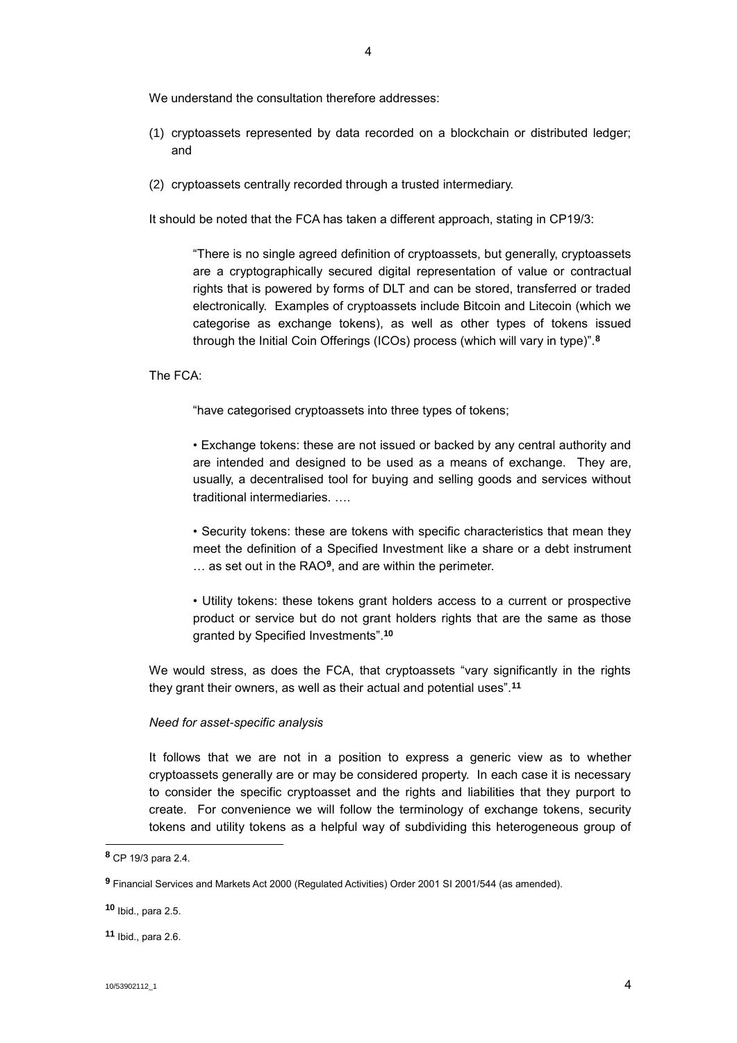We understand the consultation therefore addresses:

- (1) cryptoassets represented by data recorded on a blockchain or distributed ledger; and
- (2) cryptoassets centrally recorded through a trusted intermediary.

It should be noted that the FCA has taken a different approach, stating in CP19/3:

"There is no single agreed definition of cryptoassets, but generally, cryptoassets are a cryptographically secured digital representation of value or contractual rights that is powered by forms of DLT and can be stored, transferred or traded electronically. Examples of cryptoassets include Bitcoin and Litecoin (which we categorise as exchange tokens), as well as other types of tokens issued through the Initial Coin Offerings (ICOs) process (which will vary in type)".**<sup>8</sup>**

The FCA:

"have categorised cryptoassets into three types of tokens;

• Exchange tokens: these are not issued or backed by any central authority and are intended and designed to be used as a means of exchange. They are, usually, a decentralised tool for buying and selling goods and services without traditional intermediaries

• Security tokens: these are tokens with specific characteristics that mean they meet the definition of a Specified Investment like a share or a debt instrument ... as set out in the RAO<sup>9</sup>, and are within the perimeter.

• Utility tokens: these tokens grant holders access to a current or prospective product or service but do not grant holders rights that are the same as those granted by Specified Investments".**<sup>10</sup>**

We would stress, as does the FCA, that cryptoassets "vary significantly in the rights they grant their owners, as well as their actual and potential uses".**<sup>11</sup>**

#### *Need for asset-specific analysis*

It follows that we are not in a position to express a generic view as to whether cryptoassets generally are or may be considered property. In each case it is necessary to consider the specific cryptoasset and the rights and liabilities that they purport to create. For convenience we will follow the terminology of exchange tokens, security tokens and utility tokens as a helpful way of subdividing this heterogeneous group of

1

**<sup>10</sup>** Ibid., para 2.5.

**<sup>11</sup>** Ibid., para 2.6.

**<sup>8</sup>** CP 19/3 para 2.4.

**<sup>9</sup>** Financial Services and Markets Act 2000 (Regulated Activities) Order 2001 SI 2001/544 (as amended).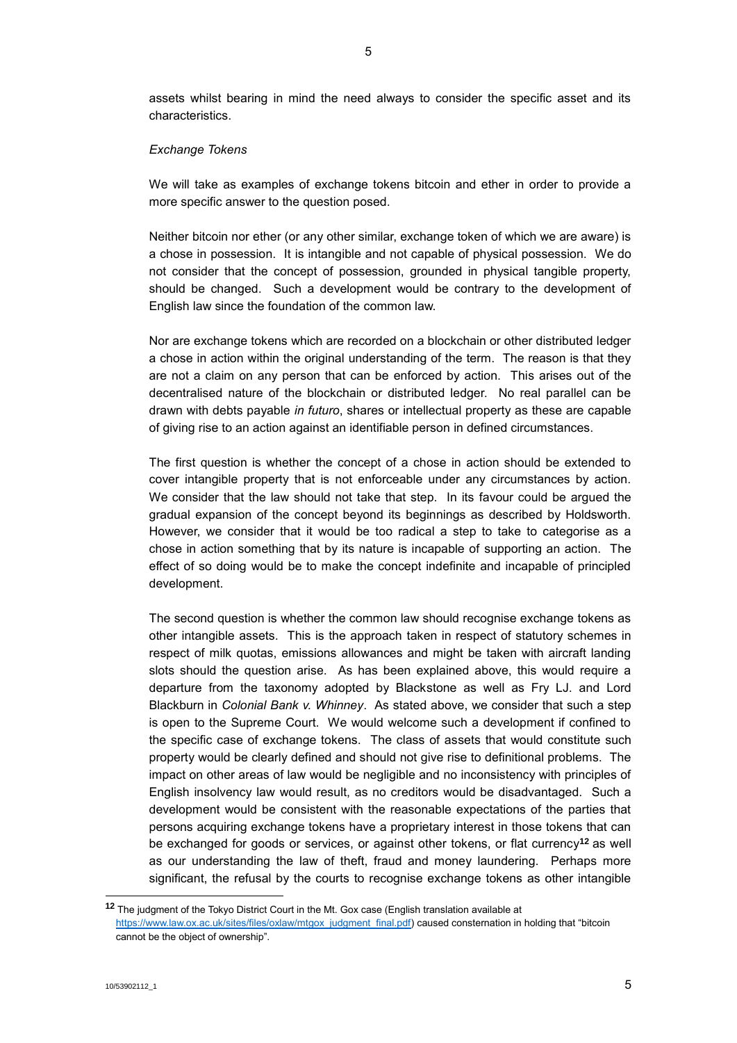assets whilst bearing in mind the need always to consider the specific asset and its characteristics.

#### *Exchange Tokens*

We will take as examples of exchange tokens bitcoin and ether in order to provide a more specific answer to the question posed.

Neither bitcoin nor ether (or any other similar, exchange token of which we are aware) is a chose in possession. It is intangible and not capable of physical possession. We do not consider that the concept of possession, grounded in physical tangible property, should be changed. Such a development would be contrary to the development of English law since the foundation of the common law.

Nor are exchange tokens which are recorded on a blockchain or other distributed ledger a chose in action within the original understanding of the term. The reason is that they are not a claim on any person that can be enforced by action. This arises out of the decentralised nature of the blockchain or distributed ledger. No real parallel can be drawn with debts payable *in futuro*, shares or intellectual property as these are capable of giving rise to an action against an identifiable person in defined circumstances.

The first question is whether the concept of a chose in action should be extended to cover intangible property that is not enforceable under any circumstances by action. We consider that the law should not take that step. In its favour could be argued the gradual expansion of the concept beyond its beginnings as described by Holdsworth. However, we consider that it would be too radical a step to take to categorise as a chose in action something that by its nature is incapable of supporting an action. The effect of so doing would be to make the concept indefinite and incapable of principled development.

The second question is whether the common law should recognise exchange tokens as other intangible assets. This is the approach taken in respect of statutory schemes in respect of milk quotas, emissions allowances and might be taken with aircraft landing slots should the question arise. As has been explained above, this would require a departure from the taxonomy adopted by Blackstone as well as Fry LJ. and Lord Blackburn in *Colonial Bank v. Whinney*. As stated above, we consider that such a step is open to the Supreme Court. We would welcome such a development if confined to the specific case of exchange tokens. The class of assets that would constitute such property would be clearly defined and should not give rise to definitional problems. The impact on other areas of law would be negligible and no inconsistency with principles of English insolvency law would result, as no creditors would be disadvantaged. Such a development would be consistent with the reasonable expectations of the parties that persons acquiring exchange tokens have a proprietary interest in those tokens that can be exchanged for goods or services, or against other tokens, or flat currency**<sup>12</sup>** as well as our understanding the law of theft, fraud and money laundering. Perhaps more significant, the refusal by the courts to recognise exchange tokens as other intangible

**<sup>12</sup>** The judgment of the Tokyo District Court in the Mt. Gox case (English translation available at https://www.law.ox.ac.uk/sites/files/oxlaw/mtgox\_judgment\_final.pdf) caused consternation in holding that "bitcoin cannot be the object of ownership".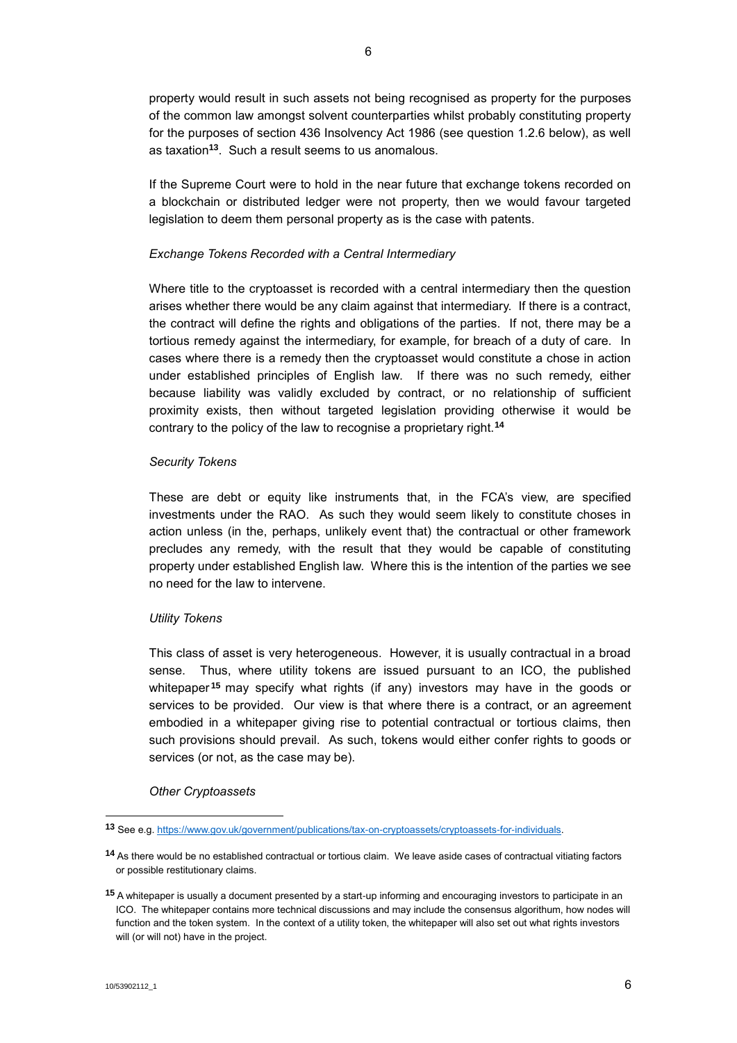property would result in such assets not being recognised as property for the purposes of the common law amongst solvent counterparties whilst probably constituting property for the purposes of section 436 Insolvency Act 1986 (see question 1.2.6 below), as well as taxation**<sup>13</sup>**. Such a result seems to us anomalous.

If the Supreme Court were to hold in the near future that exchange tokens recorded on a blockchain or distributed ledger were not property, then we would favour targeted legislation to deem them personal property as is the case with patents.

## *Exchange Tokens Recorded with a Central Intermediary*

Where title to the cryptoasset is recorded with a central intermediary then the question arises whether there would be any claim against that intermediary. If there is a contract, the contract will define the rights and obligations of the parties. If not, there may be a tortious remedy against the intermediary, for example, for breach of a duty of care. In cases where there is a remedy then the cryptoasset would constitute a chose in action under established principles of English law. If there was no such remedy, either because liability was validly excluded by contract, or no relationship of sufficient proximity exists, then without targeted legislation providing otherwise it would be contrary to the policy of the law to recognise a proprietary right.**<sup>14</sup>**

#### *Security Tokens*

These are debt or equity like instruments that, in the FCA's view, are specified investments under the RAO. As such they would seem likely to constitute choses in action unless (in the, perhaps, unlikely event that) the contractual or other framework precludes any remedy, with the result that they would be capable of constituting property under established English law. Where this is the intention of the parties we see no need for the law to intervene.

#### *Utility Tokens*

This class of asset is very heterogeneous. However, it is usually contractual in a broad sense. Thus, where utility tokens are issued pursuant to an ICO, the published whitepaper <sup>15</sup> may specify what rights (if any) investors may have in the goods or services to be provided. Our view is that where there is a contract, or an agreement embodied in a whitepaper giving rise to potential contractual or tortious claims, then such provisions should prevail. As such, tokens would either confer rights to goods or services (or not, as the case may be).

#### *Other Cryptoassets*

**<sup>13</sup>** See e.g. https://www.gov.uk/government/publications/tax-on-cryptoassets/cryptoassets-for-individuals.

**<sup>14</sup>** As there would be no established contractual or tortious claim. We leave aside cases of contractual vitiating factors or possible restitutionary claims.

**<sup>15</sup>** A whitepaper is usually a document presented by a start-up informing and encouraging investors to participate in an ICO. The whitepaper contains more technical discussions and may include the consensus algorithum, how nodes will function and the token system. In the context of a utility token, the whitepaper will also set out what rights investors will (or will not) have in the project.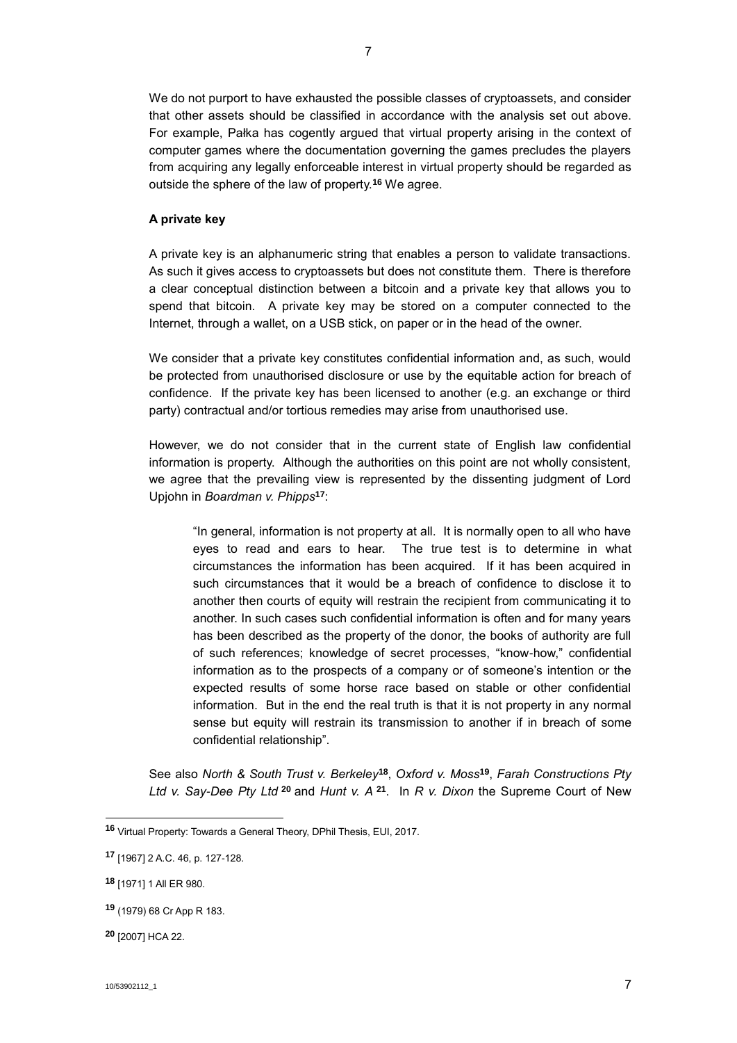We do not purport to have exhausted the possible classes of cryptoassets, and consider that other assets should be classified in accordance with the analysis set out above. For example, Pałka has cogently argued that virtual property arising in the context of computer games where the documentation governing the games precludes the players from acquiring any legally enforceable interest in virtual property should be regarded as outside the sphere of the law of property.**<sup>16</sup>** We agree.

#### **A private key**

A private key is an alphanumeric string that enables a person to validate transactions. As such it gives access to cryptoassets but does not constitute them. There is therefore a clear conceptual distinction between a bitcoin and a private key that allows you to spend that bitcoin. A private key may be stored on a computer connected to the Internet, through a wallet, on a USB stick, on paper or in the head of the owner.

We consider that a private key constitutes confidential information and, as such, would be protected from unauthorised disclosure or use by the equitable action for breach of confidence. If the private key has been licensed to another (e.g. an exchange or third party) contractual and/or tortious remedies may arise from unauthorised use.

However, we do not consider that in the current state of English law confidential information is property. Although the authorities on this point are not wholly consistent, we agree that the prevailing view is represented by the dissenting judgment of Lord Upjohn in *Boardman v. Phipps***<sup>17</sup>**:

"In general, information is not property at all. It is normally open to all who have eyes to read and ears to hear. The true test is to determine in what circumstances the information has been acquired. If it has been acquired in such circumstances that it would be a breach of confidence to disclose it to another then courts of equity will restrain the recipient from communicating it to another. In such cases such confidential information is often and for many years has been described as the property of the donor, the books of authority are full of such references; knowledge of secret processes, "know-how," confidential information as to the prospects of a company or of someone's intention or the expected results of some horse race based on stable or other confidential information. But in the end the real truth is that it is not property in any normal sense but equity will restrain its transmission to another if in breach of some confidential relationship".

See also *North & South Trust v. Berkeley***<sup>18</sup>** , *Oxford v. Moss***<sup>19</sup>** , *Farah Constructions Pty Ltd v. Say-Dee Pty Ltd* **<sup>20</sup>** and *Hunt v. A* **<sup>21</sup>**. In *R v. Dixon* the Supreme Court of New

**<sup>16</sup>** Virtual Property: Towards a General Theory, DPhil Thesis, EUI, 2017.

**<sup>17</sup>** [1967] 2 A.C. 46, p. 127-128.

**<sup>18</sup>** [1971] 1 All ER 980.

**<sup>19</sup>** (1979) 68 Cr App R 183.

**<sup>20</sup>** [2007] HCA 22.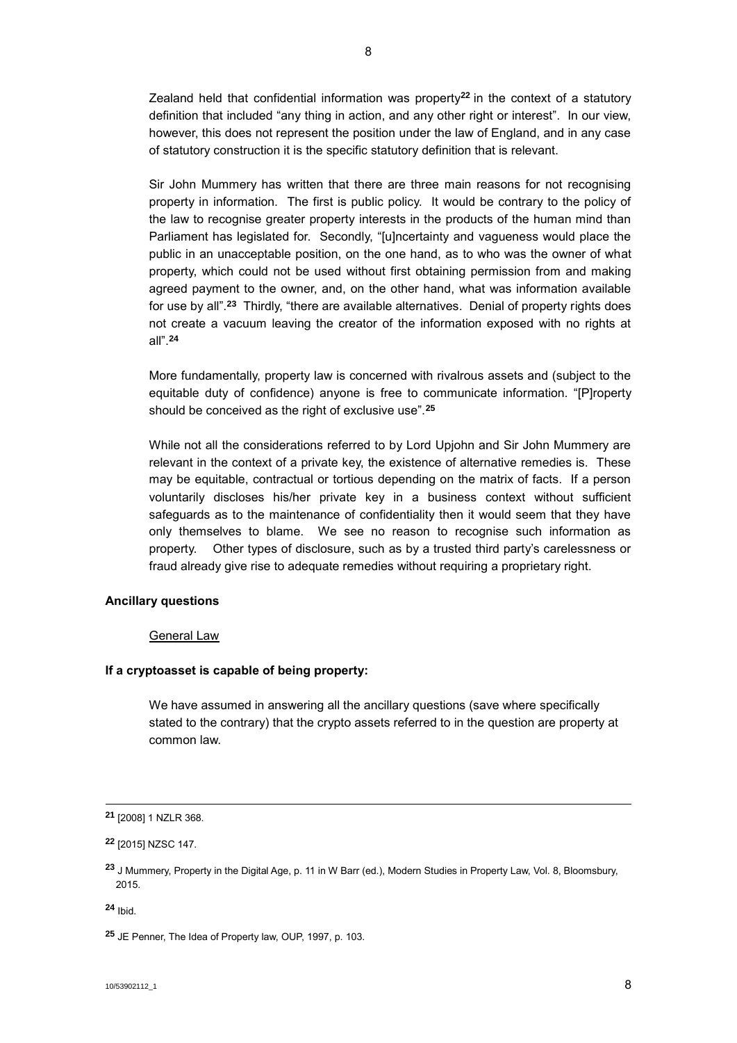Zealand held that confidential information was property**<sup>22</sup>** in the context of a statutory definition that included "any thing in action, and any other right or interest". In our view, however, this does not represent the position under the law of England, and in any case of statutory construction it is the specific statutory definition that is relevant.

Sir John Mummery has written that there are three main reasons for not recognising property in information. The first is public policy. It would be contrary to the policy of the law to recognise greater property interests in the products of the human mind than Parliament has legislated for. Secondly, "[u]ncertainty and vagueness would place the public in an unacceptable position, on the one hand, as to who was the owner of what property, which could not be used without first obtaining permission from and making agreed payment to the owner, and, on the other hand, what was information available for use by all".**<sup>23</sup>** Thirdly, "there are available alternatives. Denial of property rights does not create a vacuum leaving the creator of the information exposed with no rights at all".**<sup>24</sup>**

More fundamentally, property law is concerned with rivalrous assets and (subject to the equitable duty of confidence) anyone is free to communicate information. "[P]roperty should be conceived as the right of exclusive use".**<sup>25</sup>**

While not all the considerations referred to by Lord Upjohn and Sir John Mummery are relevant in the context of a private key, the existence of alternative remedies is. These may be equitable, contractual or tortious depending on the matrix of facts. If a person voluntarily discloses his/her private key in a business context without sufficient safeguards as to the maintenance of confidentiality then it would seem that they have only themselves to blame. We see no reason to recognise such information as property. Other types of disclosure, such as by a trusted third party's carelessness or fraud already give rise to adequate remedies without requiring a proprietary right.

# **Ancillary questions**

#### General Law

#### **If a cryptoasset is capable of being property:**

We have assumed in answering all the ancillary questions (save where specifically stated to the contrary) that the crypto assets referred to in the question are property at common law.

**<sup>24</sup>** Ibid.

1

**<sup>21</sup>** [2008] 1 NZLR 368.

**<sup>22</sup>** [2015] NZSC 147.

**<sup>23</sup>** J Mummery, Property in the Digital Age, p. 11 in W Barr (ed.), Modern Studies in Property Law, Vol. 8, Bloomsbury, 2015.

**<sup>25</sup>** JE Penner, The Idea of Property law, OUP, 1997, p. 103.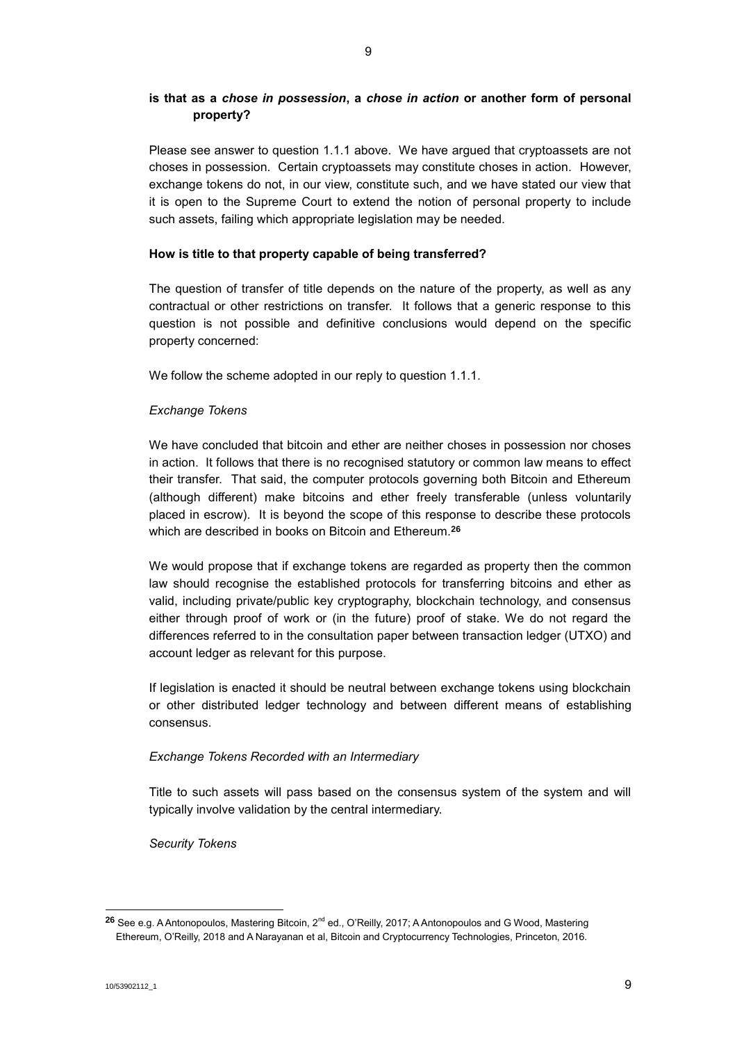# **is that as a** *chose in possession***, a** *chose in action* **or another form of personal property?**

Please see answer to question 1.1.1 above. We have argued that cryptoassets are not choses in possession. Certain cryptoassets may constitute choses in action. However, exchange tokens do not, in our view, constitute such, and we have stated our view that it is open to the Supreme Court to extend the notion of personal property to include such assets, failing which appropriate legislation may be needed.

# **How is title to that property capable of being transferred?**

The question of transfer of title depends on the nature of the property, as well as any contractual or other restrictions on transfer. It follows that a generic response to this question is not possible and definitive conclusions would depend on the specific property concerned:

We follow the scheme adopted in our reply to question 1.1.1.

#### *Exchange Tokens*

We have concluded that bitcoin and ether are neither choses in possession nor choses in action. It follows that there is no recognised statutory or common law means to effect their transfer. That said, the computer protocols governing both Bitcoin and Ethereum (although different) make bitcoins and ether freely transferable (unless voluntarily placed in escrow). It is beyond the scope of this response to describe these protocols which are described in books on Bitcoin and Ethereum.**<sup>26</sup>**

We would propose that if exchange tokens are regarded as property then the common law should recognise the established protocols for transferring bitcoins and ether as valid, including private/public key cryptography, blockchain technology, and consensus either through proof of work or (in the future) proof of stake. We do not regard the differences referred to in the consultation paper between transaction ledger (UTXO) and account ledger as relevant for this purpose.

If legislation is enacted it should be neutral between exchange tokens using blockchain or other distributed ledger technology and between different means of establishing consensus.

#### *Exchange Tokens Recorded with an Intermediary*

Title to such assets will pass based on the consensus system of the system and will typically involve validation by the central intermediary.

*Security Tokens*

<sup>26</sup> See e.g. A Antonopoulos, Mastering Bitcoin, 2<sup>nd</sup> ed., O'Reilly, 2017; A Antonopoulos and G Wood, Mastering Ethereum, O'Reilly, 2018 and A Narayanan et al, Bitcoin and Cryptocurrency Technologies, Princeton, 2016.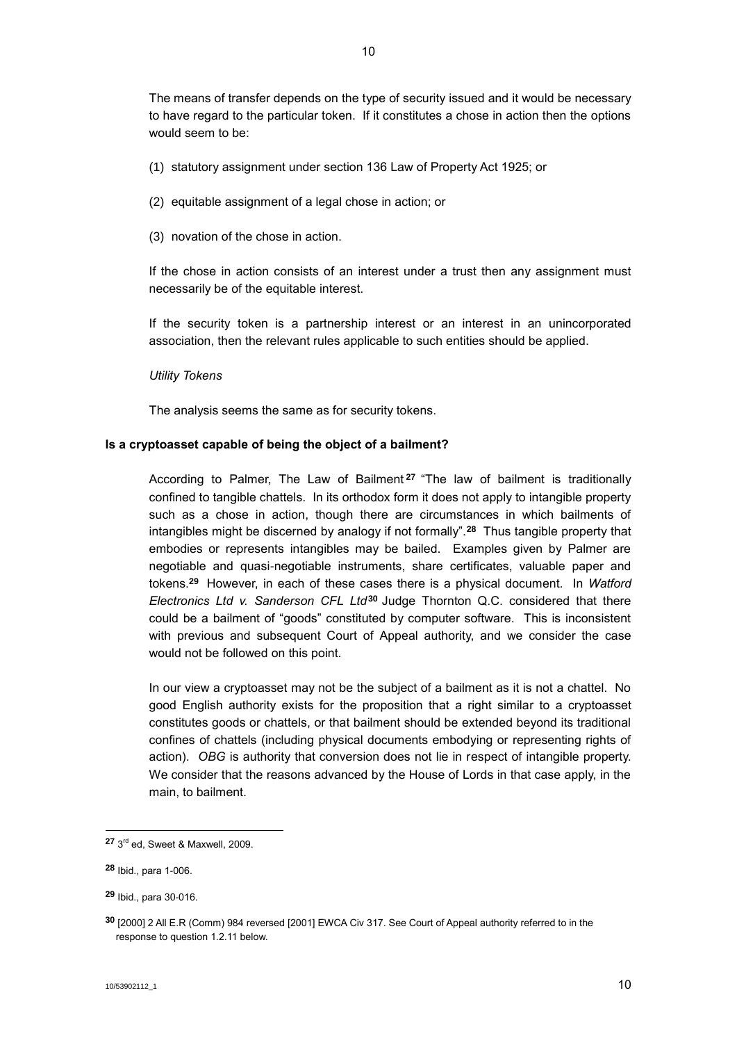The means of transfer depends on the type of security issued and it would be necessary to have regard to the particular token. If it constitutes a chose in action then the options would seem to be:

- (1) statutory assignment under section 136 Law of Property Act 1925; or
- (2) equitable assignment of a legal chose in action; or
- (3) novation of the chose in action.

If the chose in action consists of an interest under a trust then any assignment must necessarily be of the equitable interest.

If the security token is a partnership interest or an interest in an unincorporated association, then the relevant rules applicable to such entities should be applied.

#### *Utility Tokens*

The analysis seems the same as for security tokens.

#### **Is a cryptoasset capable of being the object of a bailment?**

According to Palmer, The Law of Bailment **<sup>27</sup>** "The law of bailment is traditionally confined to tangible chattels. In its orthodox form it does not apply to intangible property such as a chose in action, though there are circumstances in which bailments of intangibles might be discerned by analogy if not formally".**<sup>28</sup>** Thus tangible property that embodies or represents intangibles may be bailed. Examples given by Palmer are negotiable and quasi-negotiable instruments, share certificates, valuable paper and tokens.**<sup>29</sup>** However, in each of these cases there is a physical document. In *Watford Electronics Ltd v. Sanderson CFL Ltd***<sup>30</sup>** Judge Thornton Q.C. considered that there could be a bailment of "goods" constituted by computer software. This is inconsistent with previous and subsequent Court of Appeal authority, and we consider the case would not be followed on this point.

In our view a cryptoasset may not be the subject of a bailment as it is not a chattel. No good English authority exists for the proposition that a right similar to a cryptoasset constitutes goods or chattels, or that bailment should be extended beyond its traditional confines of chattels (including physical documents embodying or representing rights of action). *OBG* is authority that conversion does not lie in respect of intangible property. We consider that the reasons advanced by the House of Lords in that case apply, in the main, to bailment.

**<sup>27</sup>** 3 rd ed, Sweet & Maxwell, 2009.

**<sup>28</sup>** Ibid., para 1-006.

**<sup>29</sup>** Ibid., para 30-016.

**<sup>30</sup>** [2000] 2 All E.R (Comm) 984 reversed [2001] EWCA Civ 317. See Court of Appeal authority referred to in the response to question 1.2.11 below.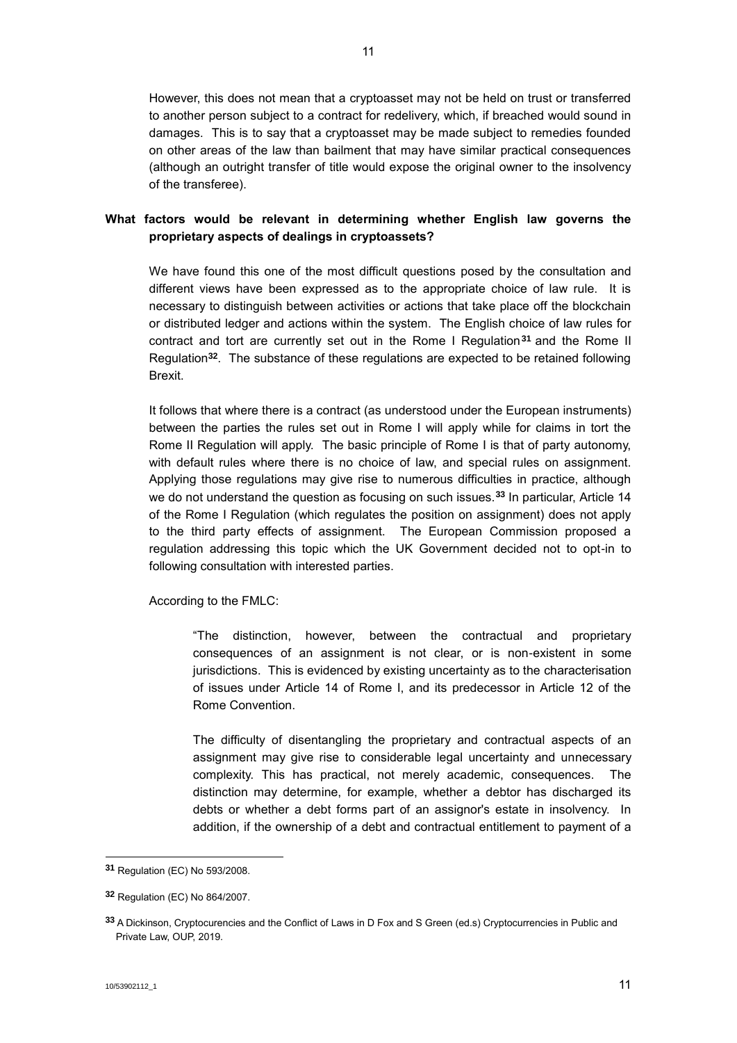However, this does not mean that a cryptoasset may not be held on trust or transferred to another person subject to a contract for redelivery, which, if breached would sound in damages. This is to say that a cryptoasset may be made subject to remedies founded on other areas of the law than bailment that may have similar practical consequences (although an outright transfer of title would expose the original owner to the insolvency of the transferee).

# **What factors would be relevant in determining whether English law governs the proprietary aspects of dealings in cryptoassets?**

We have found this one of the most difficult questions posed by the consultation and different views have been expressed as to the appropriate choice of law rule. It is necessary to distinguish between activities or actions that take place off the blockchain or distributed ledger and actions within the system. The English choice of law rules for contract and tort are currently set out in the Rome I Regulation**<sup>31</sup>** and the Rome II Regulation**<sup>32</sup>**. The substance of these regulations are expected to be retained following Brexit.

It follows that where there is a contract (as understood under the European instruments) between the parties the rules set out in Rome I will apply while for claims in tort the Rome II Regulation will apply. The basic principle of Rome I is that of party autonomy, with default rules where there is no choice of law, and special rules on assignment. Applying those regulations may give rise to numerous difficulties in practice, although we do not understand the question as focusing on such issues.**<sup>33</sup>** In particular, Article 14 of the Rome I Regulation (which regulates the position on assignment) does not apply to the third party effects of assignment. The European Commission proposed a regulation addressing this topic which the UK Government decided not to opt-in to following consultation with interested parties.

According to the FMLC:

"The distinction, however, between the contractual and proprietary consequences of an assignment is not clear, or is non-existent in some jurisdictions. This is evidenced by existing uncertainty as to the characterisation of issues under Article 14 of Rome I, and its predecessor in Article 12 of the Rome Convention.

The difficulty of disentangling the proprietary and contractual aspects of an assignment may give rise to considerable legal uncertainty and unnecessary complexity. This has practical, not merely academic, consequences. The distinction may determine, for example, whether a debtor has discharged its debts or whether a debt forms part of an assignor's estate in insolvency. In addition, if the ownership of a debt and contractual entitlement to payment of a

**<sup>31</sup>** Regulation (EC) No 593/2008.

**<sup>32</sup>** Regulation (EC) No 864/2007.

**<sup>33</sup>** A Dickinson, Cryptocurencies and the Conflict of Laws in D Fox and S Green (ed.s) Cryptocurrencies in Public and Private Law, OUP, 2019.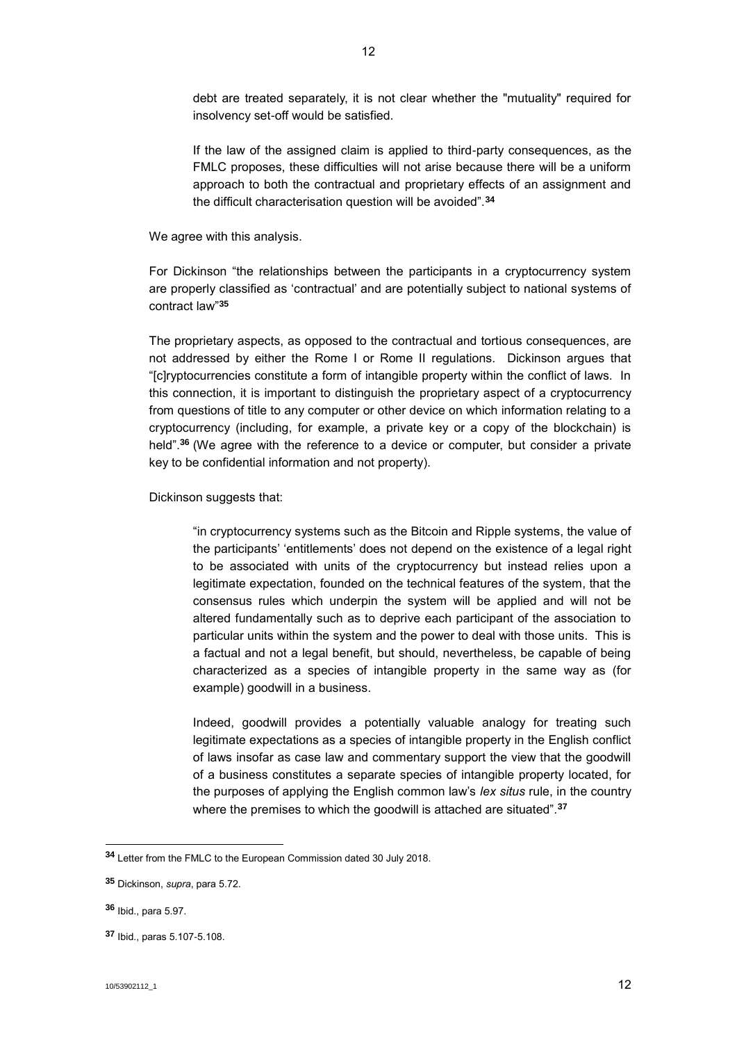12

debt are treated separately, it is not clear whether the "mutuality" required for insolvency set-off would be satisfied.

If the law of the assigned claim is applied to third-party consequences, as the FMLC proposes, these difficulties will not arise because there will be a uniform approach to both the contractual and proprietary effects of an assignment and the difficult characterisation question will be avoided".**<sup>34</sup>**

We agree with this analysis.

For Dickinson "the relationships between the participants in a cryptocurrency system are properly classified as 'contractual' and are potentially subject to national systems of contract law"**<sup>35</sup>**

The proprietary aspects, as opposed to the contractual and tortious consequences, are not addressed by either the Rome I or Rome II regulations. Dickinson argues that "[c]ryptocurrencies constitute a form of intangible property within the conflict of laws. In this connection, it is important to distinguish the proprietary aspect of a cryptocurrency from questions of title to any computer or other device on which information relating to a cryptocurrency (including, for example, a private key or a copy of the blockchain) is held".**<sup>36</sup>** (We agree with the reference to a device or computer, but consider a private key to be confidential information and not property).

Dickinson suggests that:

"in cryptocurrency systems such as the Bitcoin and Ripple systems, the value of the participants' 'entitlements' does not depend on the existence of a legal right to be associated with units of the cryptocurrency but instead relies upon a legitimate expectation, founded on the technical features of the system, that the consensus rules which underpin the system will be applied and will not be altered fundamentally such as to deprive each participant of the association to particular units within the system and the power to deal with those units. This is a factual and not a legal benefit, but should, nevertheless, be capable of being characterized as a species of intangible property in the same way as (for example) goodwill in a business.

Indeed, goodwill provides a potentially valuable analogy for treating such legitimate expectations as a species of intangible property in the English conflict of laws insofar as case law and commentary support the view that the goodwill of a business constitutes a separate species of intangible property located, for the purposes of applying the English common law's *lex situs* rule, in the country where the premises to which the goodwill is attached are situated".**<sup>37</sup>**

**<sup>34</sup>** Letter from the FMLC to the European Commission dated 30 July 2018.

**<sup>35</sup>** Dickinson, *supra*, para 5.72.

**<sup>36</sup>** Ibid., para 5.97.

**<sup>37</sup>** Ibid., paras 5.107-5.108.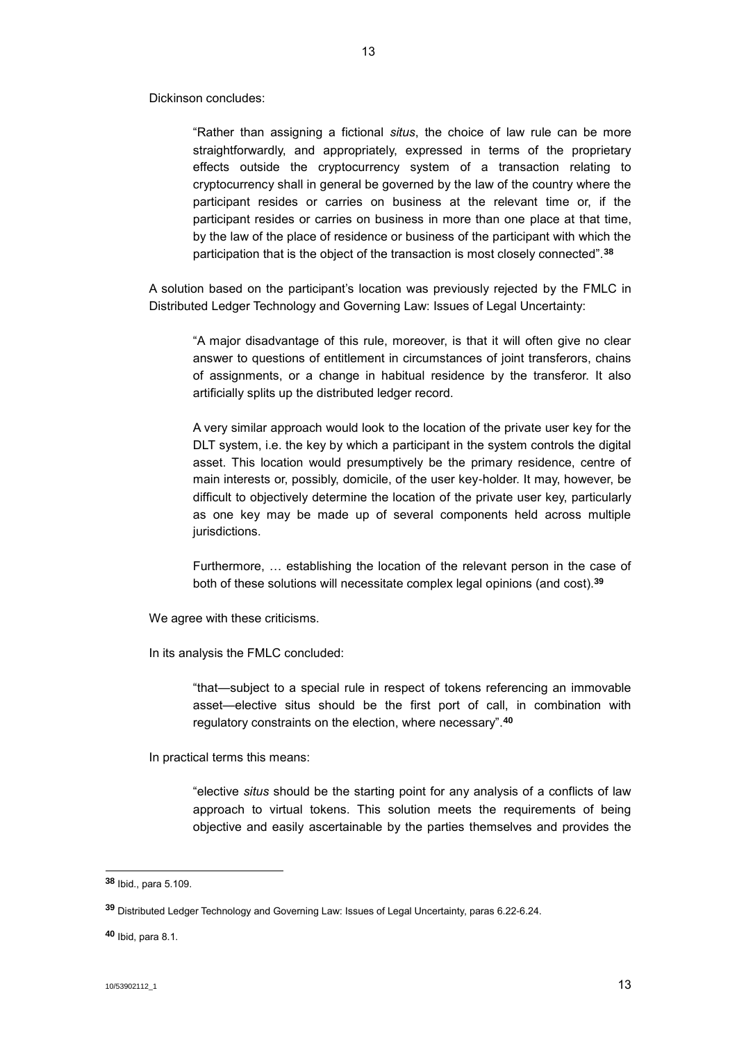"Rather than assigning a fictional *situs*, the choice of law rule can be more straightforwardly, and appropriately, expressed in terms of the proprietary effects outside the cryptocurrency system of a transaction relating to cryptocurrency shall in general be governed by the law of the country where the participant resides or carries on business at the relevant time or, if the participant resides or carries on business in more than one place at that time, by the law of the place of residence or business of the participant with which the participation that is the object of the transaction is most closely connected".**<sup>38</sup>**

A solution based on the participant's location was previously rejected by the FMLC in Distributed Ledger Technology and Governing Law: Issues of Legal Uncertainty:

"A major disadvantage of this rule, moreover, is that it will often give no clear answer to questions of entitlement in circumstances of joint transferors, chains of assignments, or a change in habitual residence by the transferor. It also artificially splits up the distributed ledger record.

A very similar approach would look to the location of the private user key for the DLT system, i.e. the key by which a participant in the system controls the digital asset. This location would presumptively be the primary residence, centre of main interests or, possibly, domicile, of the user key-holder. It may, however, be difficult to objectively determine the location of the private user key, particularly as one key may be made up of several components held across multiple jurisdictions.

Furthermore, … establishing the location of the relevant person in the case of both of these solutions will necessitate complex legal opinions (and cost).**<sup>39</sup>**

We agree with these criticisms.

In its analysis the FMLC concluded:

"that—subject to a special rule in respect of tokens referencing an immovable asset—elective situs should be the first port of call, in combination with regulatory constraints on the election, where necessary".**<sup>40</sup>**

In practical terms this means:

"elective *situs* should be the starting point for any analysis of a conflicts of law approach to virtual tokens. This solution meets the requirements of being objective and easily ascertainable by the parties themselves and provides the

**<sup>38</sup>** Ibid., para 5.109.

**<sup>39</sup>** Distributed Ledger Technology and Governing Law: Issues of Legal Uncertainty, paras 6.22-6.24.

**<sup>40</sup>** Ibid, para 8.1.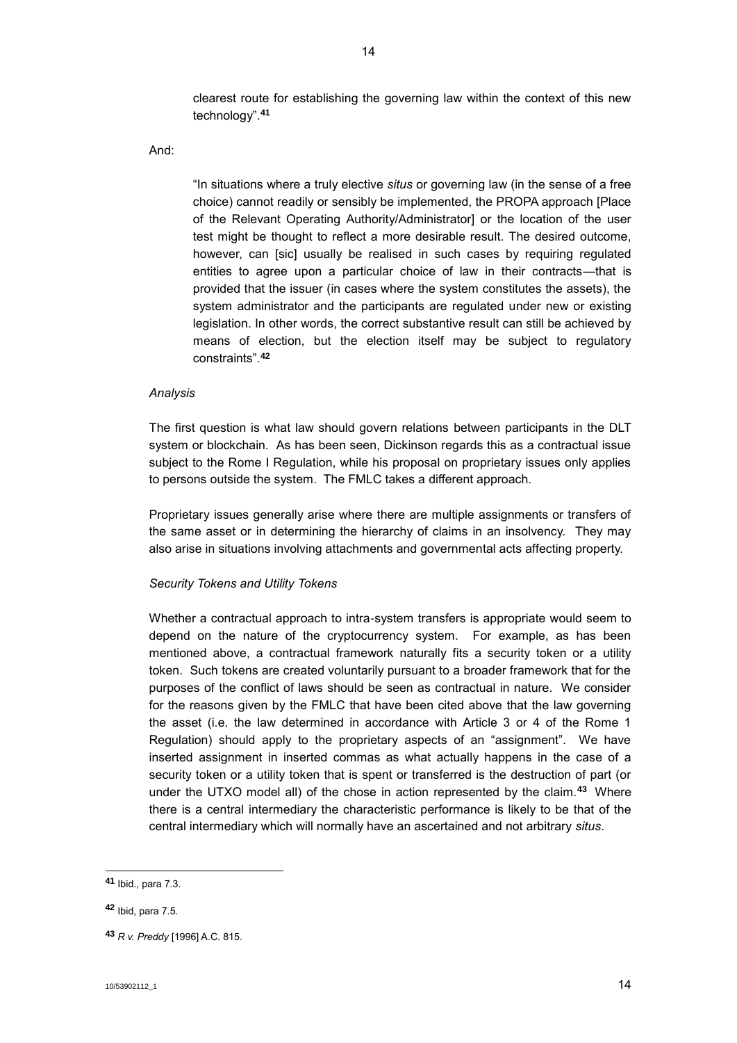clearest route for establishing the governing law within the context of this new technology".**<sup>41</sup>**

And:

"In situations where a truly elective *situs* or governing law (in the sense of a free choice) cannot readily or sensibly be implemented, the PROPA approach [Place of the Relevant Operating Authority/Administrator] or the location of the user test might be thought to reflect a more desirable result. The desired outcome, however, can [sic] usually be realised in such cases by requiring regulated entities to agree upon a particular choice of law in their contracts—that is provided that the issuer (in cases where the system constitutes the assets), the system administrator and the participants are regulated under new or existing legislation. In other words, the correct substantive result can still be achieved by means of election, but the election itself may be subject to regulatory constraints".**<sup>42</sup>**

#### *Analysis*

The first question is what law should govern relations between participants in the DLT system or blockchain. As has been seen, Dickinson regards this as a contractual issue subject to the Rome I Regulation, while his proposal on proprietary issues only applies to persons outside the system. The FMLC takes a different approach.

Proprietary issues generally arise where there are multiple assignments or transfers of the same asset or in determining the hierarchy of claims in an insolvency. They may also arise in situations involving attachments and governmental acts affecting property.

#### *Security Tokens and Utility Tokens*

Whether a contractual approach to intra-system transfers is appropriate would seem to depend on the nature of the cryptocurrency system. For example, as has been mentioned above, a contractual framework naturally fits a security token or a utility token. Such tokens are created voluntarily pursuant to a broader framework that for the purposes of the conflict of laws should be seen as contractual in nature. We consider for the reasons given by the FMLC that have been cited above that the law governing the asset (i.e. the law determined in accordance with Article 3 or 4 of the Rome 1 Regulation) should apply to the proprietary aspects of an "assignment". We have inserted assignment in inserted commas as what actually happens in the case of a security token or a utility token that is spent or transferred is the destruction of part (or under the UTXO model all) of the chose in action represented by the claim.**<sup>43</sup>** Where there is a central intermediary the characteristic performance is likely to be that of the central intermediary which will normally have an ascertained and not arbitrary *situs*.

**<sup>41</sup>** Ibid., para 7.3.

**<sup>42</sup>** Ibid, para 7.5.

**<sup>43</sup>** *R v. Preddy* [1996] A.C. 815.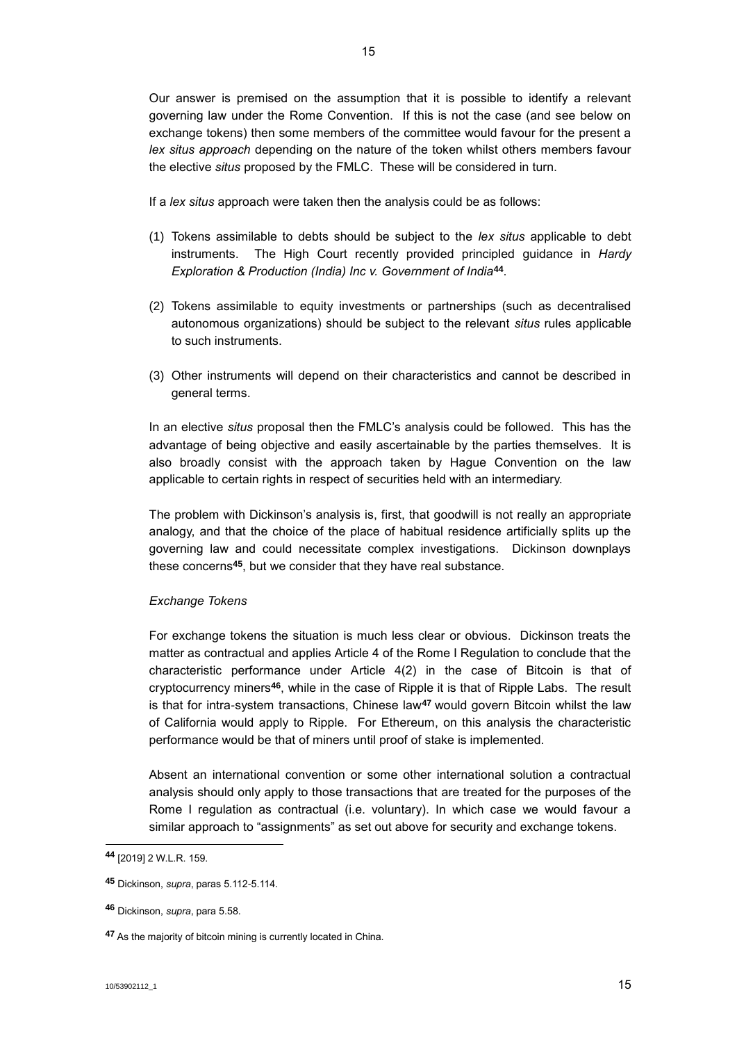Our answer is premised on the assumption that it is possible to identify a relevant governing law under the Rome Convention. If this is not the case (and see below on exchange tokens) then some members of the committee would favour for the present a *lex situs approach* depending on the nature of the token whilst others members favour the elective *situs* proposed by the FMLC. These will be considered in turn.

If a *lex situs* approach were taken then the analysis could be as follows:

- (1) Tokens assimilable to debts should be subject to the *lex situs* applicable to debt instruments. The High Court recently provided principled guidance in *Hardy Exploration & Production (India) Inc v. Government of India***<sup>44</sup>** .
- (2) Tokens assimilable to equity investments or partnerships (such as decentralised autonomous organizations) should be subject to the relevant *situs* rules applicable to such instruments.
- (3) Other instruments will depend on their characteristics and cannot be described in general terms.

In an elective *situs* proposal then the FMLC's analysis could be followed. This has the advantage of being objective and easily ascertainable by the parties themselves. It is also broadly consist with the approach taken by Hague Convention on the law applicable to certain rights in respect of securities held with an intermediary.

The problem with Dickinson's analysis is, first, that goodwill is not really an appropriate analogy, and that the choice of the place of habitual residence artificially splits up the governing law and could necessitate complex investigations. Dickinson downplays these concerns**<sup>45</sup>**, but we consider that they have real substance.

# *Exchange Tokens*

For exchange tokens the situation is much less clear or obvious. Dickinson treats the matter as contractual and applies Article 4 of the Rome I Regulation to conclude that the characteristic performance under Article 4(2) in the case of Bitcoin is that of cryptocurrency miners**<sup>46</sup>**, while in the case of Ripple it is that of Ripple Labs. The result is that for intra-system transactions, Chinese law**<sup>47</sup>** would govern Bitcoin whilst the law of California would apply to Ripple. For Ethereum, on this analysis the characteristic performance would be that of miners until proof of stake is implemented.

Absent an international convention or some other international solution a contractual analysis should only apply to those transactions that are treated for the purposes of the Rome I regulation as contractual (i.e. voluntary). In which case we would favour a similar approach to "assignments" as set out above for security and exchange tokens.

**<sup>44</sup>** [2019] 2 W.L.R. 159.

**<sup>45</sup>** Dickinson, *supra*, paras 5.112-5.114.

**<sup>46</sup>** Dickinson, *supra*, para 5.58.

**<sup>47</sup>** As the majority of bitcoin mining is currently located in China.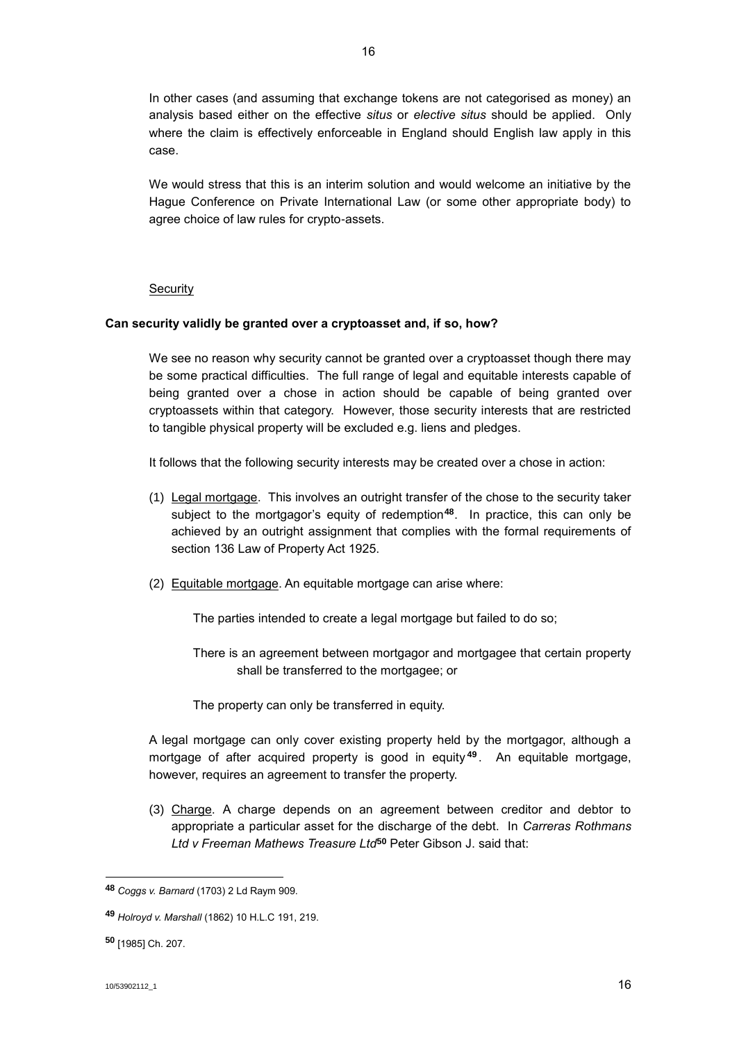In other cases (and assuming that exchange tokens are not categorised as money) an analysis based either on the effective *situs* or *elective situs* should be applied. Only where the claim is effectively enforceable in England should English law apply in this case.

We would stress that this is an interim solution and would welcome an initiative by the Hague Conference on Private International Law (or some other appropriate body) to agree choice of law rules for crypto-assets.

#### **Security**

#### **Can security validly be granted over a cryptoasset and, if so, how?**

We see no reason why security cannot be granted over a cryptoasset though there may be some practical difficulties. The full range of legal and equitable interests capable of being granted over a chose in action should be capable of being granted over cryptoassets within that category. However, those security interests that are restricted to tangible physical property will be excluded e.g. liens and pledges.

It follows that the following security interests may be created over a chose in action:

- (1) Legal mortgage. This involves an outright transfer of the chose to the security taker subject to the mortgagor's equity of redemption**<sup>48</sup>**. In practice, this can only be achieved by an outright assignment that complies with the formal requirements of section 136 Law of Property Act 1925.
- (2) Equitable mortgage. An equitable mortgage can arise where:

The parties intended to create a legal mortgage but failed to do so;

There is an agreement between mortgagor and mortgagee that certain property shall be transferred to the mortgagee; or

The property can only be transferred in equity.

A legal mortgage can only cover existing property held by the mortgagor, although a mortgage of after acquired property is good in equity **<sup>49</sup>** . An equitable mortgage, however, requires an agreement to transfer the property.

(3) Charge. A charge depends on an agreement between creditor and debtor to appropriate a particular asset for the discharge of the debt. In *Carreras Rothmans Ltd v Freeman Mathews Treasure Ltd***<sup>50</sup>** Peter Gibson J. said that:

**<sup>48</sup>** *Coggs v. Barnard* (1703) 2 Ld Raym 909.

**<sup>49</sup>** *Holroyd v. Marshall* (1862) 10 H.L.C 191, 219.

**<sup>50</sup>** [1985] Ch. 207.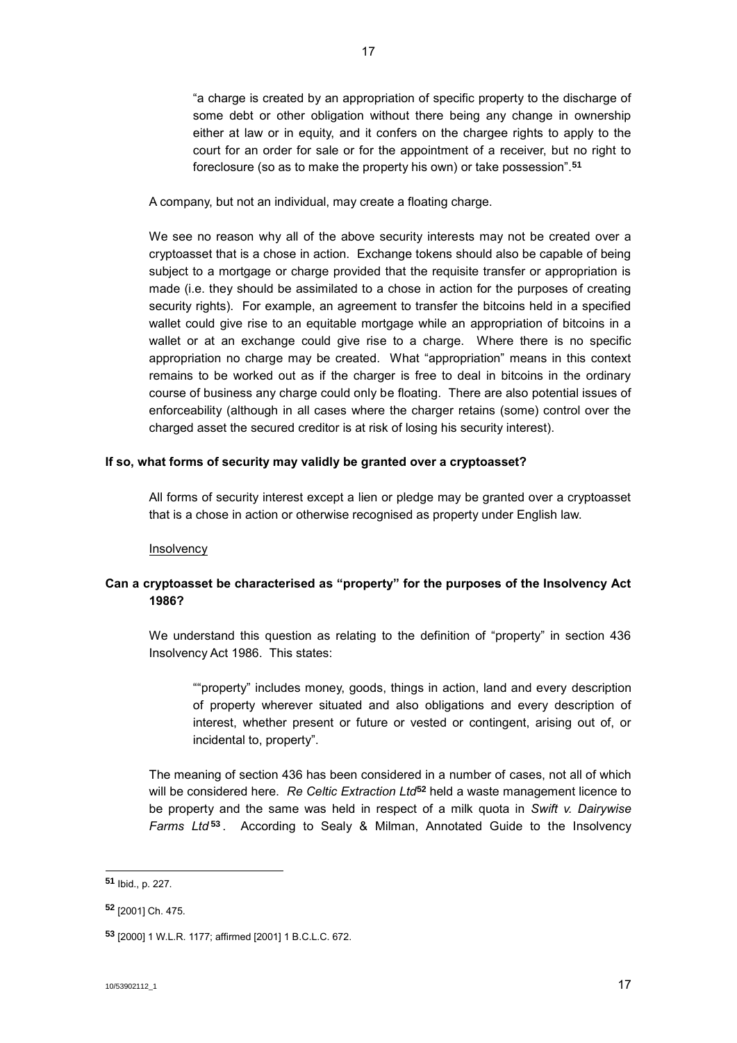"a charge is created by an appropriation of specific property to the discharge of some debt or other obligation without there being any change in ownership either at law or in equity, and it confers on the chargee rights to apply to the court for an order for sale or for the appointment of a receiver, but no right to foreclosure (so as to make the property his own) or take possession".**<sup>51</sup>**

A company, but not an individual, may create a floating charge.

We see no reason why all of the above security interests may not be created over a cryptoasset that is a chose in action. Exchange tokens should also be capable of being subject to a mortgage or charge provided that the requisite transfer or appropriation is made (i.e. they should be assimilated to a chose in action for the purposes of creating security rights). For example, an agreement to transfer the bitcoins held in a specified wallet could give rise to an equitable mortgage while an appropriation of bitcoins in a wallet or at an exchange could give rise to a charge. Where there is no specific appropriation no charge may be created. What "appropriation" means in this context remains to be worked out as if the charger is free to deal in bitcoins in the ordinary course of business any charge could only be floating. There are also potential issues of enforceability (although in all cases where the charger retains (some) control over the charged asset the secured creditor is at risk of losing his security interest).

#### **If so, what forms of security may validly be granted over a cryptoasset?**

All forms of security interest except a lien or pledge may be granted over a cryptoasset that is a chose in action or otherwise recognised as property under English law.

#### **Insolvency**

# **Can a cryptoasset be characterised as "property" for the purposes of the Insolvency Act 1986?**

We understand this question as relating to the definition of "property" in section 436 Insolvency Act 1986. This states:

""property" includes money, goods, things in action, land and every description of property wherever situated and also obligations and every description of interest, whether present or future or vested or contingent, arising out of, or incidental to, property".

The meaning of section 436 has been considered in a number of cases, not all of which will be considered here. *Re Celtic Extraction Ltd***<sup>52</sup>** held a waste management licence to be property and the same was held in respect of a milk quota in *Swift v. Dairywise Farms Ltd* **<sup>53</sup>** . According to Sealy & Milman, Annotated Guide to the Insolvency

**<sup>51</sup>** Ibid., p. 227.

**<sup>52</sup>** [2001] Ch. 475.

**<sup>53</sup>** [2000] 1 W.L.R. 1177; affirmed [2001] 1 B.C.L.C. 672.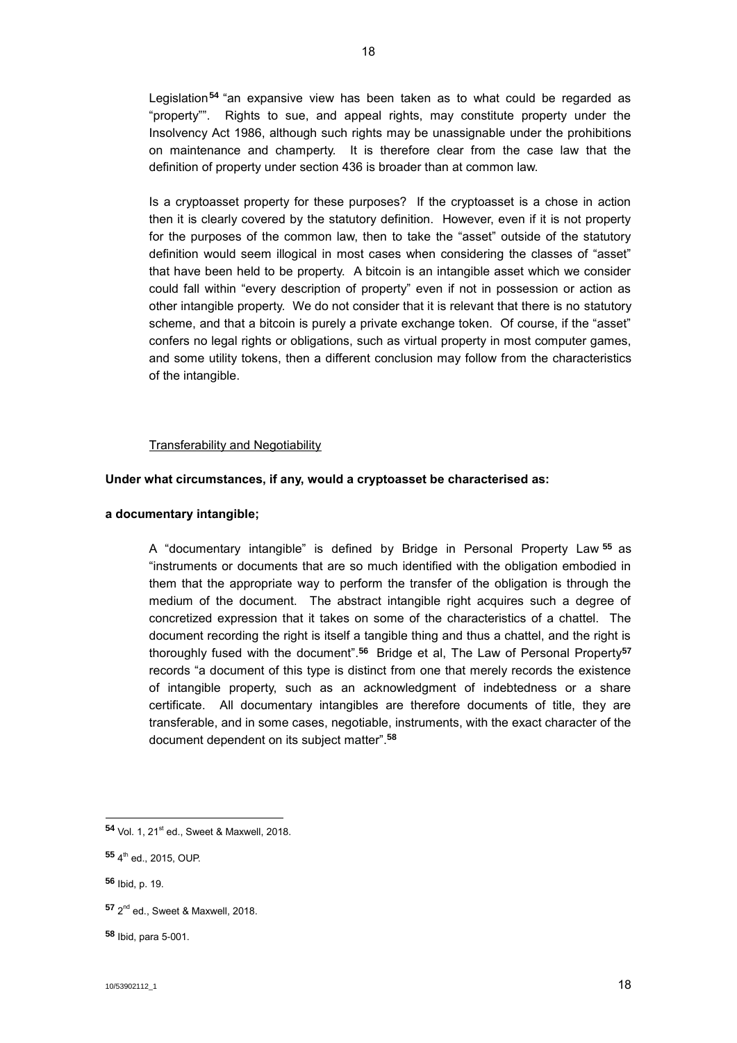Legislation**<sup>54</sup>** "an expansive view has been taken as to what could be regarded as "property"". Rights to sue, and appeal rights, may constitute property under the Insolvency Act 1986, although such rights may be unassignable under the prohibitions on maintenance and champerty. It is therefore clear from the case law that the definition of property under section 436 is broader than at common law.

Is a cryptoasset property for these purposes? If the cryptoasset is a chose in action then it is clearly covered by the statutory definition. However, even if it is not property for the purposes of the common law, then to take the "asset" outside of the statutory definition would seem illogical in most cases when considering the classes of "asset" that have been held to be property. A bitcoin is an intangible asset which we consider could fall within "every description of property" even if not in possession or action as other intangible property. We do not consider that it is relevant that there is no statutory scheme, and that a bitcoin is purely a private exchange token. Of course, if the "asset" confers no legal rights or obligations, such as virtual property in most computer games, and some utility tokens, then a different conclusion may follow from the characteristics of the intangible.

#### Transferability and Negotiability

#### **Under what circumstances, if any, would a cryptoasset be characterised as:**

#### **a documentary intangible;**

A "documentary intangible" is defined by Bridge in Personal Property Law **<sup>55</sup>** as "instruments or documents that are so much identified with the obligation embodied in them that the appropriate way to perform the transfer of the obligation is through the medium of the document. The abstract intangible right acquires such a degree of concretized expression that it takes on some of the characteristics of a chattel. The document recording the right is itself a tangible thing and thus a chattel, and the right is thoroughly fused with the document".**<sup>56</sup>** Bridge et al, The Law of Personal Property**<sup>57</sup>** records "a document of this type is distinct from one that merely records the existence of intangible property, such as an acknowledgment of indebtedness or a share certificate. All documentary intangibles are therefore documents of title, they are transferable, and in some cases, negotiable, instruments, with the exact character of the document dependent on its subject matter".**<sup>58</sup>**

<sup>54</sup> Vol. 1, 21<sup>st</sup> ed., Sweet & Maxwell, 2018.

**<sup>55</sup>** 4 th ed., 2015, OUP.

**<sup>56</sup>** Ibid, p. 19.

<sup>57 2&</sup>lt;sup>nd</sup> ed., Sweet & Maxwell, 2018.

**<sup>58</sup>** Ibid, para 5-001.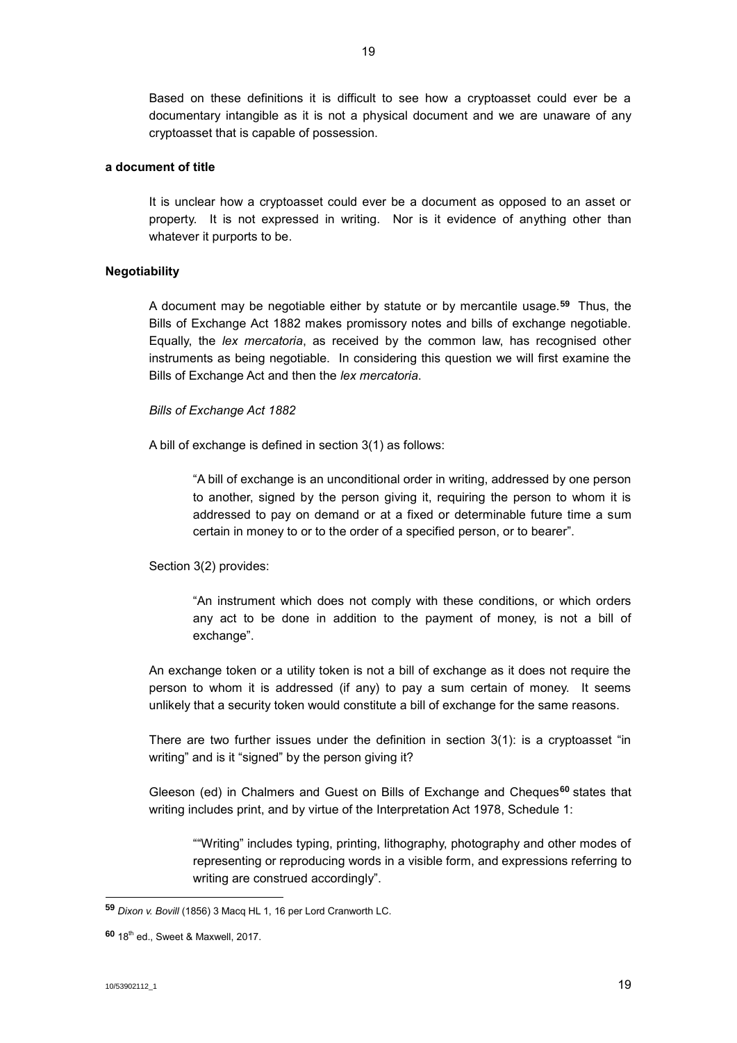Based on these definitions it is difficult to see how a cryptoasset could ever be a documentary intangible as it is not a physical document and we are unaware of any cryptoasset that is capable of possession.

#### **a document of title**

It is unclear how a cryptoasset could ever be a document as opposed to an asset or property. It is not expressed in writing. Nor is it evidence of anything other than whatever it purports to be.

#### **Negotiability**

A document may be negotiable either by statute or by mercantile usage.**<sup>59</sup>** Thus, the Bills of Exchange Act 1882 makes promissory notes and bills of exchange negotiable. Equally, the *lex mercatoria*, as received by the common law, has recognised other instruments as being negotiable. In considering this question we will first examine the Bills of Exchange Act and then the *lex mercatoria*.

*Bills of Exchange Act 1882*

A bill of exchange is defined in section 3(1) as follows:

"A bill of exchange is an unconditional order in writing, addressed by one person to another, signed by the person giving it, requiring the person to whom it is addressed to pay on demand or at a fixed or determinable future time a sum certain in money to or to the order of a specified person, or to bearer".

Section 3(2) provides:

"An instrument which does not comply with these conditions, or which orders any act to be done in addition to the payment of money, is not a bill of exchange".

An exchange token or a utility token is not a bill of exchange as it does not require the person to whom it is addressed (if any) to pay a sum certain of money. It seems unlikely that a security token would constitute a bill of exchange for the same reasons.

There are two further issues under the definition in section 3(1): is a cryptoasset "in writing" and is it "signed" by the person giving it?

Gleeson (ed) in Chalmers and Guest on Bills of Exchange and Cheques**<sup>60</sup>** states that writing includes print, and by virtue of the Interpretation Act 1978, Schedule 1:

""Writing" includes typing, printing, lithography, photography and other modes of representing or reproducing words in a visible form, and expressions referring to writing are construed accordingly".

**<sup>59</sup>** *Dixon v. Bovill* (1856) 3 Macq HL 1, 16 per Lord Cranworth LC.

**<sup>60</sup>** 18th ed., Sweet & Maxwell, 2017.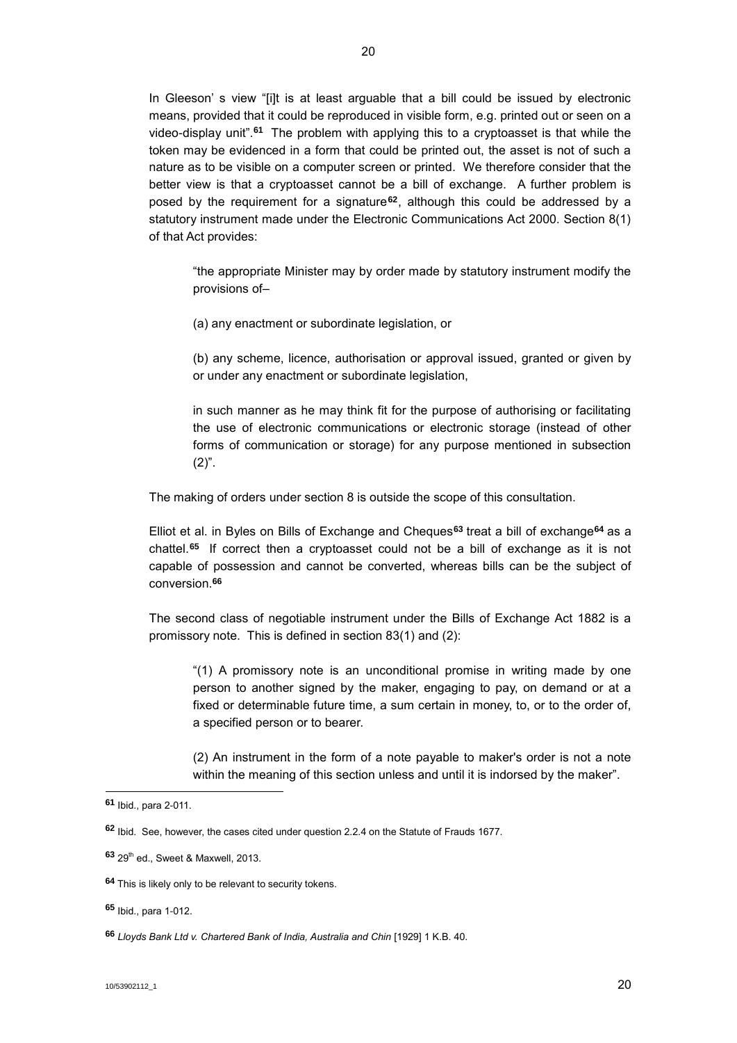In Gleeson' s view "[i]t is at least arguable that a bill could be issued by electronic means, provided that it could be reproduced in visible form, e.g. printed out or seen on a video-display unit".**<sup>61</sup>** The problem with applying this to a cryptoasset is that while the token may be evidenced in a form that could be printed out, the asset is not of such a nature as to be visible on a computer screen or printed. We therefore consider that the better view is that a cryptoasset cannot be a bill of exchange. A further problem is posed by the requirement for a signature**<sup>62</sup>**, although this could be addressed by a statutory instrument made under the Electronic Communications Act 2000. Section 8(1) of that Act provides:

"the appropriate Minister may by order made by statutory instrument modify the provisions of–

(a) any enactment or subordinate legislation, or

(b) any scheme, licence, authorisation or approval issued, granted or given by or under any enactment or subordinate legislation,

in such manner as he may think fit for the purpose of authorising or facilitating the use of electronic communications or electronic storage (instead of other forms of communication or storage) for any purpose mentioned in subsection  $(2)^{n}$ .

The making of orders under section 8 is outside the scope of this consultation.

Elliot et al. in Byles on Bills of Exchange and Cheques**<sup>63</sup>** treat a bill of exchange**<sup>64</sup>** as a chattel.**<sup>65</sup>** If correct then a cryptoasset could not be a bill of exchange as it is not capable of possession and cannot be converted, whereas bills can be the subject of conversion.**<sup>66</sup>**

The second class of negotiable instrument under the Bills of Exchange Act 1882 is a promissory note. This is defined in section 83(1) and (2):

"(1) A promissory note is an unconditional promise in writing made by one person to another signed by the maker, engaging to pay, on demand or at a fixed or determinable future time, a sum certain in money, to, or to the order of, a specified person or to bearer.

(2) An instrument in the form of a note payable to maker's order is not a note within the meaning of this section unless and until it is indorsed by the maker".

**<sup>61</sup>** Ibid., para 2-011.

**<sup>62</sup>** Ibid. See, however, the cases cited under question 2.2.4 on the Statute of Frauds 1677.

**<sup>63</sup>** 29th ed., Sweet & Maxwell, 2013.

**<sup>64</sup>** This is likely only to be relevant to security tokens.

**<sup>65</sup>** Ibid., para 1-012.

**<sup>66</sup>** *Lloyds Bank Ltd v. Chartered Bank of India, Australia and Chin* [1929] 1 K.B. 40.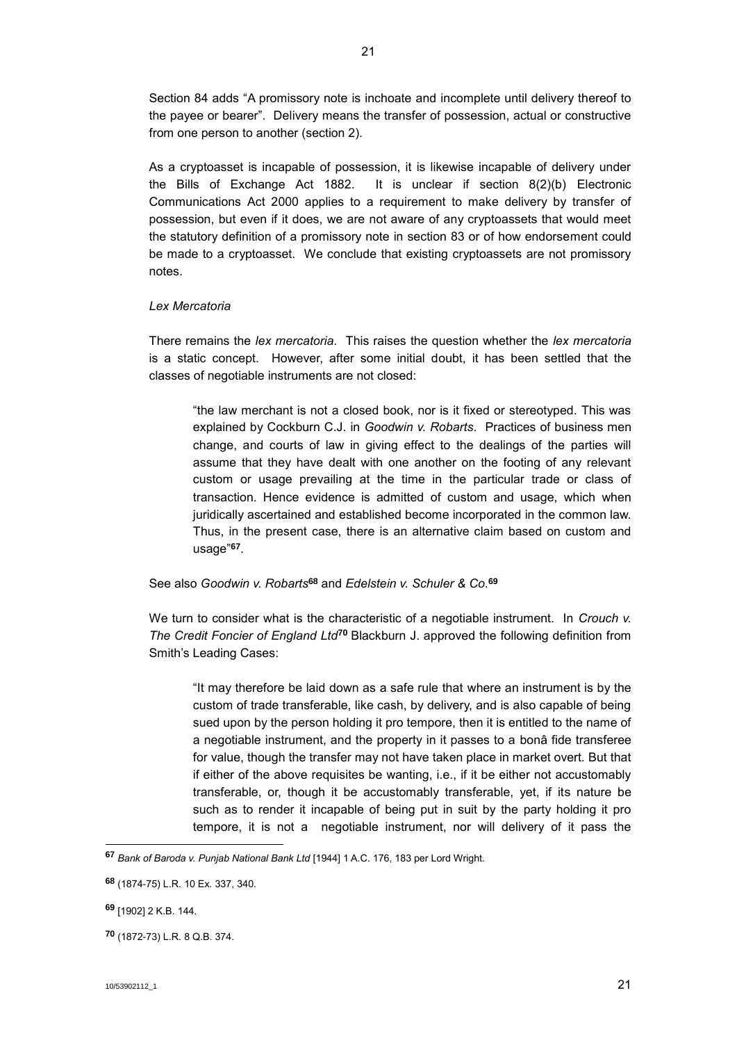Section 84 adds "A promissory note is inchoate and incomplete until delivery thereof to the payee or bearer". Delivery means the transfer of possession, actual or constructive from one person to another (section 2).

As a cryptoasset is incapable of possession, it is likewise incapable of delivery under the Bills of Exchange Act 1882. It is unclear if section 8(2)(b) Electronic Communications Act 2000 applies to a requirement to make delivery by transfer of possession, but even if it does, we are not aware of any cryptoassets that would meet the statutory definition of a promissory note in section 83 or of how endorsement could be made to a cryptoasset. We conclude that existing cryptoassets are not promissory notes.

#### *Lex Mercatoria*

There remains the *lex mercatoria*. This raises the question whether the *lex mercatoria* is a static concept. However, after some initial doubt, it has been settled that the classes of negotiable instruments are not closed:

"the law merchant is not a closed book, nor is it fixed or stereotyped. This was explained by Cockburn C.J. in *Goodwin v. Robarts*. Practices of business men change, and courts of law in giving effect to the dealings of the parties will assume that they have dealt with one another on the footing of any relevant custom or usage prevailing at the time in the particular trade or class of transaction. Hence evidence is admitted of custom and usage, which when juridically ascertained and established become incorporated in the common law. Thus, in the present case, there is an alternative claim based on custom and usage"**<sup>67</sup>** .

#### See also *Goodwin v. Robarts***<sup>68</sup>** and *Edelstein v. Schuler & Co*. **69**

We turn to consider what is the characteristic of a negotiable instrument. In *Crouch v. The Credit Foncier of England Ltd***<sup>70</sup>** Blackburn J. approved the following definition from Smith's Leading Cases:

"It may therefore be laid down as a safe rule that where an instrument is by the custom of trade transferable, like cash, by delivery, and is also capable of being sued upon by the person holding it pro tempore, then it is entitled to the name of a negotiable instrument, and the property in it passes to a bonâ fide transferee for value, though the transfer may not have taken place in market overt. But that if either of the above requisites be wanting, i.e., if it be either not accustomably transferable, or, though it be accustomably transferable, yet, if its nature be such as to render it incapable of being put in suit by the party holding it pro tempore, it is not a negotiable instrument, nor will delivery of it pass the

**<sup>67</sup>** *Bank of Baroda v. Punjab National Bank Ltd* [1944] 1 A.C. 176, 183 per Lord Wright.

**<sup>68</sup>** (1874-75) L.R. 10 Ex. 337, 340.

**<sup>69</sup>** [1902] 2 K.B. 144.

**<sup>70</sup>** (1872-73) L.R. 8 Q.B. 374.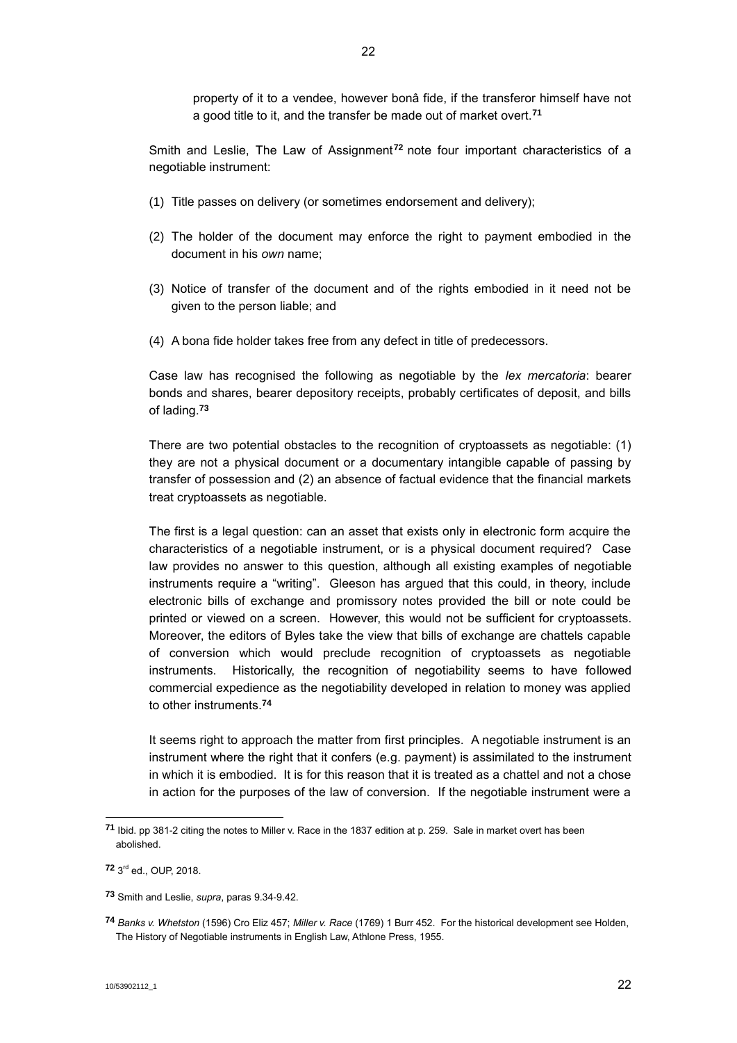property of it to a vendee, however bonâ fide, if the transferor himself have not a good title to it, and the transfer be made out of market overt.**<sup>71</sup>**

Smith and Leslie, The Law of Assignment**<sup>72</sup>** note four important characteristics of a negotiable instrument:

- (1) Title passes on delivery (or sometimes endorsement and delivery);
- (2) The holder of the document may enforce the right to payment embodied in the document in his *own* name;
- (3) Notice of transfer of the document and of the rights embodied in it need not be given to the person liable; and
- (4) A bona fide holder takes free from any defect in title of predecessors.

Case law has recognised the following as negotiable by the *lex mercatoria*: bearer bonds and shares, bearer depository receipts, probably certificates of deposit, and bills of lading.**<sup>73</sup>**

There are two potential obstacles to the recognition of cryptoassets as negotiable: (1) they are not a physical document or a documentary intangible capable of passing by transfer of possession and (2) an absence of factual evidence that the financial markets treat cryptoassets as negotiable.

The first is a legal question: can an asset that exists only in electronic form acquire the characteristics of a negotiable instrument, or is a physical document required? Case law provides no answer to this question, although all existing examples of negotiable instruments require a "writing". Gleeson has argued that this could, in theory, include electronic bills of exchange and promissory notes provided the bill or note could be printed or viewed on a screen. However, this would not be sufficient for cryptoassets. Moreover, the editors of Byles take the view that bills of exchange are chattels capable of conversion which would preclude recognition of cryptoassets as negotiable instruments. Historically, the recognition of negotiability seems to have followed commercial expedience as the negotiability developed in relation to money was applied to other instruments.**<sup>74</sup>**

It seems right to approach the matter from first principles. A negotiable instrument is an instrument where the right that it confers (e.g. payment) is assimilated to the instrument in which it is embodied. It is for this reason that it is treated as a chattel and not a chose in action for the purposes of the law of conversion. If the negotiable instrument were a

**<sup>71</sup>** Ibid. pp 381-2 citing the notes to Miller v. Race in the 1837 edition at p. 259. Sale in market overt has been abolished.

**<sup>72</sup>** 3 rd ed., OUP, 2018.

**<sup>73</sup>** Smith and Leslie, *supra*, paras 9.34-9.42.

**<sup>74</sup>** *Banks v. Whetston* (1596) Cro Eliz 457; *Miller v. Race* (1769) 1 Burr 452. For the historical development see Holden, The History of Negotiable instruments in English Law, Athlone Press, 1955.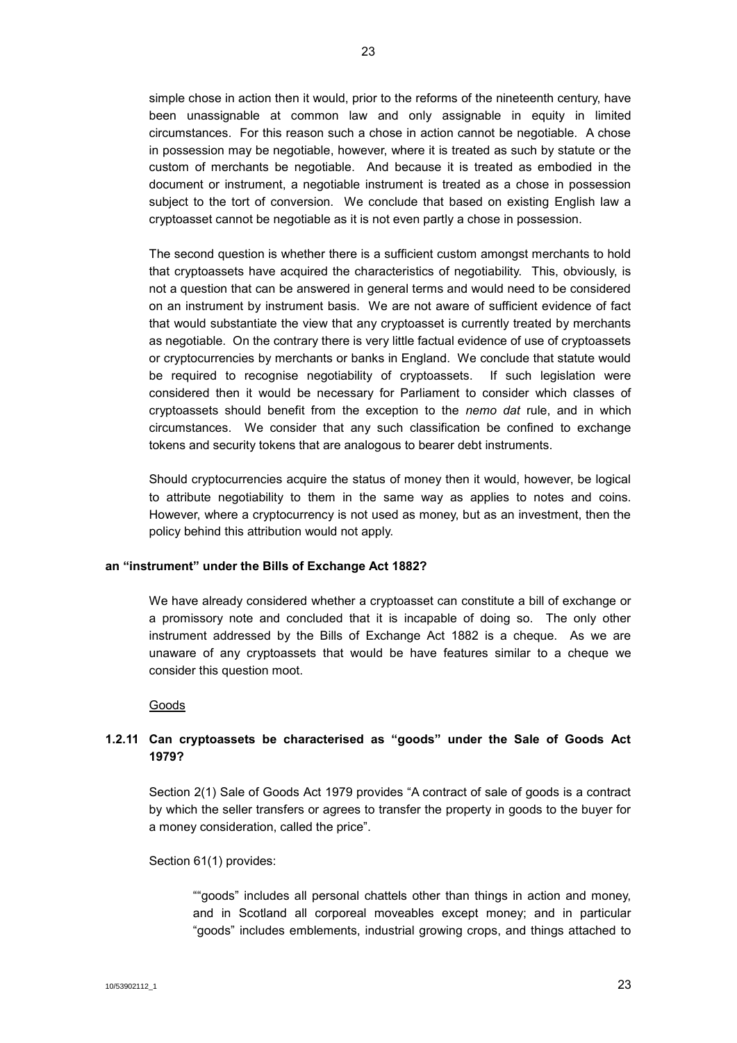simple chose in action then it would, prior to the reforms of the nineteenth century, have been unassignable at common law and only assignable in equity in limited circumstances. For this reason such a chose in action cannot be negotiable. A chose in possession may be negotiable, however, where it is treated as such by statute or the custom of merchants be negotiable. And because it is treated as embodied in the document or instrument, a negotiable instrument is treated as a chose in possession subject to the tort of conversion. We conclude that based on existing English law a cryptoasset cannot be negotiable as it is not even partly a chose in possession.

The second question is whether there is a sufficient custom amongst merchants to hold that cryptoassets have acquired the characteristics of negotiability. This, obviously, is not a question that can be answered in general terms and would need to be considered on an instrument by instrument basis. We are not aware of sufficient evidence of fact that would substantiate the view that any cryptoasset is currently treated by merchants as negotiable. On the contrary there is very little factual evidence of use of cryptoassets or cryptocurrencies by merchants or banks in England. We conclude that statute would be required to recognise negotiability of cryptoassets. If such legislation were considered then it would be necessary for Parliament to consider which classes of cryptoassets should benefit from the exception to the *nemo dat* rule, and in which circumstances. We consider that any such classification be confined to exchange tokens and security tokens that are analogous to bearer debt instruments.

Should cryptocurrencies acquire the status of money then it would, however, be logical to attribute negotiability to them in the same way as applies to notes and coins. However, where a cryptocurrency is not used as money, but as an investment, then the policy behind this attribution would not apply.

#### **an "instrument" under the Bills of Exchange Act 1882?**

We have already considered whether a cryptoasset can constitute a bill of exchange or a promissory note and concluded that it is incapable of doing so. The only other instrument addressed by the Bills of Exchange Act 1882 is a cheque. As we are unaware of any cryptoassets that would be have features similar to a cheque we consider this question moot.

#### Goods

# **1.2.11 Can cryptoassets be characterised as "goods" under the Sale of Goods Act 1979?**

Section 2(1) Sale of Goods Act 1979 provides "A contract of sale of goods is a contract by which the seller transfers or agrees to transfer the property in goods to the buyer for a money consideration, called the price".

#### Section 61(1) provides:

""goods" includes all personal chattels other than things in action and money, and in Scotland all corporeal moveables except money; and in particular "goods" includes emblements, industrial growing crops, and things attached to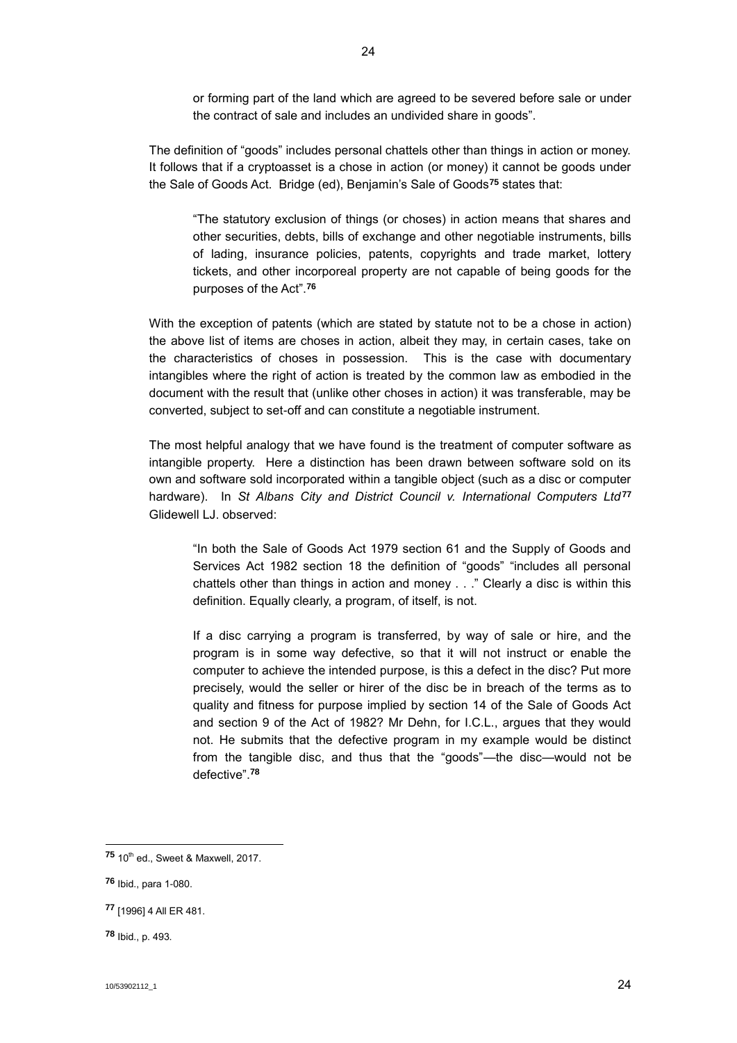or forming part of the land which are agreed to be severed before sale or under the contract of sale and includes an undivided share in goods".

The definition of "goods" includes personal chattels other than things in action or money. It follows that if a cryptoasset is a chose in action (or money) it cannot be goods under the Sale of Goods Act. Bridge (ed), Benjamin's Sale of Goods**<sup>75</sup>** states that:

"The statutory exclusion of things (or choses) in action means that shares and other securities, debts, bills of exchange and other negotiable instruments, bills of lading, insurance policies, patents, copyrights and trade market, lottery tickets, and other incorporeal property are not capable of being goods for the purposes of the Act".**<sup>76</sup>**

With the exception of patents (which are stated by statute not to be a chose in action) the above list of items are choses in action, albeit they may, in certain cases, take on the characteristics of choses in possession. This is the case with documentary intangibles where the right of action is treated by the common law as embodied in the document with the result that (unlike other choses in action) it was transferable, may be converted, subject to set-off and can constitute a negotiable instrument.

The most helpful analogy that we have found is the treatment of computer software as intangible property. Here a distinction has been drawn between software sold on its own and software sold incorporated within a tangible object (such as a disc or computer hardware). In *St Albans City and District Council v. International Computers Ltd***<sup>77</sup>** Glidewell LJ. observed:

"In both the Sale of Goods Act 1979 section 61 and the Supply of Goods and Services Act 1982 section 18 the definition of "goods" "includes all personal chattels other than things in action and money . . ." Clearly a disc is within this definition. Equally clearly, a program, of itself, is not.

If a disc carrying a program is transferred, by way of sale or hire, and the program is in some way defective, so that it will not instruct or enable the computer to achieve the intended purpose, is this a defect in the disc? Put more precisely, would the seller or hirer of the disc be in breach of the terms as to quality and fitness for purpose implied by section 14 of the Sale of Goods Act and section 9 of the Act of 1982? Mr Dehn, for I.C.L., argues that they would not. He submits that the defective program in my example would be distinct from the tangible disc, and thus that the "goods"—the disc—would not be defective".**<sup>78</sup>**

<sup>75 10&</sup>lt;sup>th</sup> ed., Sweet & Maxwell, 2017.

**<sup>76</sup>** Ibid., para 1-080.

**<sup>77</sup>** [1996] 4 All ER 481.

**<sup>78</sup>** Ibid., p. 493.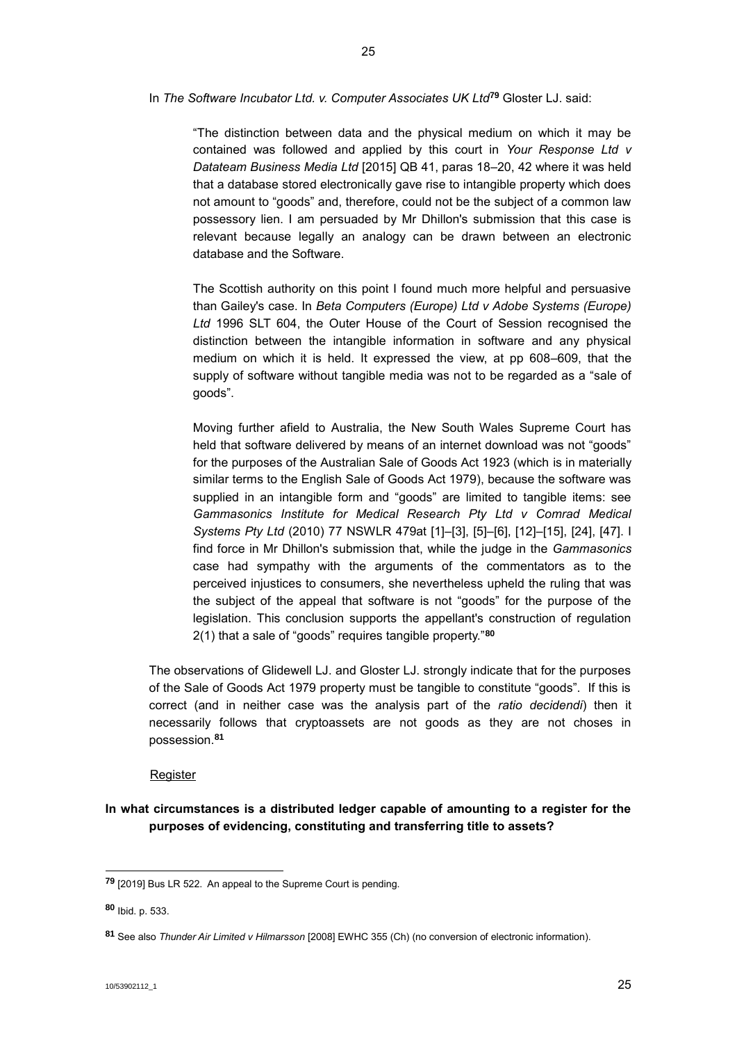"The distinction between data and the physical medium on which it may be contained was followed and applied by this court in *Your Response Ltd v Datateam Business Media Ltd* [2015] QB 41, paras 18–20, 42 where it was held that a database stored electronically gave rise to intangible property which does not amount to "goods" and, therefore, could not be the subject of a common law possessory lien. I am persuaded by Mr Dhillon's submission that this case is relevant because legally an analogy can be drawn between an electronic database and the Software.

The Scottish authority on this point I found much more helpful and persuasive than Gailey's case. In *Beta Computers (Europe) Ltd v Adobe Systems (Europe) Ltd* 1996 SLT 604, the Outer House of the Court of Session recognised the distinction between the intangible information in software and any physical medium on which it is held. It expressed the view, at pp 608–609, that the supply of software without tangible media was not to be regarded as a "sale of goods".

Moving further afield to Australia, the New South Wales Supreme Court has held that software delivered by means of an internet download was not "goods" for the purposes of the Australian Sale of Goods Act 1923 (which is in materially similar terms to the English Sale of Goods Act 1979), because the software was supplied in an intangible form and "goods" are limited to tangible items: see *Gammasonics Institute for Medical Research Pty Ltd v Comrad Medical Systems Pty Ltd* (2010) 77 NSWLR 479at [1]–[3], [5]–[6], [12]–[15], [24], [47]. I find force in Mr Dhillon's submission that, while the judge in the *Gammasonics* case had sympathy with the arguments of the commentators as to the perceived injustices to consumers, she nevertheless upheld the ruling that was the subject of the appeal that software is not "goods" for the purpose of the legislation. This conclusion supports the appellant's construction of regulation 2(1) that a sale of "goods" requires tangible property."**<sup>80</sup>**

The observations of Glidewell LJ. and Gloster LJ. strongly indicate that for the purposes of the Sale of Goods Act 1979 property must be tangible to constitute "goods". If this is correct (and in neither case was the analysis part of the *ratio decidendi*) then it necessarily follows that cryptoassets are not goods as they are not choses in possession.**<sup>81</sup>**

#### Register

**In what circumstances is a distributed ledger capable of amounting to a register for the purposes of evidencing, constituting and transferring title to assets?**

**<sup>79</sup>** [2019] Bus LR 522. An appeal to the Supreme Court is pending.

**<sup>80</sup>** Ibid. p. 533.

**<sup>81</sup>** See also *Thunder Air Limited v Hilmarsson* [2008] EWHC 355 (Ch) (no conversion of electronic information).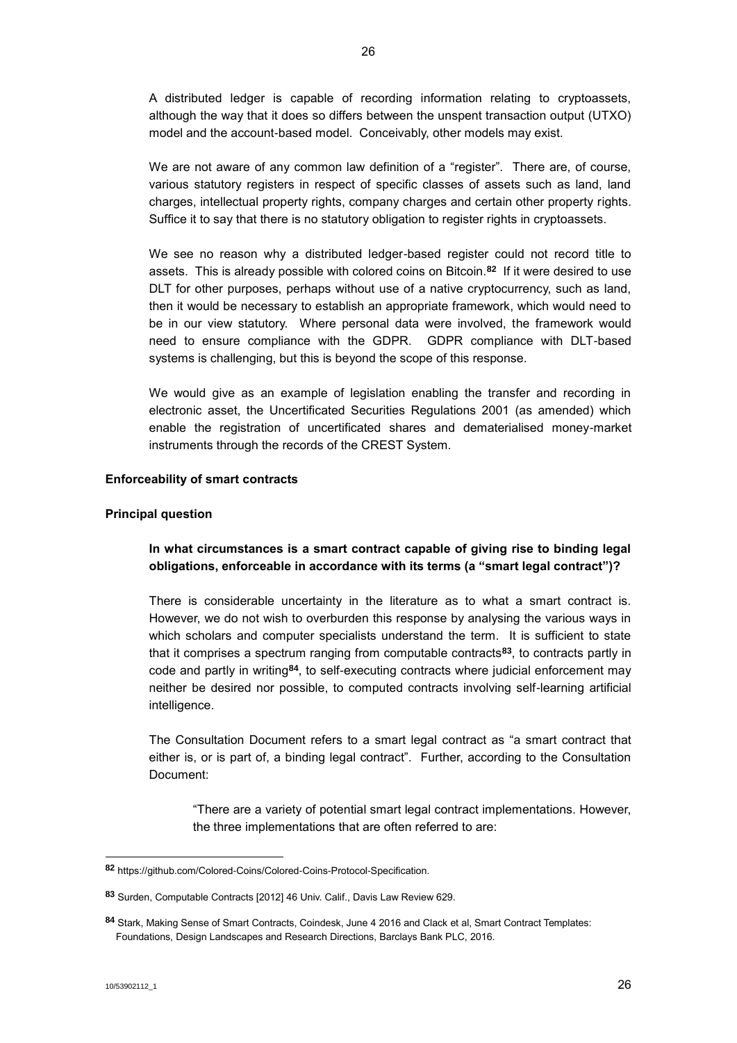A distributed ledger is capable of recording information relating to cryptoassets, although the way that it does so differs between the unspent transaction output (UTXO) model and the account-based model. Conceivably, other models may exist.

We are not aware of any common law definition of a "register". There are, of course, various statutory registers in respect of specific classes of assets such as land, land charges, intellectual property rights, company charges and certain other property rights. Suffice it to say that there is no statutory obligation to register rights in cryptoassets.

We see no reason why a distributed ledger-based register could not record title to assets. This is already possible with colored coins on Bitcoin.**<sup>82</sup>** If it were desired to use DLT for other purposes, perhaps without use of a native cryptocurrency, such as land, then it would be necessary to establish an appropriate framework, which would need to be in our view statutory. Where personal data were involved, the framework would need to ensure compliance with the GDPR. GDPR compliance with DLT-based systems is challenging, but this is beyond the scope of this response.

We would give as an example of legislation enabling the transfer and recording in electronic asset, the Uncertificated Securities Regulations 2001 (as amended) which enable the registration of uncertificated shares and dematerialised money-market instruments through the records of the CREST System.

#### **Enforceability of smart contracts**

# **Principal question**

# **In what circumstances is a smart contract capable of giving rise to binding legal obligations, enforceable in accordance with its terms (a "smart legal contract")?**

There is considerable uncertainty in the literature as to what a smart contract is. However, we do not wish to overburden this response by analysing the various ways in which scholars and computer specialists understand the term. It is sufficient to state that it comprises a spectrum ranging from computable contracts**<sup>83</sup>**, to contracts partly in code and partly in writing**<sup>84</sup>**, to self-executing contracts where judicial enforcement may neither be desired nor possible, to computed contracts involving self-learning artificial intelligence.

The Consultation Document refers to a smart legal contract as "a smart contract that either is, or is part of, a binding legal contract". Further, according to the Consultation Document:

"There are a variety of potential smart legal contract implementations. However, the three implementations that are often referred to are:

**<sup>82</sup>** https://github.com/Colored-Coins/Colored-Coins-Protocol-Specification.

**<sup>83</sup>** Surden, Computable Contracts [2012] 46 Univ. Calif., Davis Law Review 629.

**<sup>84</sup>** Stark, Making Sense of Smart Contracts, Coindesk, June 4 2016 and Clack et al, Smart Contract Templates: Foundations, Design Landscapes and Research Directions, Barclays Bank PLC, 2016.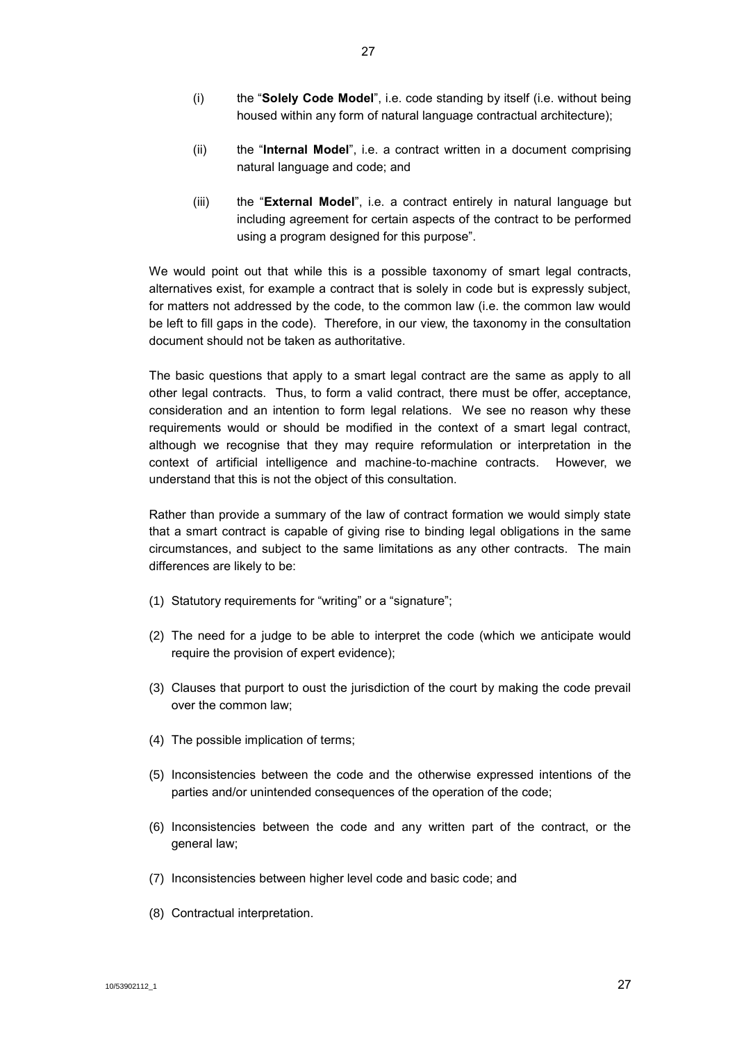- (i) the "**Solely Code Model**", i.e. code standing by itself (i.e. without being housed within any form of natural language contractual architecture);
- (ii) the "**Internal Model**", i.e. a contract written in a document comprising natural language and code; and
- (iii) the "**External Model**", i.e. a contract entirely in natural language but including agreement for certain aspects of the contract to be performed using a program designed for this purpose".

We would point out that while this is a possible taxonomy of smart legal contracts, alternatives exist, for example a contract that is solely in code but is expressly subject, for matters not addressed by the code, to the common law (i.e. the common law would be left to fill gaps in the code). Therefore, in our view, the taxonomy in the consultation document should not be taken as authoritative.

The basic questions that apply to a smart legal contract are the same as apply to all other legal contracts. Thus, to form a valid contract, there must be offer, acceptance, consideration and an intention to form legal relations. We see no reason why these requirements would or should be modified in the context of a smart legal contract, although we recognise that they may require reformulation or interpretation in the context of artificial intelligence and machine-to-machine contracts. However, we understand that this is not the object of this consultation.

Rather than provide a summary of the law of contract formation we would simply state that a smart contract is capable of giving rise to binding legal obligations in the same circumstances, and subject to the same limitations as any other contracts. The main differences are likely to be:

- (1) Statutory requirements for "writing" or a "signature";
- (2) The need for a judge to be able to interpret the code (which we anticipate would require the provision of expert evidence);
- (3) Clauses that purport to oust the jurisdiction of the court by making the code prevail over the common law;
- (4) The possible implication of terms;
- (5) Inconsistencies between the code and the otherwise expressed intentions of the parties and/or unintended consequences of the operation of the code;
- (6) Inconsistencies between the code and any written part of the contract, or the general law;
- (7) Inconsistencies between higher level code and basic code; and
- (8) Contractual interpretation.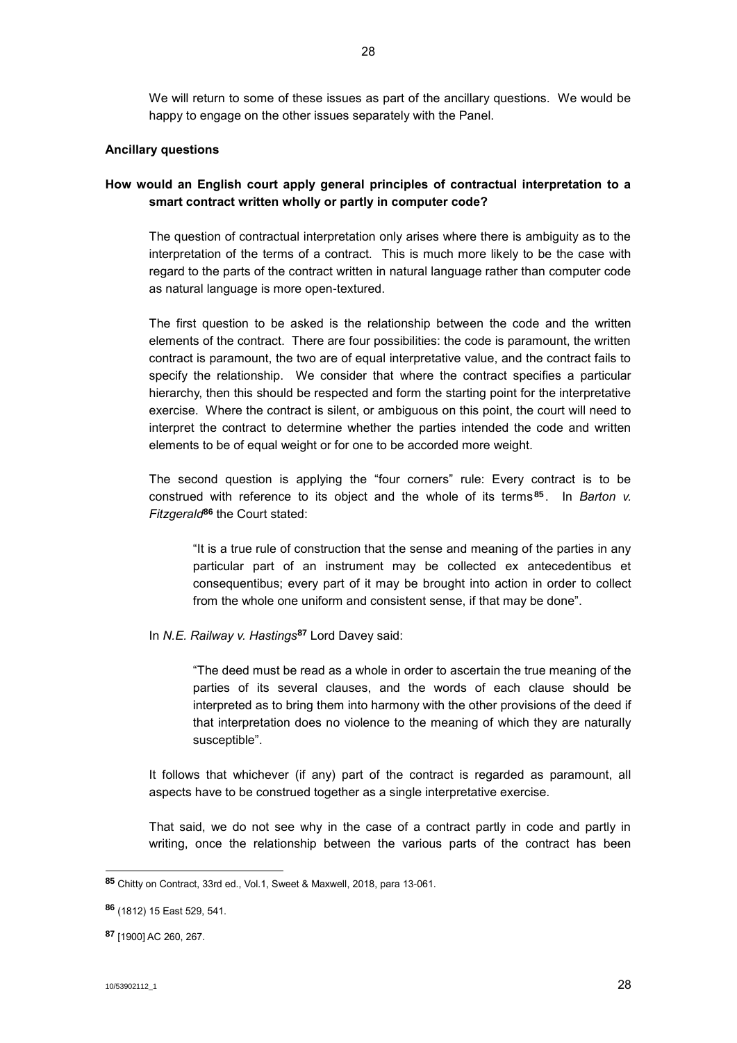We will return to some of these issues as part of the ancillary questions. We would be happy to engage on the other issues separately with the Panel.

#### **Ancillary questions**

# **How would an English court apply general principles of contractual interpretation to a smart contract written wholly or partly in computer code?**

The question of contractual interpretation only arises where there is ambiguity as to the interpretation of the terms of a contract. This is much more likely to be the case with regard to the parts of the contract written in natural language rather than computer code as natural language is more open-textured.

The first question to be asked is the relationship between the code and the written elements of the contract. There are four possibilities: the code is paramount, the written contract is paramount, the two are of equal interpretative value, and the contract fails to specify the relationship. We consider that where the contract specifies a particular hierarchy, then this should be respected and form the starting point for the interpretative exercise. Where the contract is silent, or ambiguous on this point, the court will need to interpret the contract to determine whether the parties intended the code and written elements to be of equal weight or for one to be accorded more weight.

The second question is applying the "four corners" rule: Every contract is to be construed with reference to its object and the whole of its terms **<sup>85</sup>** . In *Barton v. Fitzgerald***<sup>86</sup>** the Court stated:

"It is a true rule of construction that the sense and meaning of the parties in any particular part of an instrument may be collected ex antecedentibus et consequentibus; every part of it may be brought into action in order to collect from the whole one uniform and consistent sense, if that may be done".

#### In *N.E. Railway v. Hastings***<sup>87</sup>** Lord Davey said:

"The deed must be read as a whole in order to ascertain the true meaning of the parties of its several clauses, and the words of each clause should be interpreted as to bring them into harmony with the other provisions of the deed if that interpretation does no violence to the meaning of which they are naturally susceptible".

It follows that whichever (if any) part of the contract is regarded as paramount, all aspects have to be construed together as a single interpretative exercise.

That said, we do not see why in the case of a contract partly in code and partly in writing, once the relationship between the various parts of the contract has been

**<sup>85</sup>** Chitty on Contract, 33rd ed., Vol.1, Sweet & Maxwell, 2018, para 13-061.

**<sup>86</sup>** (1812) 15 East 529, 541.

**<sup>87</sup>** [1900] AC 260, 267.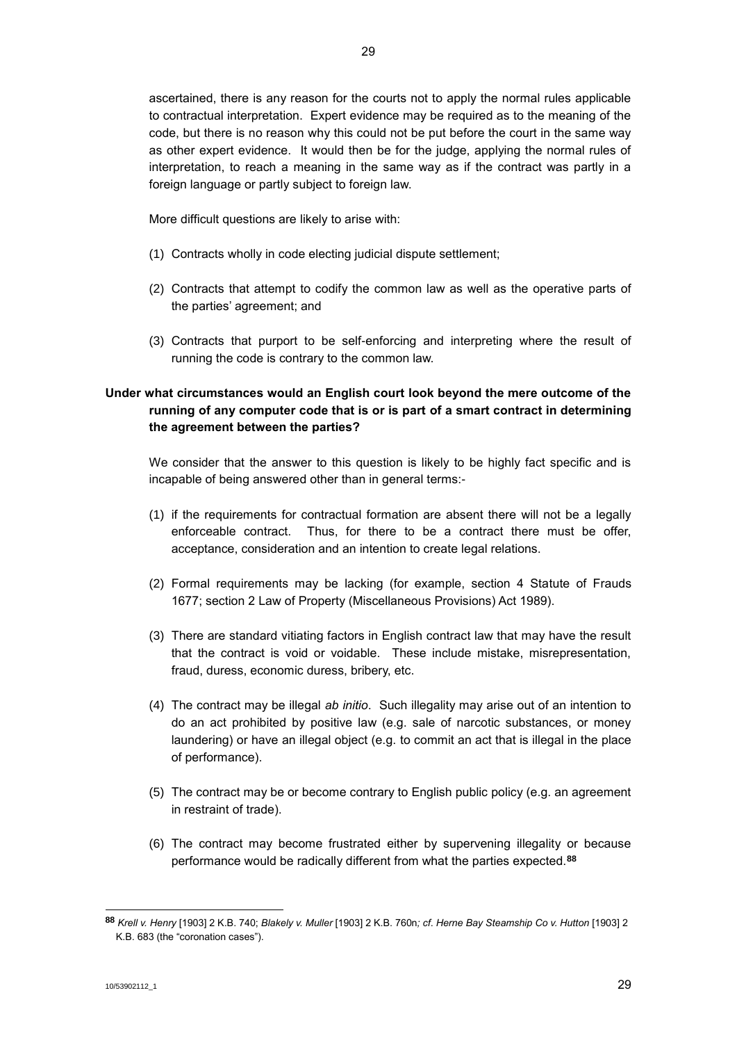ascertained, there is any reason for the courts not to apply the normal rules applicable to contractual interpretation. Expert evidence may be required as to the meaning of the code, but there is no reason why this could not be put before the court in the same way as other expert evidence. It would then be for the judge, applying the normal rules of interpretation, to reach a meaning in the same way as if the contract was partly in a foreign language or partly subject to foreign law.

More difficult questions are likely to arise with:

- (1) Contracts wholly in code electing judicial dispute settlement;
- (2) Contracts that attempt to codify the common law as well as the operative parts of the parties' agreement; and
- (3) Contracts that purport to be self-enforcing and interpreting where the result of running the code is contrary to the common law.

# **Under what circumstances would an English court look beyond the mere outcome of the running of any computer code that is or is part of a smart contract in determining the agreement between the parties?**

We consider that the answer to this question is likely to be highly fact specific and is incapable of being answered other than in general terms:-

- (1) if the requirements for contractual formation are absent there will not be a legally enforceable contract. Thus, for there to be a contract there must be offer, acceptance, consideration and an intention to create legal relations.
- (2) Formal requirements may be lacking (for example, section 4 Statute of Frauds 1677; section 2 Law of Property (Miscellaneous Provisions) Act 1989).
- (3) There are standard vitiating factors in English contract law that may have the result that the contract is void or voidable. These include mistake, misrepresentation, fraud, duress, economic duress, bribery, etc.
- (4) The contract may be illegal *ab initio*. Such illegality may arise out of an intention to do an act prohibited by positive law (e.g. sale of narcotic substances, or money laundering) or have an illegal object (e.g. to commit an act that is illegal in the place of performance).
- (5) The contract may be or become contrary to English public policy (e.g. an agreement in restraint of trade).
- (6) The contract may become frustrated either by supervening illegality or because performance would be radically different from what the parties expected.**<sup>88</sup>**

**<sup>88</sup>** *Krell v. Henry* [1903] 2 K.B. 740; *Blakely v. Muller* [1903] 2 K.B. 760n*; cf*. *Herne Bay Steamship Co v. Hutton* [1903] 2 K.B. 683 (the "coronation cases").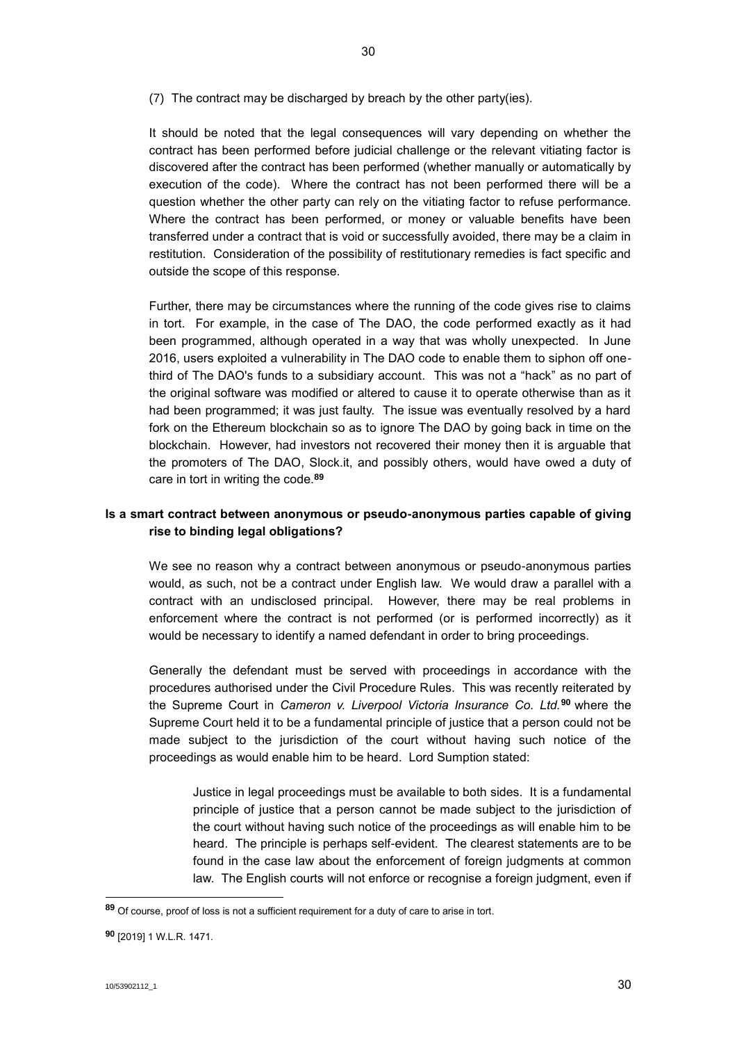(7) The contract may be discharged by breach by the other party(ies).

It should be noted that the legal consequences will vary depending on whether the contract has been performed before judicial challenge or the relevant vitiating factor is discovered after the contract has been performed (whether manually or automatically by execution of the code). Where the contract has not been performed there will be a question whether the other party can rely on the vitiating factor to refuse performance. Where the contract has been performed, or money or valuable benefits have been transferred under a contract that is void or successfully avoided, there may be a claim in restitution. Consideration of the possibility of restitutionary remedies is fact specific and outside the scope of this response.

Further, there may be circumstances where the running of the code gives rise to claims in tort. For example, in the case of The DAO, the code performed exactly as it had been programmed, although operated in a way that was wholly unexpected. In June 2016, users exploited a vulnerability in The DAO code to enable them to siphon off onethird of The DAO's funds to a subsidiary account. This was not a "hack" as no part of the original software was modified or altered to cause it to operate otherwise than as it had been programmed; it was just faulty. The issue was eventually resolved by a hard fork on the Ethereum blockchain so as to ignore The DAO by going back in time on the blockchain. However, had investors not recovered their money then it is arguable that the promoters of The DAO, Slock.it, and possibly others, would have owed a duty of care in tort in writing the code.**<sup>89</sup>**

# **Is a smart contract between anonymous or pseudo-anonymous parties capable of giving rise to binding legal obligations?**

We see no reason why a contract between anonymous or pseudo-anonymous parties would, as such, not be a contract under English law. We would draw a parallel with a contract with an undisclosed principal. However, there may be real problems in enforcement where the contract is not performed (or is performed incorrectly) as it would be necessary to identify a named defendant in order to bring proceedings.

Generally the defendant must be served with proceedings in accordance with the procedures authorised under the Civil Procedure Rules. This was recently reiterated by the Supreme Court in *Cameron v. Liverpool Victoria Insurance Co. Ltd.***<sup>90</sup>** where the Supreme Court held it to be a fundamental principle of justice that a person could not be made subject to the jurisdiction of the court without having such notice of the proceedings as would enable him to be heard. Lord Sumption stated:

Justice in legal proceedings must be available to both sides. It is a fundamental principle of justice that a person cannot be made subject to the jurisdiction of the court without having such notice of the proceedings as will enable him to be heard. The principle is perhaps self-evident. The clearest statements are to be found in the case law about the enforcement of foreign judgments at common law. The English courts will not enforce or recognise a foreign judgment, even if

**<sup>89</sup>** Of course, proof of loss is not a sufficient requirement for a duty of care to arise in tort.

**<sup>90</sup>** [2019] 1 W.L.R. 1471.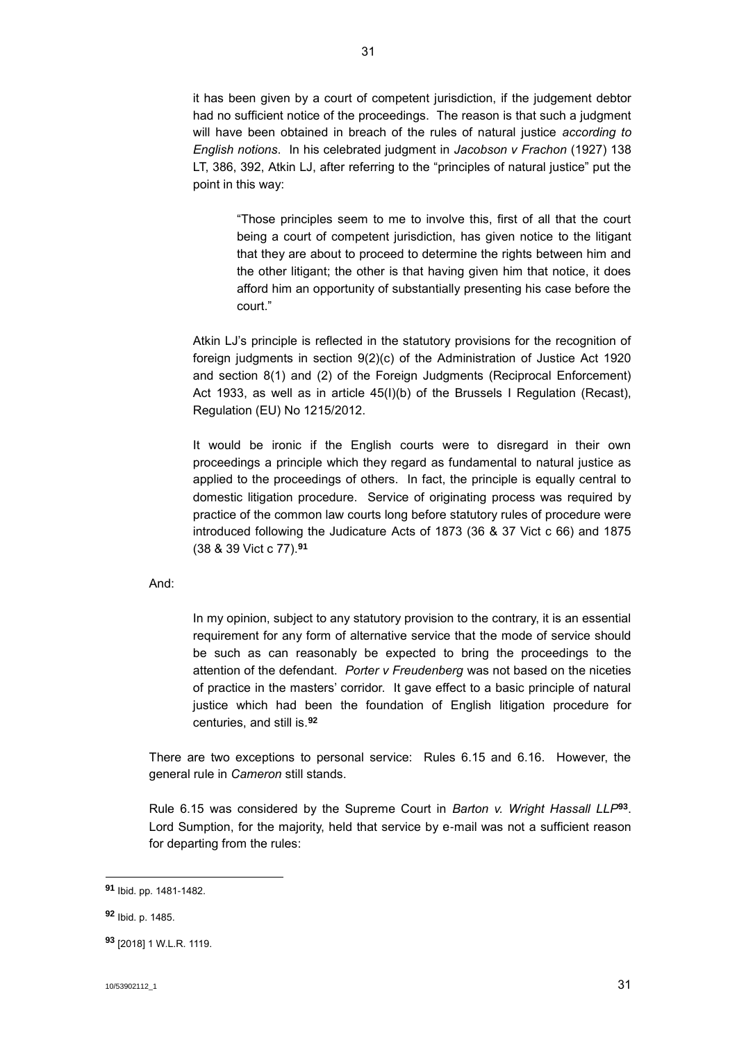it has been given by a court of competent jurisdiction, if the judgement debtor had no sufficient notice of the proceedings. The reason is that such a judgment will have been obtained in breach of the rules of natural justice *according to English notions*. In his celebrated judgment in *Jacobson v Frachon* (1927) 138 LT, 386, 392, Atkin LJ, after referring to the "principles of natural justice" put the point in this way:

"Those principles seem to me to involve this, first of all that the court being a court of competent jurisdiction, has given notice to the litigant that they are about to proceed to determine the rights between him and the other litigant; the other is that having given him that notice, it does afford him an opportunity of substantially presenting his case before the court."

Atkin LJ's principle is reflected in the statutory provisions for the recognition of foreign judgments in section 9(2)(c) of the Administration of Justice Act 1920 and section 8(1) and (2) of the Foreign Judgments (Reciprocal Enforcement) Act 1933, as well as in article 45(I)(b) of the Brussels I Regulation (Recast), Regulation (EU) No 1215/2012.

It would be ironic if the English courts were to disregard in their own proceedings a principle which they regard as fundamental to natural justice as applied to the proceedings of others. In fact, the principle is equally central to domestic litigation procedure. Service of originating process was required by practice of the common law courts long before statutory rules of procedure were introduced following the Judicature Acts of 1873 (36 & 37 Vict c 66) and 1875 (38 & 39 Vict c 77).**<sup>91</sup>**

And:

In my opinion, subject to any statutory provision to the contrary, it is an essential requirement for any form of alternative service that the mode of service should be such as can reasonably be expected to bring the proceedings to the attention of the defendant. *Porter v Freudenberg* was not based on the niceties of practice in the masters' corridor. It gave effect to a basic principle of natural justice which had been the foundation of English litigation procedure for centuries, and still is.**<sup>92</sup>**

There are two exceptions to personal service: Rules 6.15 and 6.16. However, the general rule in *Cameron* still stands.

Rule 6.15 was considered by the Supreme Court in *Barton v. Wright Hassall LLP***<sup>93</sup>** . Lord Sumption, for the majority, held that service by e-mail was not a sufficient reason for departing from the rules:

**<sup>91</sup>** Ibid. pp. 1481-1482.

**<sup>92</sup>** Ibid. p. 1485.

**<sup>93</sup>** [2018] 1 W.L.R. 1119.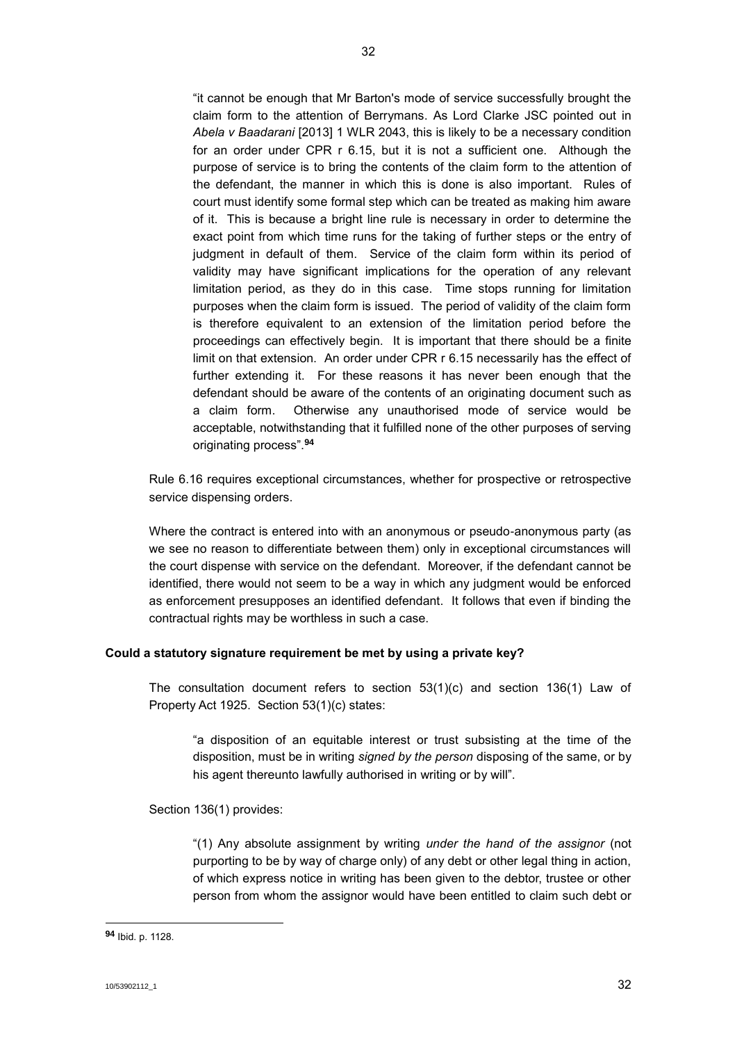"it cannot be enough that Mr Barton's mode of service successfully brought the claim form to the attention of Berrymans. As Lord Clarke JSC pointed out in *Abela v Baadarani* [2013] 1 WLR 2043, this is likely to be a necessary condition for an order under CPR r 6.15, but it is not a sufficient one. Although the purpose of service is to bring the contents of the claim form to the attention of the defendant, the manner in which this is done is also important. Rules of court must identify some formal step which can be treated as making him aware of it. This is because a bright line rule is necessary in order to determine the exact point from which time runs for the taking of further steps or the entry of judgment in default of them. Service of the claim form within its period of validity may have significant implications for the operation of any relevant limitation period, as they do in this case. Time stops running for limitation purposes when the claim form is issued. The period of validity of the claim form is therefore equivalent to an extension of the limitation period before the proceedings can effectively begin. It is important that there should be a finite limit on that extension. An order under CPR r 6.15 necessarily has the effect of further extending it. For these reasons it has never been enough that the defendant should be aware of the contents of an originating document such as a claim form. Otherwise any unauthorised mode of service would be acceptable, notwithstanding that it fulfilled none of the other purposes of serving originating process".**<sup>94</sup>**

Rule 6.16 requires exceptional circumstances, whether for prospective or retrospective service dispensing orders.

Where the contract is entered into with an anonymous or pseudo-anonymous party (as we see no reason to differentiate between them) only in exceptional circumstances will the court dispense with service on the defendant. Moreover, if the defendant cannot be identified, there would not seem to be a way in which any judgment would be enforced as enforcement presupposes an identified defendant. It follows that even if binding the contractual rights may be worthless in such a case.

# **Could a statutory signature requirement be met by using a private key?**

The consultation document refers to section 53(1)(c) and section 136(1) Law of Property Act 1925. Section 53(1)(c) states:

"a disposition of an equitable interest or trust subsisting at the time of the disposition, must be in writing *signed by the person* disposing of the same, or by his agent thereunto lawfully authorised in writing or by will".

Section 136(1) provides:

"(1) Any absolute assignment by writing *under the hand of the assignor* (not purporting to be by way of charge only) of any debt or other legal thing in action, of which express notice in writing has been given to the debtor, trustee or other person from whom the assignor would have been entitled to claim such debt or

**<sup>94</sup>** Ibid. p. 1128.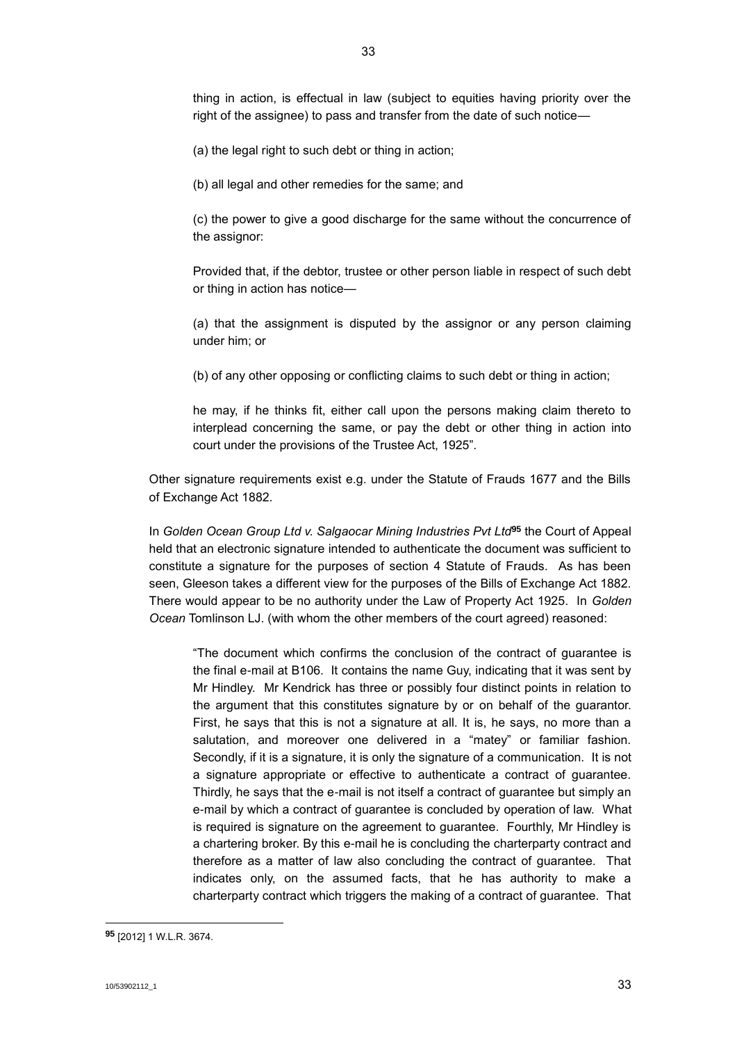thing in action, is effectual in law (subject to equities having priority over the right of the assignee) to pass and transfer from the date of such notice—

(a) the legal right to such debt or thing in action;

(b) all legal and other remedies for the same; and

(c) the power to give a good discharge for the same without the concurrence of the assignor:

Provided that, if the debtor, trustee or other person liable in respect of such debt or thing in action has notice—

(a) that the assignment is disputed by the assignor or any person claiming under him; or

(b) of any other opposing or conflicting claims to such debt or thing in action;

he may, if he thinks fit, either call upon the persons making claim thereto to interplead concerning the same, or pay the debt or other thing in action into court under the provisions of the Trustee Act, 1925".

Other signature requirements exist e.g. under the Statute of Frauds 1677 and the Bills of Exchange Act 1882.

In *Golden Ocean Group Ltd v. Salgaocar Mining Industries Pvt Ltd***<sup>95</sup>** the Court of Appeal held that an electronic signature intended to authenticate the document was sufficient to constitute a signature for the purposes of section 4 Statute of Frauds. As has been seen, Gleeson takes a different view for the purposes of the Bills of Exchange Act 1882. There would appear to be no authority under the Law of Property Act 1925. In *Golden Ocean* Tomlinson LJ. (with whom the other members of the court agreed) reasoned:

"The document which confirms the conclusion of the contract of guarantee is the final e-mail at B106. It contains the name Guy, indicating that it was sent by Mr Hindley. Mr Kendrick has three or possibly four distinct points in relation to the argument that this constitutes signature by or on behalf of the guarantor. First, he says that this is not a signature at all. It is, he says, no more than a salutation, and moreover one delivered in a "matey" or familiar fashion. Secondly, if it is a signature, it is only the signature of a communication. It is not a signature appropriate or effective to authenticate a contract of guarantee. Thirdly, he says that the e-mail is not itself a contract of guarantee but simply an e-mail by which a contract of guarantee is concluded by operation of law. What is required is signature on the agreement to guarantee. Fourthly, Mr Hindley is a chartering broker. By this e-mail he is concluding the charterparty contract and therefore as a matter of law also concluding the contract of guarantee. That indicates only, on the assumed facts, that he has authority to make a charterparty contract which triggers the making of a contract of guarantee. That

**<sup>95</sup>** [2012] 1 W.L.R. 3674.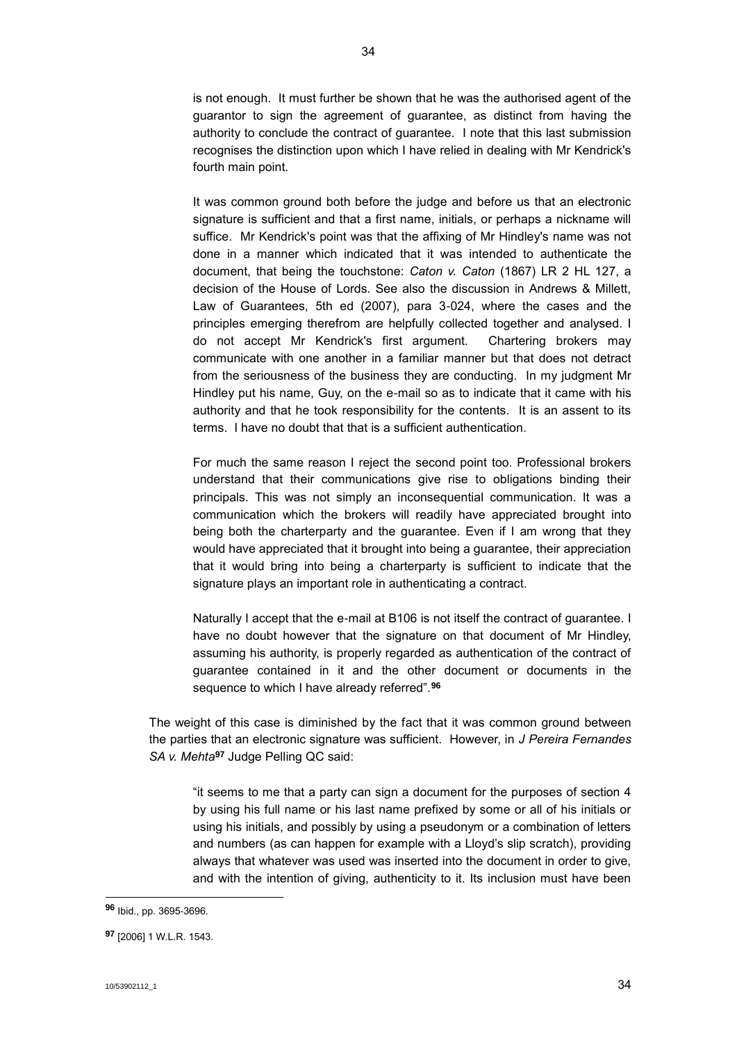is not enough. It must further be shown that he was the authorised agent of the guarantor to sign the agreement of guarantee, as distinct from having the authority to conclude the contract of guarantee. I note that this last submission recognises the distinction upon which I have relied in dealing with Mr Kendrick's fourth main point.

It was common ground both before the judge and before us that an electronic signature is sufficient and that a first name, initials, or perhaps a nickname will suffice. Mr Kendrick's point was that the affixing of Mr Hindley's name was not done in a manner which indicated that it was intended to authenticate the document, that being the touchstone: *Caton v. Caton* (1867) LR 2 HL 127, a decision of the House of Lords. See also the discussion in Andrews & Millett, Law of Guarantees, 5th ed (2007), para 3-024, where the cases and the principles emerging therefrom are helpfully collected together and analysed. I do not accept Mr Kendrick's first argument. Chartering brokers may communicate with one another in a familiar manner but that does not detract from the seriousness of the business they are conducting. In my judgment Mr Hindley put his name, Guy, on the e-mail so as to indicate that it came with his authority and that he took responsibility for the contents. It is an assent to its terms. I have no doubt that that is a sufficient authentication.

For much the same reason I reject the second point too. Professional brokers understand that their communications give rise to obligations binding their principals. This was not simply an inconsequential communication. It was a communication which the brokers will readily have appreciated brought into being both the charterparty and the guarantee. Even if I am wrong that they would have appreciated that it brought into being a guarantee, their appreciation that it would bring into being a charterparty is sufficient to indicate that the signature plays an important role in authenticating a contract.

Naturally I accept that the e-mail at B106 is not itself the contract of guarantee. I have no doubt however that the signature on that document of Mr Hindley, assuming his authority, is properly regarded as authentication of the contract of guarantee contained in it and the other document or documents in the sequence to which I have already referred".**<sup>96</sup>**

The weight of this case is diminished by the fact that it was common ground between the parties that an electronic signature was sufficient. However, in *J Pereira Fernandes SA v. Mehta***<sup>97</sup>** Judge Pelling QC said:

"it seems to me that a party can sign a document for the purposes of section 4 by using his full name or his last name prefixed by some or all of his initials or using his initials, and possibly by using a pseudonym or a combination of letters and numbers (as can happen for example with a Lloyd's slip scratch), providing always that whatever was used was inserted into the document in order to give, and with the intention of giving, authenticity to it. Its inclusion must have been

**<sup>96</sup>** Ibid., pp. 3695-3696.

**<sup>97</sup>** [2006] 1 W.L.R. 1543.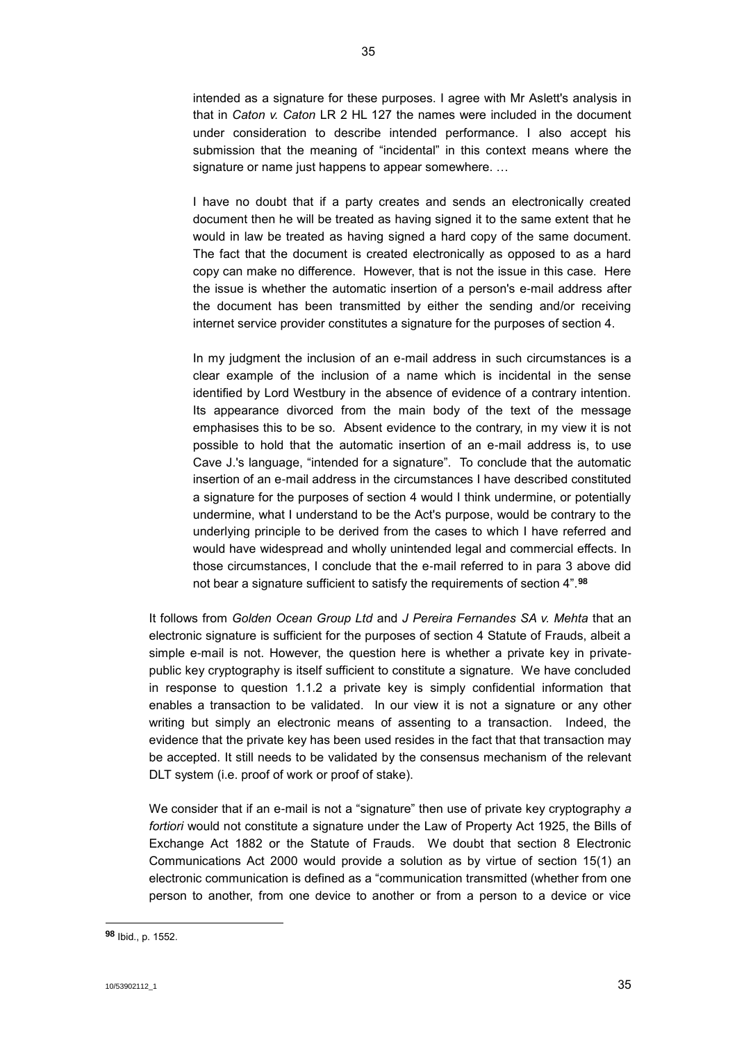35

intended as a signature for these purposes. I agree with Mr Aslett's analysis in that in *Caton v. Caton* LR 2 HL 127 the names were included in the document under consideration to describe intended performance. I also accept his submission that the meaning of "incidental" in this context means where the signature or name just happens to appear somewhere. …

I have no doubt that if a party creates and sends an electronically created document then he will be treated as having signed it to the same extent that he would in law be treated as having signed a hard copy of the same document. The fact that the document is created electronically as opposed to as a hard copy can make no difference. However, that is not the issue in this case. Here the issue is whether the automatic insertion of a person's e-mail address after the document has been transmitted by either the sending and/or receiving internet service provider constitutes a signature for the purposes of section 4.

In my judgment the inclusion of an e-mail address in such circumstances is a clear example of the inclusion of a name which is incidental in the sense identified by Lord Westbury in the absence of evidence of a contrary intention. Its appearance divorced from the main body of the text of the message emphasises this to be so. Absent evidence to the contrary, in my view it is not possible to hold that the automatic insertion of an e-mail address is, to use Cave J.'s language, "intended for a signature". To conclude that the automatic insertion of an e-mail address in the circumstances I have described constituted a signature for the purposes of section 4 would I think undermine, or potentially undermine, what I understand to be the Act's purpose, would be contrary to the underlying principle to be derived from the cases to which I have referred and would have widespread and wholly unintended legal and commercial effects. In those circumstances, I conclude that the e-mail referred to in para 3 above did not bear a signature sufficient to satisfy the requirements of section 4".**<sup>98</sup>**

It follows from *Golden Ocean Group Ltd* and *J Pereira Fernandes SA v. Mehta* that an electronic signature is sufficient for the purposes of section 4 Statute of Frauds, albeit a simple e-mail is not. However, the question here is whether a private key in privatepublic key cryptography is itself sufficient to constitute a signature. We have concluded in response to question 1.1.2 a private key is simply confidential information that enables a transaction to be validated. In our view it is not a signature or any other writing but simply an electronic means of assenting to a transaction. Indeed, the evidence that the private key has been used resides in the fact that that transaction may be accepted. It still needs to be validated by the consensus mechanism of the relevant DLT system (i.e. proof of work or proof of stake).

We consider that if an e-mail is not a "signature" then use of private key cryptography *a fortiori* would not constitute a signature under the Law of Property Act 1925, the Bills of Exchange Act 1882 or the Statute of Frauds. We doubt that section 8 Electronic Communications Act 2000 would provide a solution as by virtue of section 15(1) an electronic communication is defined as a "communication transmitted (whether from one person to another, from one device to another or from a person to a device or vice

**<sup>98</sup>** Ibid., p. 1552.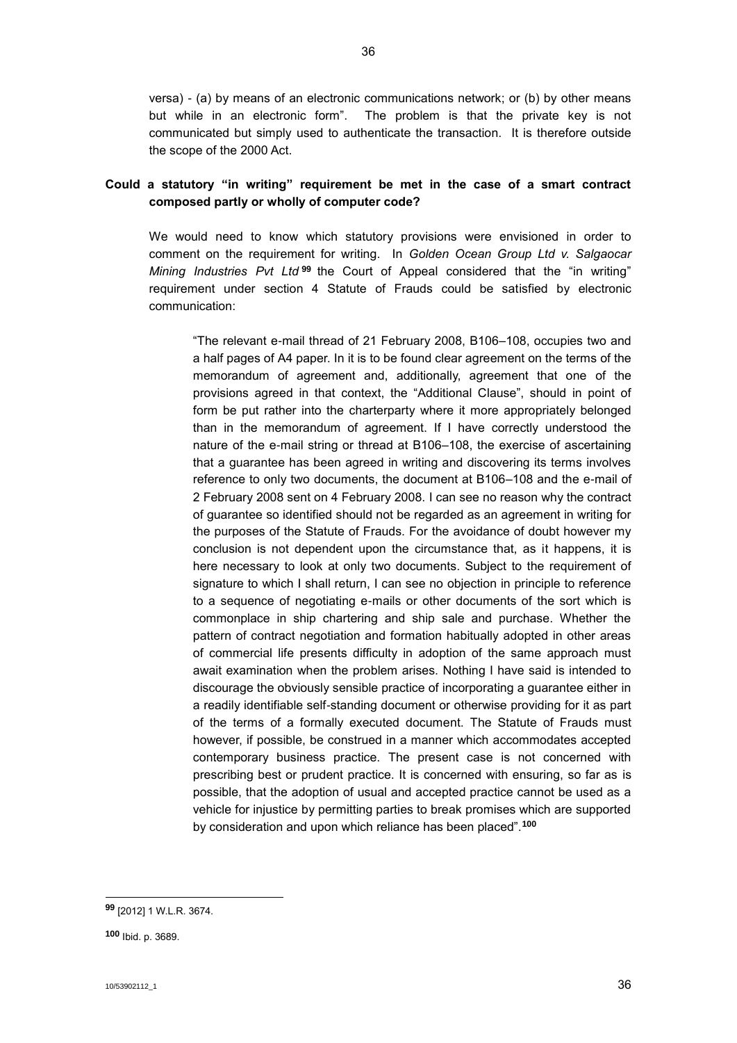versa) - (a) by means of an electronic communications network; or (b) by other means but while in an electronic form". The problem is that the private key is not communicated but simply used to authenticate the transaction. It is therefore outside the scope of the 2000 Act.

# **Could a statutory "in writing" requirement be met in the case of a smart contract composed partly or wholly of computer code?**

We would need to know which statutory provisions were envisioned in order to comment on the requirement for writing. In *Golden Ocean Group Ltd v. Salgaocar Mining Industries Pvt Ltd* **<sup>99</sup>** the Court of Appeal considered that the "in writing" requirement under section 4 Statute of Frauds could be satisfied by electronic communication:

"The relevant e-mail thread of 21 February 2008, B106–108, occupies two and a half pages of A4 paper. In it is to be found clear agreement on the terms of the memorandum of agreement and, additionally, agreement that one of the provisions agreed in that context, the "Additional Clause", should in point of form be put rather into the charterparty where it more appropriately belonged than in the memorandum of agreement. If I have correctly understood the nature of the e-mail string or thread at B106–108, the exercise of ascertaining that a guarantee has been agreed in writing and discovering its terms involves reference to only two documents, the document at B106–108 and the e-mail of 2 February 2008 sent on 4 February 2008. I can see no reason why the contract of guarantee so identified should not be regarded as an agreement in writing for the purposes of the Statute of Frauds. For the avoidance of doubt however my conclusion is not dependent upon the circumstance that, as it happens, it is here necessary to look at only two documents. Subject to the requirement of signature to which I shall return, I can see no objection in principle to reference to a sequence of negotiating e-mails or other documents of the sort which is commonplace in ship chartering and ship sale and purchase. Whether the pattern of contract negotiation and formation habitually adopted in other areas of commercial life presents difficulty in adoption of the same approach must await examination when the problem arises. Nothing I have said is intended to discourage the obviously sensible practice of incorporating a guarantee either in a readily identifiable self-standing document or otherwise providing for it as part of the terms of a formally executed document. The Statute of Frauds must however, if possible, be construed in a manner which accommodates accepted contemporary business practice. The present case is not concerned with prescribing best or prudent practice. It is concerned with ensuring, so far as is possible, that the adoption of usual and accepted practice cannot be used as a vehicle for injustice by permitting parties to break promises which are supported by consideration and upon which reliance has been placed".**<sup>100</sup>**

**<sup>99</sup>** [2012] 1 W.L.R. 3674.

**<sup>100</sup>** Ibid. p. 3689.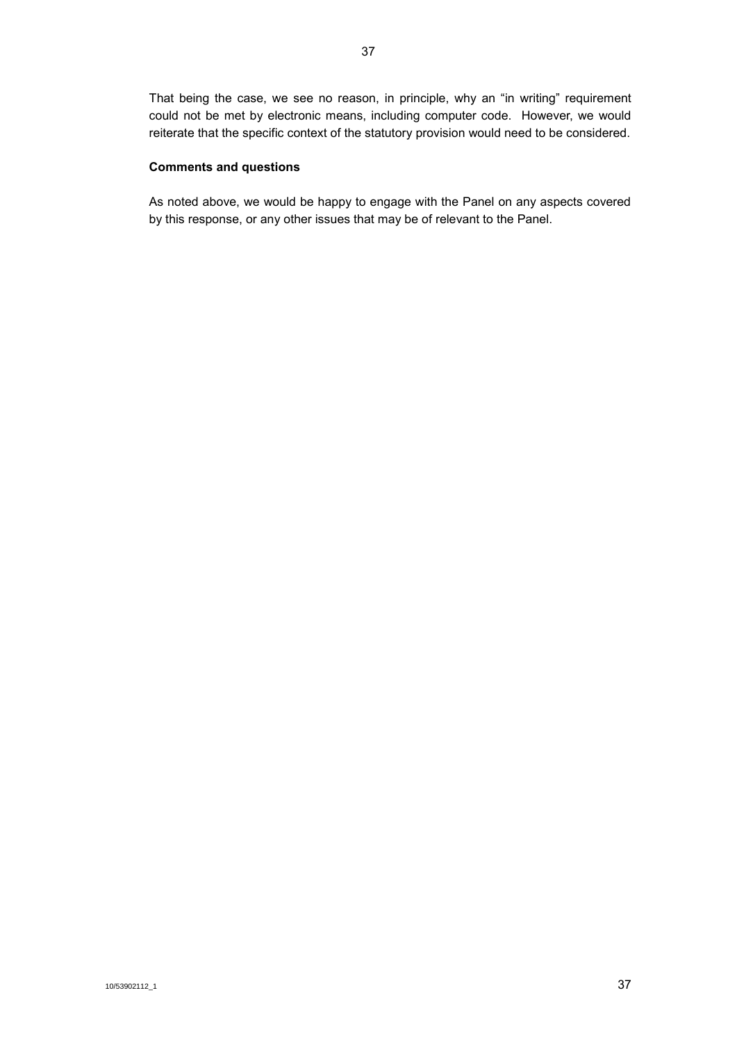That being the case, we see no reason, in principle, why an "in writing" requirement could not be met by electronic means, including computer code. However, we would reiterate that the specific context of the statutory provision would need to be considered.

# **Comments and questions**

As noted above, we would be happy to engage with the Panel on any aspects covered by this response, or any other issues that may be of relevant to the Panel.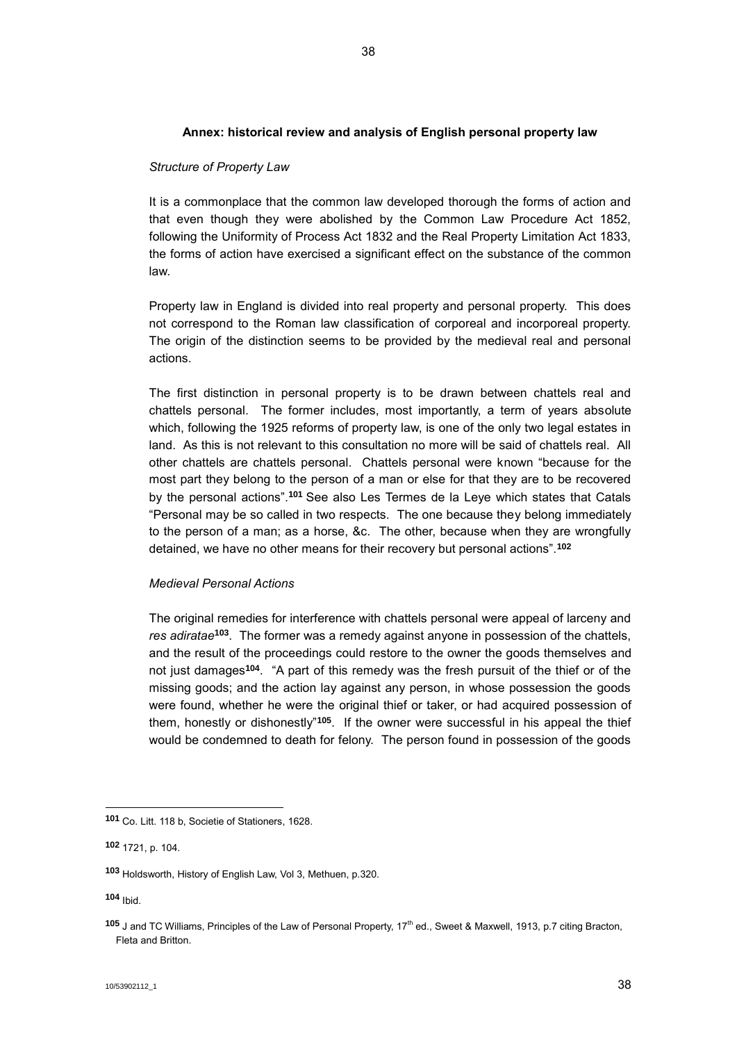#### **Annex: historical review and analysis of English personal property law**

# *Structure of Property Law*

It is a commonplace that the common law developed thorough the forms of action and that even though they were abolished by the Common Law Procedure Act 1852, following the Uniformity of Process Act 1832 and the Real Property Limitation Act 1833, the forms of action have exercised a significant effect on the substance of the common law.

Property law in England is divided into real property and personal property. This does not correspond to the Roman law classification of corporeal and incorporeal property. The origin of the distinction seems to be provided by the medieval real and personal actions.

The first distinction in personal property is to be drawn between chattels real and chattels personal. The former includes, most importantly, a term of years absolute which, following the 1925 reforms of property law, is one of the only two legal estates in land. As this is not relevant to this consultation no more will be said of chattels real. All other chattels are chattels personal. Chattels personal were known "because for the most part they belong to the person of a man or else for that they are to be recovered by the personal actions".**<sup>101</sup>** See also Les Termes de la Leye which states that Catals "Personal may be so called in two respects. The one because they belong immediately to the person of a man; as a horse, &c. The other, because when they are wrongfully detained, we have no other means for their recovery but personal actions".**<sup>102</sup>**

# *Medieval Personal Actions*

The original remedies for interference with chattels personal were appeal of larceny and *res adiratae***<sup>103</sup>**. The former was a remedy against anyone in possession of the chattels, and the result of the proceedings could restore to the owner the goods themselves and not just damages**<sup>104</sup>**. "A part of this remedy was the fresh pursuit of the thief or of the missing goods; and the action lay against any person, in whose possession the goods were found, whether he were the original thief or taker, or had acquired possession of them, honestly or dishonestly"**<sup>105</sup>**. If the owner were successful in his appeal the thief would be condemned to death for felony. The person found in possession of the goods

**<sup>101</sup>** Co. Litt. 118 b, Societie of Stationers, 1628.

**<sup>102</sup>** 1721, p. 104.

**<sup>103</sup>** Holdsworth, History of English Law, Vol 3, Methuen, p.320.

**<sup>104</sup>** Ibid.

**<sup>105</sup>** J and TC Williams, Principles of the Law of Personal Property, 17<sup>th</sup> ed., Sweet & Maxwell, 1913, p.7 citing Bracton, Fleta and Britton.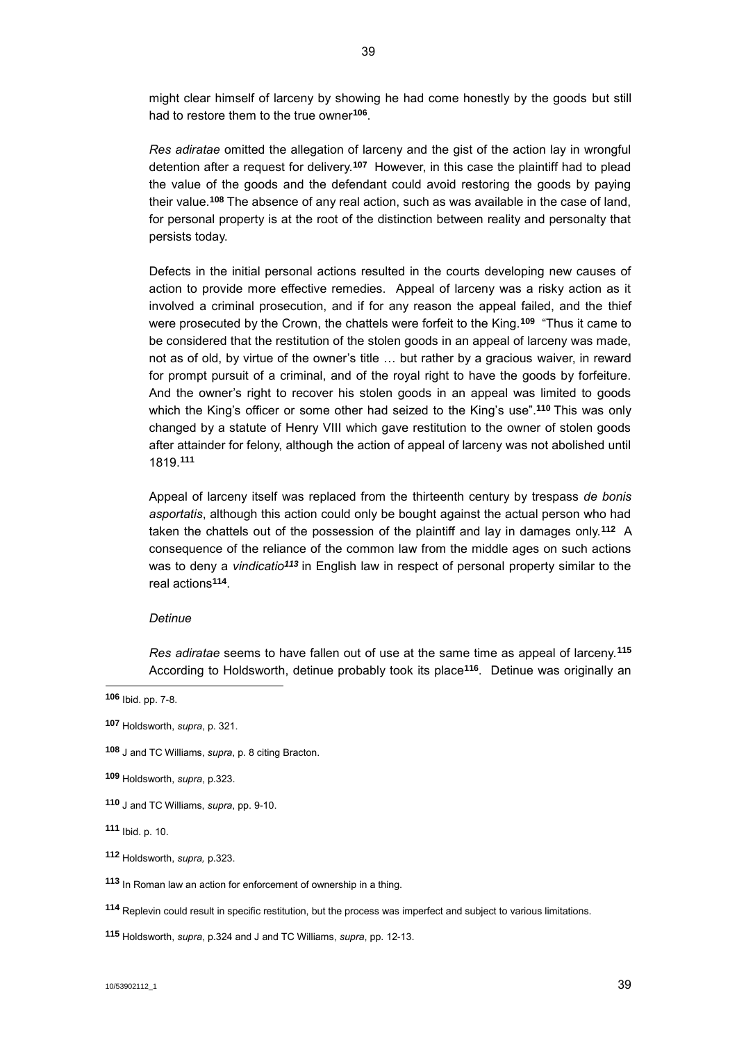might clear himself of larceny by showing he had come honestly by the goods but still had to restore them to the true owner**<sup>106</sup>** .

*Res adiratae* omitted the allegation of larceny and the gist of the action lay in wrongful detention after a request for delivery.**<sup>107</sup>** However, in this case the plaintiff had to plead the value of the goods and the defendant could avoid restoring the goods by paying their value.**<sup>108</sup>** The absence of any real action, such as was available in the case of land, for personal property is at the root of the distinction between reality and personalty that persists today.

Defects in the initial personal actions resulted in the courts developing new causes of action to provide more effective remedies. Appeal of larceny was a risky action as it involved a criminal prosecution, and if for any reason the appeal failed, and the thief were prosecuted by the Crown, the chattels were forfeit to the King.**<sup>109</sup>** "Thus it came to be considered that the restitution of the stolen goods in an appeal of larceny was made, not as of old, by virtue of the owner's title … but rather by a gracious waiver, in reward for prompt pursuit of a criminal, and of the royal right to have the goods by forfeiture. And the owner's right to recover his stolen goods in an appeal was limited to goods which the King's officer or some other had seized to the King's use".**<sup>110</sup>** This was only changed by a statute of Henry VIII which gave restitution to the owner of stolen goods after attainder for felony, although the action of appeal of larceny was not abolished until 1819.**<sup>111</sup>**

Appeal of larceny itself was replaced from the thirteenth century by trespass *de bonis asportatis*, although this action could only be bought against the actual person who had taken the chattels out of the possession of the plaintiff and lay in damages only.**<sup>112</sup>** A consequence of the reliance of the common law from the middle ages on such actions was to deny a *vindicatio<sup>113</sup>* in English law in respect of personal property similar to the real actions**<sup>114</sup>** .

# *Detinue*

*Res adiratae* seems to have fallen out of use at the same time as appeal of larceny.**<sup>115</sup>** According to Holdsworth, detinue probably took its place**<sup>116</sup>**. Detinue was originally an

-

**<sup>114</sup>** Replevin could result in specific restitution, but the process was imperfect and subject to various limitations.

**<sup>115</sup>** Holdsworth, *supra*, p.324 and J and TC Williams, *supra*, pp. 12-13.

**<sup>106</sup>** Ibid. pp. 7-8.

**<sup>107</sup>** Holdsworth, *supra*, p. 321.

**<sup>108</sup>** J and TC Williams, *supra*, p. 8 citing Bracton.

**<sup>109</sup>** Holdsworth, *supra*, p.323.

**<sup>110</sup>** J and TC Williams, *supra*, pp. 9-10.

**<sup>111</sup>** Ibid. p. 10.

**<sup>112</sup>** Holdsworth, *supra,* p.323.

**<sup>113</sup>** In Roman law an action for enforcement of ownership in a thing.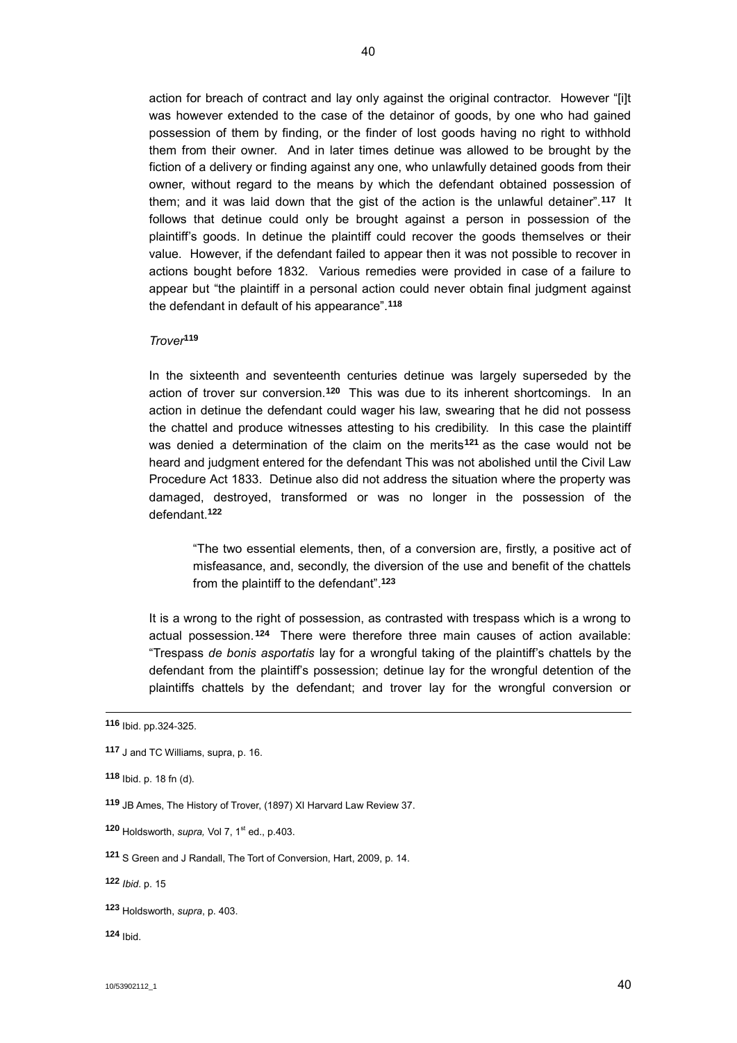action for breach of contract and lay only against the original contractor. However "[i]t was however extended to the case of the detainor of goods, by one who had gained possession of them by finding, or the finder of lost goods having no right to withhold them from their owner. And in later times detinue was allowed to be brought by the fiction of a delivery or finding against any one, who unlawfully detained goods from their owner, without regard to the means by which the defendant obtained possession of them; and it was laid down that the gist of the action is the unlawful detainer".**<sup>117</sup>** It follows that detinue could only be brought against a person in possession of the plaintiff's goods. In detinue the plaintiff could recover the goods themselves or their value. However, if the defendant failed to appear then it was not possible to recover in actions bought before 1832. Various remedies were provided in case of a failure to appear but "the plaintiff in a personal action could never obtain final judgment against the defendant in default of his appearance".**<sup>118</sup>**

#### *Trover***<sup>119</sup>**

In the sixteenth and seventeenth centuries detinue was largely superseded by the action of trover sur conversion.**<sup>120</sup>** This was due to its inherent shortcomings. In an action in detinue the defendant could wager his law, swearing that he did not possess the chattel and produce witnesses attesting to his credibility. In this case the plaintiff was denied a determination of the claim on the merits**<sup>121</sup>** as the case would not be heard and judgment entered for the defendant This was not abolished until the Civil Law Procedure Act 1833. Detinue also did not address the situation where the property was damaged, destroyed, transformed or was no longer in the possession of the defendant.**<sup>122</sup>**

"The two essential elements, then, of a conversion are, firstly, a positive act of misfeasance, and, secondly, the diversion of the use and benefit of the chattels from the plaintiff to the defendant". **123**

It is a wrong to the right of possession, as contrasted with trespass which is a wrong to actual possession. **<sup>124</sup>** There were therefore three main causes of action available: "Trespass *de bonis asportatis* lay for a wrongful taking of the plaintiff's chattels by the defendant from the plaintiff's possession; detinue lay for the wrongful detention of the plaintiffs chattels by the defendant; and trover lay for the wrongful conversion or

-

120 Holdsworth, *supra*, Vol 7, 1<sup>st</sup> ed., p.403.

**<sup>121</sup>** S Green and J Randall, The Tort of Conversion, Hart, 2009, p. 14.

**<sup>122</sup>** *Ibid*. p. 15

**<sup>116</sup>** Ibid. pp.324-325.

**<sup>117</sup>** J and TC Williams, supra, p. 16.

**<sup>118</sup>** Ibid. p. 18 fn (d).

**<sup>119</sup>** JB Ames, The History of Trover, (1897) XI Harvard Law Review 37.

**<sup>123</sup>** Holdsworth, *supra*, p. 403.

**<sup>124</sup>** Ibid.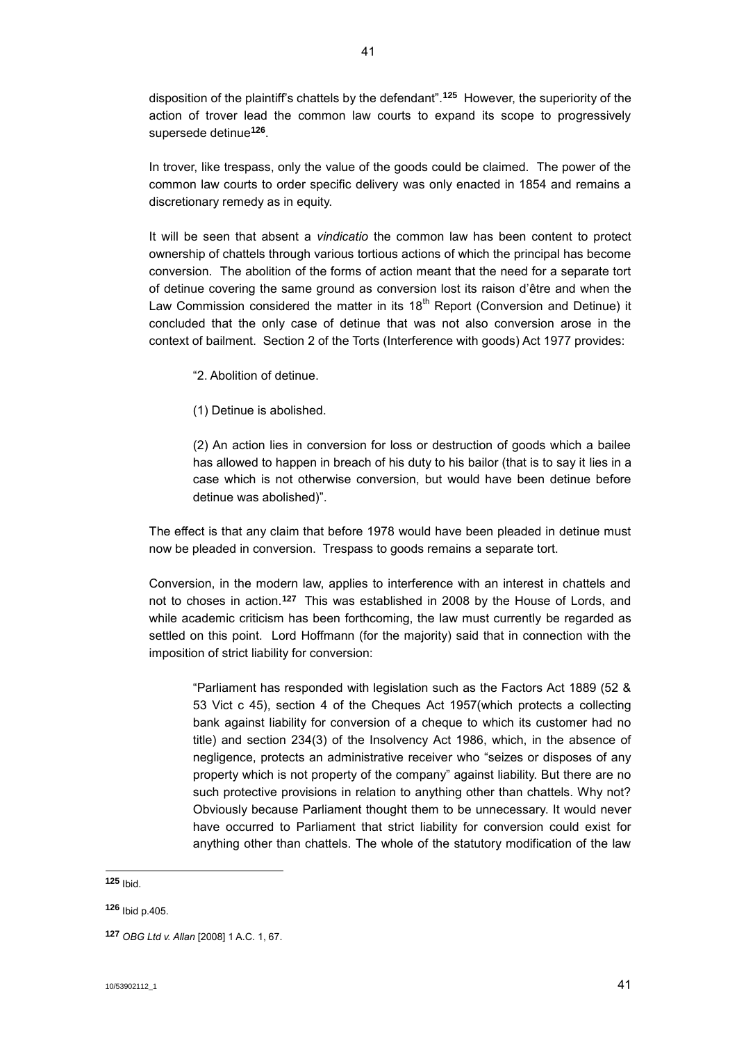disposition of the plaintiff's chattels by the defendant".**<sup>125</sup>** However, the superiority of the action of trover lead the common law courts to expand its scope to progressively supersede detinue**<sup>126</sup>** .

In trover, like trespass, only the value of the goods could be claimed. The power of the common law courts to order specific delivery was only enacted in 1854 and remains a discretionary remedy as in equity.

It will be seen that absent a *vindicatio* the common law has been content to protect ownership of chattels through various tortious actions of which the principal has become conversion. The abolition of the forms of action meant that the need for a separate tort of detinue covering the same ground as conversion lost its raison d'être and when the Law Commission considered the matter in its  $18<sup>th</sup>$  Report (Conversion and Detinue) it concluded that the only case of detinue that was not also conversion arose in the context of bailment. Section 2 of the Torts (Interference with goods) Act 1977 provides:

"2. Abolition of detinue.

(1) Detinue is abolished.

(2) An action lies in conversion for loss or destruction of goods which a bailee has allowed to happen in breach of his duty to his bailor (that is to say it lies in a case which is not otherwise conversion, but would have been detinue before detinue was abolished)".

The effect is that any claim that before 1978 would have been pleaded in detinue must now be pleaded in conversion. Trespass to goods remains a separate tort.

Conversion, in the modern law, applies to interference with an interest in chattels and not to choses in action.**<sup>127</sup>** This was established in 2008 by the House of Lords, and while academic criticism has been forthcoming, the law must currently be regarded as settled on this point. Lord Hoffmann (for the majority) said that in connection with the imposition of strict liability for conversion:

"Parliament has responded with legislation such as the Factors Act 1889 (52 & 53 Vict c 45), section 4 of the Cheques Act 1957(which protects a collecting bank against liability for conversion of a cheque to which its customer had no title) and section 234(3) of the Insolvency Act 1986, which, in the absence of negligence, protects an administrative receiver who "seizes or disposes of any property which is not property of the company" against liability. But there are no such protective provisions in relation to anything other than chattels. Why not? Obviously because Parliament thought them to be unnecessary. It would never have occurred to Parliament that strict liability for conversion could exist for anything other than chattels. The whole of the statutory modification of the law

**<sup>125</sup>** Ibid.

**<sup>126</sup>** Ibid p.405.

**<sup>127</sup>** *OBG Ltd v. Allan* [2008] 1 A.C. 1, 67.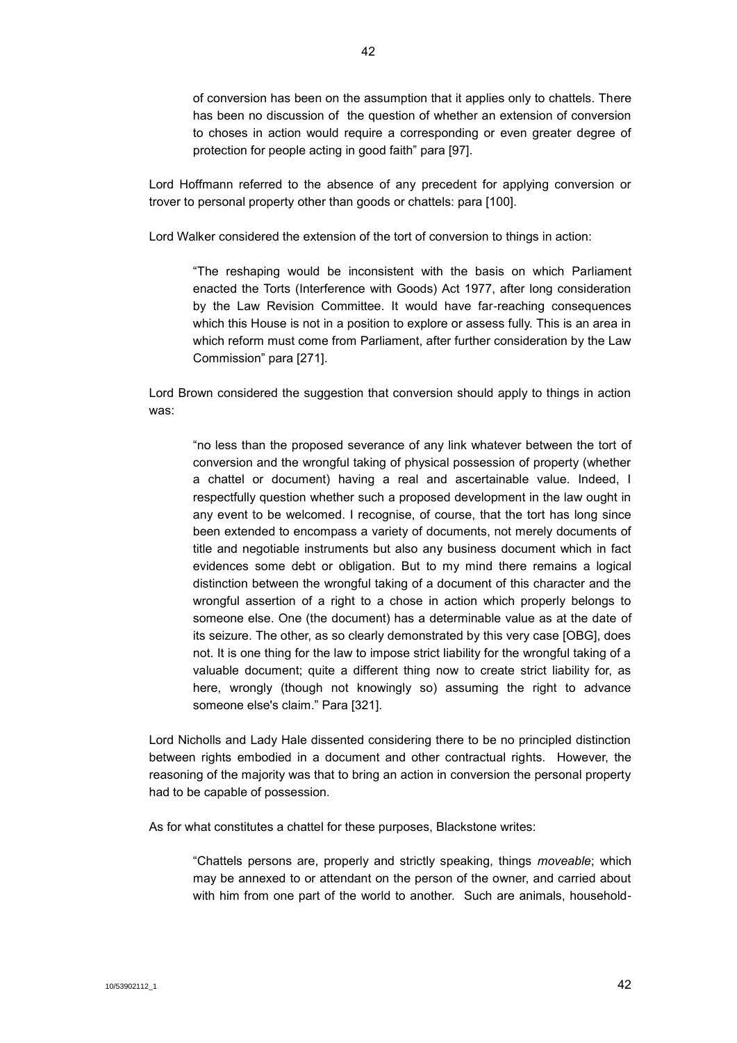of conversion has been on the assumption that it applies only to chattels. There has been no discussion of the question of whether an extension of conversion to choses in action would require a corresponding or even greater degree of protection for people acting in good faith" para [97].

Lord Hoffmann referred to the absence of any precedent for applying conversion or trover to personal property other than goods or chattels: para [100].

Lord Walker considered the extension of the tort of conversion to things in action:

"The reshaping would be inconsistent with the basis on which Parliament enacted the Torts (Interference with Goods) Act 1977, after long consideration by the Law Revision Committee. It would have far-reaching consequences which this House is not in a position to explore or assess fully. This is an area in which reform must come from Parliament, after further consideration by the Law Commission" para [271].

Lord Brown considered the suggestion that conversion should apply to things in action was:

"no less than the proposed severance of any link whatever between the tort of conversion and the wrongful taking of physical possession of property (whether a chattel or document) having a real and ascertainable value. Indeed, I respectfully question whether such a proposed development in the law ought in any event to be welcomed. I recognise, of course, that the tort has long since been extended to encompass a variety of documents, not merely documents of title and negotiable instruments but also any business document which in fact evidences some debt or obligation. But to my mind there remains a logical distinction between the wrongful taking of a document of this character and the wrongful assertion of a right to a chose in action which properly belongs to someone else. One (the document) has a determinable value as at the date of its seizure. The other, as so clearly demonstrated by this very case [OBG], does not. It is one thing for the law to impose strict liability for the wrongful taking of a valuable document; quite a different thing now to create strict liability for, as here, wrongly (though not knowingly so) assuming the right to advance someone else's claim." Para [321].

Lord Nicholls and Lady Hale dissented considering there to be no principled distinction between rights embodied in a document and other contractual rights. However, the reasoning of the majority was that to bring an action in conversion the personal property had to be capable of possession.

As for what constitutes a chattel for these purposes, Blackstone writes:

"Chattels persons are, properly and strictly speaking, things *moveable*; which may be annexed to or attendant on the person of the owner, and carried about with him from one part of the world to another. Such are animals, household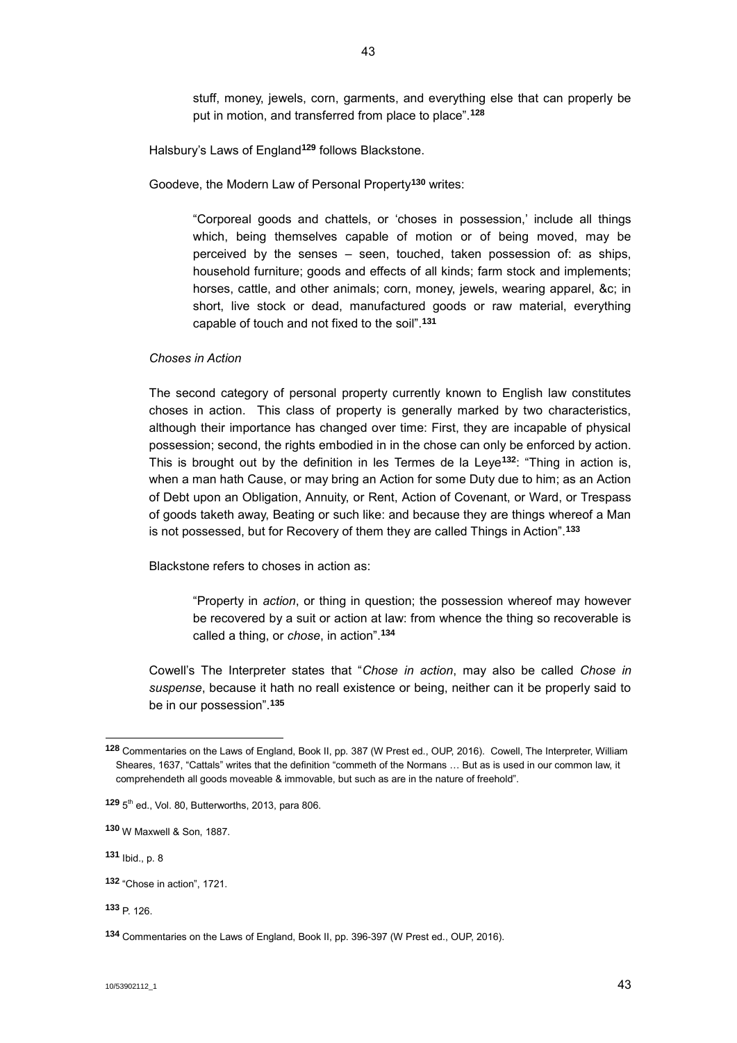stuff, money, jewels, corn, garments, and everything else that can properly be put in motion, and transferred from place to place".**<sup>128</sup>**

Halsbury's Laws of England**<sup>129</sup>** follows Blackstone.

Goodeve, the Modern Law of Personal Property**<sup>130</sup>** writes:

"Corporeal goods and chattels, or 'choses in possession,' include all things which, being themselves capable of motion or of being moved, may be perceived by the senses – seen, touched, taken possession of: as ships, household furniture; goods and effects of all kinds; farm stock and implements; horses, cattle, and other animals; corn, money, jewels, wearing apparel, &c; in short, live stock or dead, manufactured goods or raw material, everything capable of touch and not fixed to the soil".**<sup>131</sup>**

*Choses in Action*

The second category of personal property currently known to English law constitutes choses in action. This class of property is generally marked by two characteristics, although their importance has changed over time: First, they are incapable of physical possession; second, the rights embodied in in the chose can only be enforced by action. This is brought out by the definition in les Termes de la Leye**<sup>132</sup>**: "Thing in action is, when a man hath Cause, or may bring an Action for some Duty due to him; as an Action of Debt upon an Obligation, Annuity, or Rent, Action of Covenant, or Ward, or Trespass of goods taketh away, Beating or such like: and because they are things whereof a Man is not possessed, but for Recovery of them they are called Things in Action".**<sup>133</sup>**

Blackstone refers to choses in action as:

"Property in *action*, or thing in question; the possession whereof may however be recovered by a suit or action at law: from whence the thing so recoverable is called a thing, or *chose*, in action".**<sup>134</sup>**

Cowell's The Interpreter states that "*Chose in action*, may also be called *Chose in suspense*, because it hath no reall existence or being, neither can it be properly said to be in our possession".**<sup>135</sup>**

**<sup>128</sup>** Commentaries on the Laws of England, Book II, pp. 387 (W Prest ed., OUP, 2016). Cowell, The Interpreter, William Sheares, 1637, "Cattals" writes that the definition "commeth of the Normans … But as is used in our common law, it comprehendeth all goods moveable & immovable, but such as are in the nature of freehold".

**<sup>129</sup>** 5 th ed., Vol. 80, Butterworths, 2013, para 806.

**<sup>130</sup>** W Maxwell & Son, 1887.

**<sup>131</sup>** Ibid., p. 8

**<sup>132</sup>** "Chose in action", 1721.

**<sup>133</sup>** P. 126.

**<sup>134</sup>** Commentaries on the Laws of England, Book II, pp. 396-397 (W Prest ed., OUP, 2016).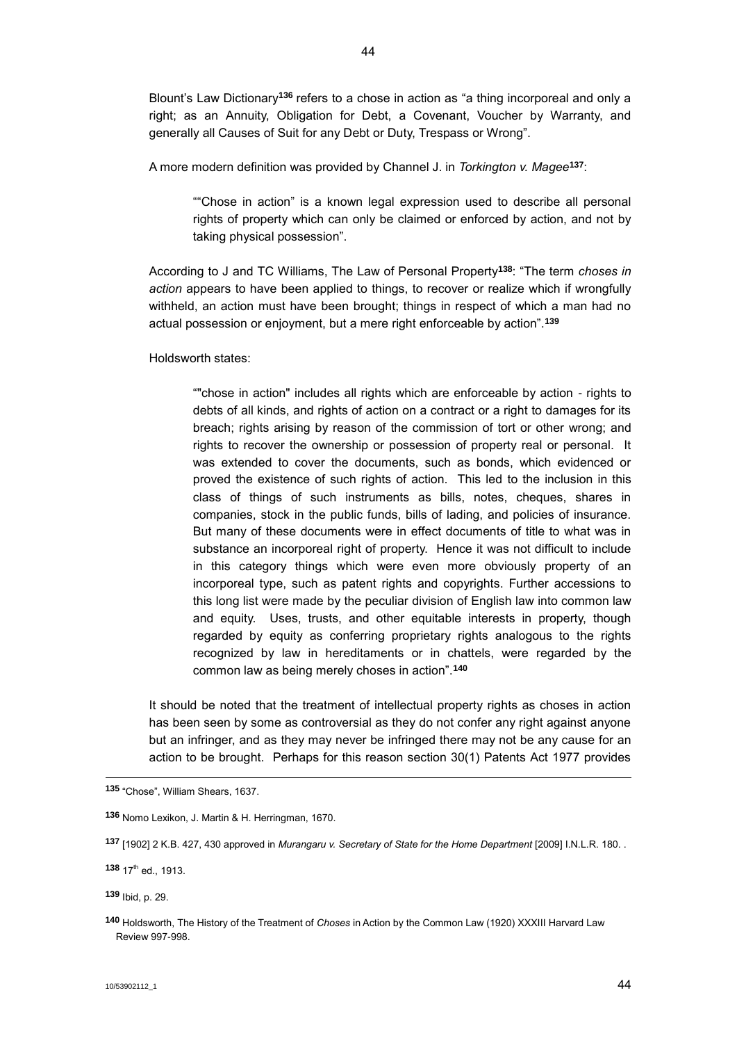Blount's Law Dictionary**<sup>136</sup>** refers to a chose in action as "a thing incorporeal and only a right; as an Annuity, Obligation for Debt, a Covenant, Voucher by Warranty, and generally all Causes of Suit for any Debt or Duty, Trespass or Wrong".

A more modern definition was provided by Channel J. in *Torkington v. Magee***<sup>137</sup>**:

""Chose in action" is a known legal expression used to describe all personal rights of property which can only be claimed or enforced by action, and not by taking physical possession".

According to J and TC Williams, The Law of Personal Property**<sup>138</sup>**: "The term *choses in action* appears to have been applied to things, to recover or realize which if wrongfully withheld, an action must have been brought; things in respect of which a man had no actual possession or enjoyment, but a mere right enforceable by action".**<sup>139</sup>**

Holdsworth states:

""chose in action" includes all rights which are enforceable by action - rights to debts of all kinds, and rights of action on a contract or a right to damages for its breach; rights arising by reason of the commission of tort or other wrong; and rights to recover the ownership or possession of property real or personal. It was extended to cover the documents, such as bonds, which evidenced or proved the existence of such rights of action. This led to the inclusion in this class of things of such instruments as bills, notes, cheques, shares in companies, stock in the public funds, bills of lading, and policies of insurance. But many of these documents were in effect documents of title to what was in substance an incorporeal right of property. Hence it was not difficult to include in this category things which were even more obviously property of an incorporeal type, such as patent rights and copyrights. Further accessions to this long list were made by the peculiar division of English law into common law and equity. Uses, trusts, and other equitable interests in property, though regarded by equity as conferring proprietary rights analogous to the rights recognized by law in hereditaments or in chattels, were regarded by the common law as being merely choses in action".**<sup>140</sup>**

It should be noted that the treatment of intellectual property rights as choses in action has been seen by some as controversial as they do not confer any right against anyone but an infringer, and as they may never be infringed there may not be any cause for an action to be brought. Perhaps for this reason section 30(1) Patents Act 1977 provides

**<sup>138</sup>** 17th ed., 1913.

**<sup>139</sup>** Ibid, p. 29.

**<sup>135</sup>** "Chose", William Shears, 1637.

**<sup>136</sup>** Nomo Lexikon, J. Martin & H. Herringman, 1670.

**<sup>137</sup>** [1902] 2 K.B. 427, 430 approved in *Murangaru v. Secretary of State for the Home Department* [2009] I.N.L.R. 180. .

**<sup>140</sup>** Holdsworth, The History of the Treatment of *Choses* in Action by the Common Law (1920) XXXIII Harvard Law Review 997-998.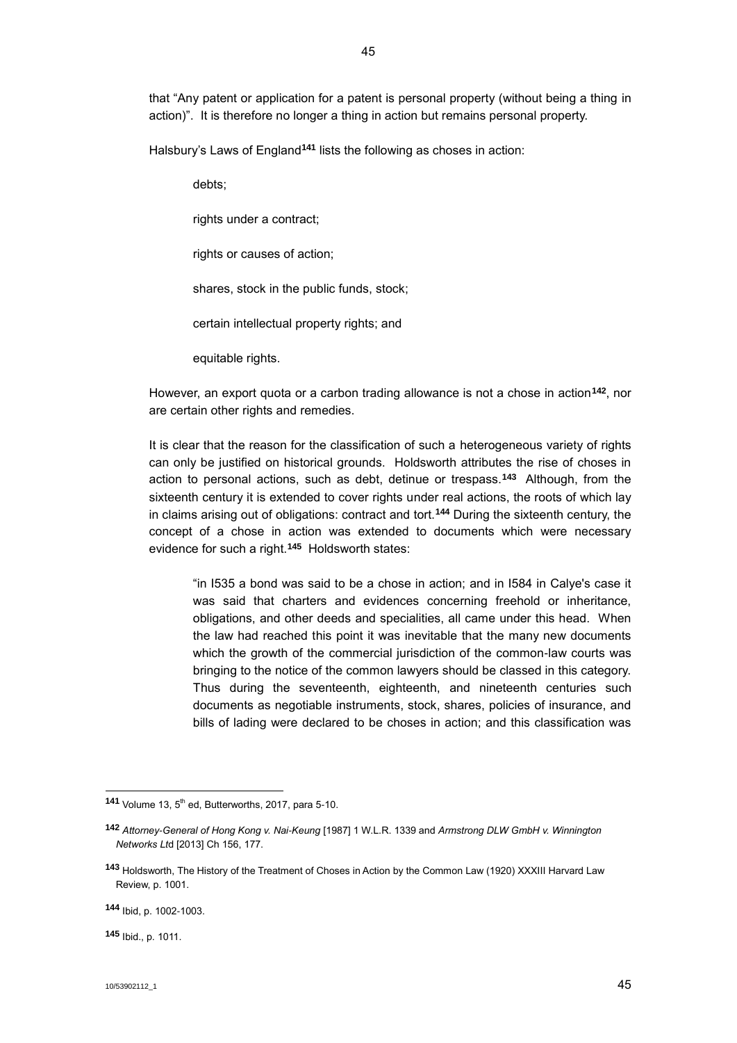that "Any patent or application for a patent is personal property (without being a thing in action)". It is therefore no longer a thing in action but remains personal property.

Halsbury's Laws of England**<sup>141</sup>** lists the following as choses in action:

debts;

rights under a contract;

rights or causes of action;

shares, stock in the public funds, stock;

certain intellectual property rights; and

equitable rights.

However, an export quota or a carbon trading allowance is not a chose in action**<sup>142</sup>**, nor are certain other rights and remedies.

It is clear that the reason for the classification of such a heterogeneous variety of rights can only be justified on historical grounds. Holdsworth attributes the rise of choses in action to personal actions, such as debt, detinue or trespass.**<sup>143</sup>** Although, from the sixteenth century it is extended to cover rights under real actions, the roots of which lay in claims arising out of obligations: contract and tort.**<sup>144</sup>** During the sixteenth century, the concept of a chose in action was extended to documents which were necessary evidence for such a right.**<sup>145</sup>** Holdsworth states:

"in I535 a bond was said to be a chose in action; and in I584 in Calye's case it was said that charters and evidences concerning freehold or inheritance, obligations, and other deeds and specialities, all came under this head. When the law had reached this point it was inevitable that the many new documents which the growth of the commercial jurisdiction of the common-law courts was bringing to the notice of the common lawyers should be classed in this category. Thus during the seventeenth, eighteenth, and nineteenth centuries such documents as negotiable instruments, stock, shares, policies of insurance, and bills of lading were declared to be choses in action; and this classification was

**<sup>145</sup>** Ibid., p. 1011.

<sup>141</sup> Volume 13, 5<sup>th</sup> ed, Butterworths, 2017, para 5-10.

**<sup>142</sup>** *Attorney-General of Hong Kong v. Nai-Keung* [1987] 1 W.L.R. 1339 and *Armstrong DLW GmbH v. Winnington Networks Lt*d [2013] Ch 156, 177.

**<sup>143</sup>** Holdsworth, The History of the Treatment of Choses in Action by the Common Law (1920) XXXIII Harvard Law Review, p. 1001.

**<sup>144</sup>** Ibid, p. 1002-1003.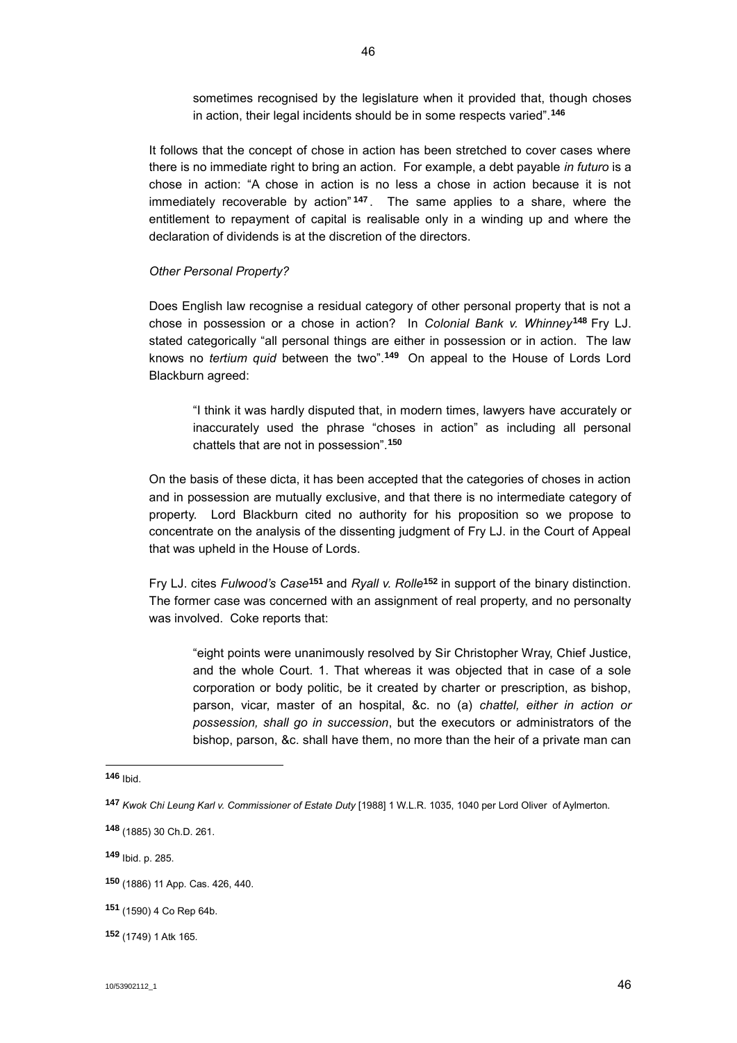sometimes recognised by the legislature when it provided that, though choses in action, their legal incidents should be in some respects varied".**<sup>146</sup>**

It follows that the concept of chose in action has been stretched to cover cases where there is no immediate right to bring an action. For example, a debt payable *in futuro* is a chose in action: "A chose in action is no less a chose in action because it is not immediately recoverable by action" **<sup>147</sup>** . The same applies to a share, where the entitlement to repayment of capital is realisable only in a winding up and where the declaration of dividends is at the discretion of the directors.

#### *Other Personal Property?*

Does English law recognise a residual category of other personal property that is not a chose in possession or a chose in action? In *Colonial Bank v. Whinney***<sup>148</sup>** Fry LJ. stated categorically "all personal things are either in possession or in action. The law knows no *tertium quid* between the two".**<sup>149</sup>** On appeal to the House of Lords Lord Blackburn agreed:

"I think it was hardly disputed that, in modern times, lawyers have accurately or inaccurately used the phrase "choses in action" as including all personal chattels that are not in possession".**<sup>150</sup>**

On the basis of these dicta, it has been accepted that the categories of choses in action and in possession are mutually exclusive, and that there is no intermediate category of property. Lord Blackburn cited no authority for his proposition so we propose to concentrate on the analysis of the dissenting judgment of Fry LJ. in the Court of Appeal that was upheld in the House of Lords.

Fry LJ. cites *Fulwood's Case***<sup>151</sup>** and *Ryall v. Rolle***<sup>152</sup>** in support of the binary distinction. The former case was concerned with an assignment of real property, and no personalty was involved. Coke reports that:

"eight points were unanimously resolved by Sir Christopher Wray, Chief Justice, and the whole Court. 1. That whereas it was objected that in case of a sole corporation or body politic, be it created by charter or prescription, as bishop, parson, vicar, master of an hospital, &c. no (a) *chattel, either in action or possession, shall go in succession*, but the executors or administrators of the bishop, parson, &c. shall have them, no more than the heir of a private man can

**<sup>146</sup>** Ibid.

**<sup>147</sup>** *Kwok Chi Leung Karl v. Commissioner of Estate Duty* [1988] 1 W.L.R. 1035, 1040 per Lord Oliver of Aylmerton.

**<sup>148</sup>** (1885) 30 Ch.D. 261.

**<sup>149</sup>** Ibid. p. 285.

**<sup>150</sup>** (1886) 11 App. Cas. 426, 440.

**<sup>151</sup>** (1590) 4 Co Rep 64b.

**<sup>152</sup>** (1749) 1 Atk 165.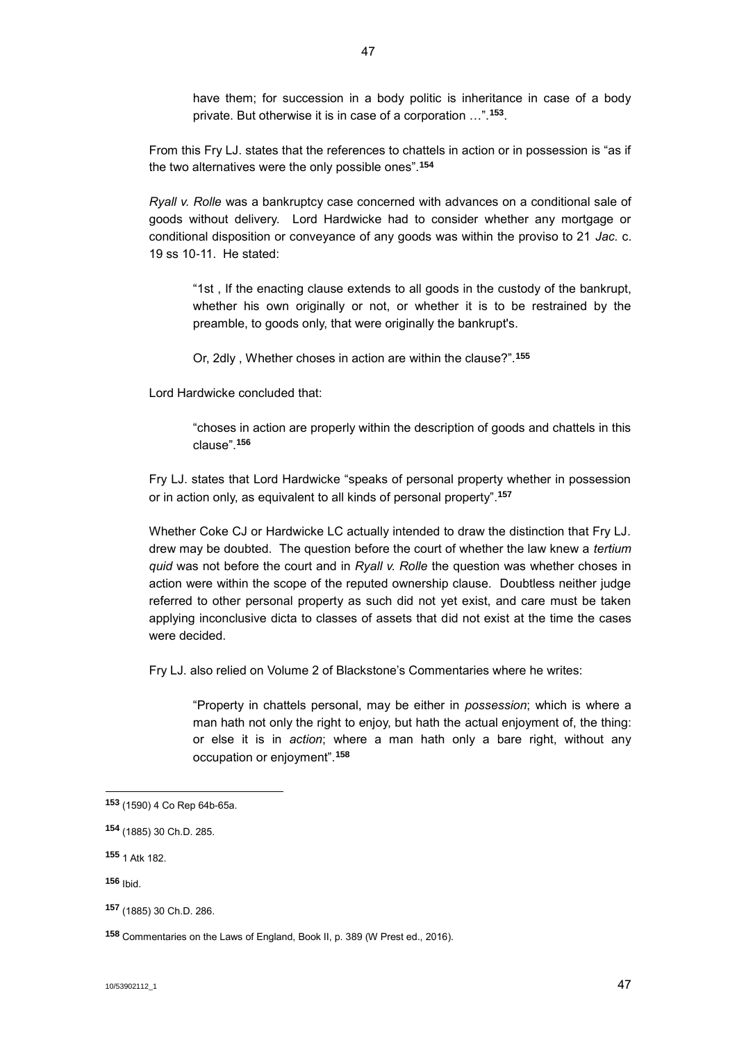have them; for succession in a body politic is inheritance in case of a body private. But otherwise it is in case of a corporation …".**<sup>153</sup>** .

From this Fry LJ. states that the references to chattels in action or in possession is "as if the two alternatives were the only possible ones".**<sup>154</sup>**

*Ryall v. Rolle* was a bankruptcy case concerned with advances on a conditional sale of goods without delivery. Lord Hardwicke had to consider whether any mortgage or conditional disposition or conveyance of any goods was within the proviso to 21 *Jac.* c. 19 ss  $10-11$ . He stated:

"1st , If the enacting clause extends to all goods in the custody of the bankrupt, whether his own originally or not, or whether it is to be restrained by the preamble, to goods only, that were originally the bankrupt's.

Or, 2dly , Whether choses in action are within the clause?".**<sup>155</sup>**

Lord Hardwicke concluded that:

"choses in action are properly within the description of goods and chattels in this clause".**<sup>156</sup>**

Fry LJ. states that Lord Hardwicke "speaks of personal property whether in possession or in action only, as equivalent to all kinds of personal property".**<sup>157</sup>**

Whether Coke CJ or Hardwicke LC actually intended to draw the distinction that Fry LJ. drew may be doubted. The question before the court of whether the law knew a *tertium quid* was not before the court and in *Ryall v. Rolle* the question was whether choses in action were within the scope of the reputed ownership clause. Doubtless neither judge referred to other personal property as such did not yet exist, and care must be taken applying inconclusive dicta to classes of assets that did not exist at the time the cases were decided.

Fry LJ. also relied on Volume 2 of Blackstone's Commentaries where he writes:

"Property in chattels personal, may be either in *possession*; which is where a man hath not only the right to enjoy, but hath the actual enjoyment of, the thing: or else it is in *action*; where a man hath only a bare right, without any occupation or enjoyment".**<sup>158</sup>**

**<sup>153</sup>** (1590) 4 Co Rep 64b-65a.

**<sup>154</sup>** (1885) 30 Ch.D. 285.

**<sup>155</sup>** 1 Atk 182.

**<sup>156</sup>** Ibid.

**<sup>157</sup>** (1885) 30 Ch.D. 286.

**<sup>158</sup>** Commentaries on the Laws of England, Book II, p. 389 (W Prest ed., 2016).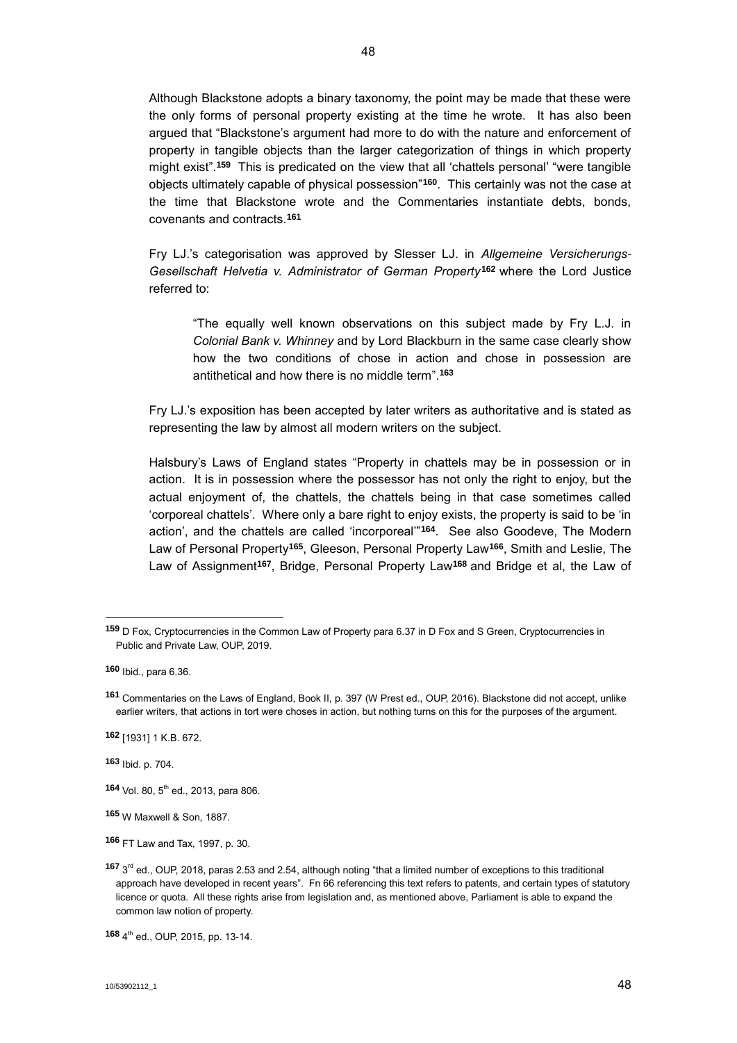Although Blackstone adopts a binary taxonomy, the point may be made that these were the only forms of personal property existing at the time he wrote. It has also been argued that "Blackstone's argument had more to do with the nature and enforcement of property in tangible objects than the larger categorization of things in which property might exist".**<sup>159</sup>** This is predicated on the view that all 'chattels personal' "were tangible objects ultimately capable of physical possession"**<sup>160</sup>**. This certainly was not the case at the time that Blackstone wrote and the Commentaries instantiate debts, bonds, covenants and contracts.**<sup>161</sup>**

Fry LJ.'s categorisation was approved by Slesser LJ. in *Allgemeine Versicherungs-Gesellschaft Helvetia v. Administrator of German Property***<sup>162</sup>** where the Lord Justice referred to:

"The equally well known observations on this subject made by Fry L.J. in *Colonial Bank v. Whinney* and by Lord Blackburn in the same case clearly show how the two conditions of chose in action and chose in possession are antithetical and how there is no middle term".**<sup>163</sup>**

Fry LJ.'s exposition has been accepted by later writers as authoritative and is stated as representing the law by almost all modern writers on the subject.

Halsbury's Laws of England states "Property in chattels may be in possession or in action. It is in possession where the possessor has not only the right to enjoy, but the actual enjoyment of, the chattels, the chattels being in that case sometimes called 'corporeal chattels'. Where only a bare right to enjoy exists, the property is said to be 'in action', and the chattels are called 'incorporeal'"**<sup>164</sup>**. See also Goodeve, The Modern Law of Personal Property**<sup>165</sup>**, Gleeson, Personal Property Law**<sup>166</sup>**, Smith and Leslie, The Law of Assignment**<sup>167</sup>**, Bridge, Personal Property Law**<sup>168</sup>** and Bridge et al, the Law of

**<sup>159</sup>** D Fox, Cryptocurrencies in the Common Law of Property para 6.37 in D Fox and S Green, Cryptocurrencies in Public and Private Law, OUP, 2019.

**<sup>160</sup>** Ibid., para 6.36.

**<sup>161</sup>** Commentaries on the Laws of England, Book II, p. 397 (W Prest ed., OUP, 2016). Blackstone did not accept, unlike earlier writers, that actions in tort were choses in action, but nothing turns on this for the purposes of the argument.

**<sup>162</sup>** [1931] 1 K.B. 672.

**<sup>163</sup>** Ibid. p. 704.

<sup>164</sup> Vol. 80, 5<sup>th</sup> ed., 2013, para 806.

**<sup>165</sup>** W Maxwell & Son, 1887.

**<sup>166</sup>** FT Law and Tax, 1997, p. 30.

**<sup>167</sup>** 3 rd ed., OUP, 2018, paras 2.53 and 2.54, although noting "that a limited number of exceptions to this traditional approach have developed in recent years". Fn 66 referencing this text refers to patents, and certain types of statutory licence or quota. All these rights arise from legislation and, as mentioned above, Parliament is able to expand the common law notion of property.

**<sup>168</sup>** 4 th ed., OUP, 2015, pp. 13-14.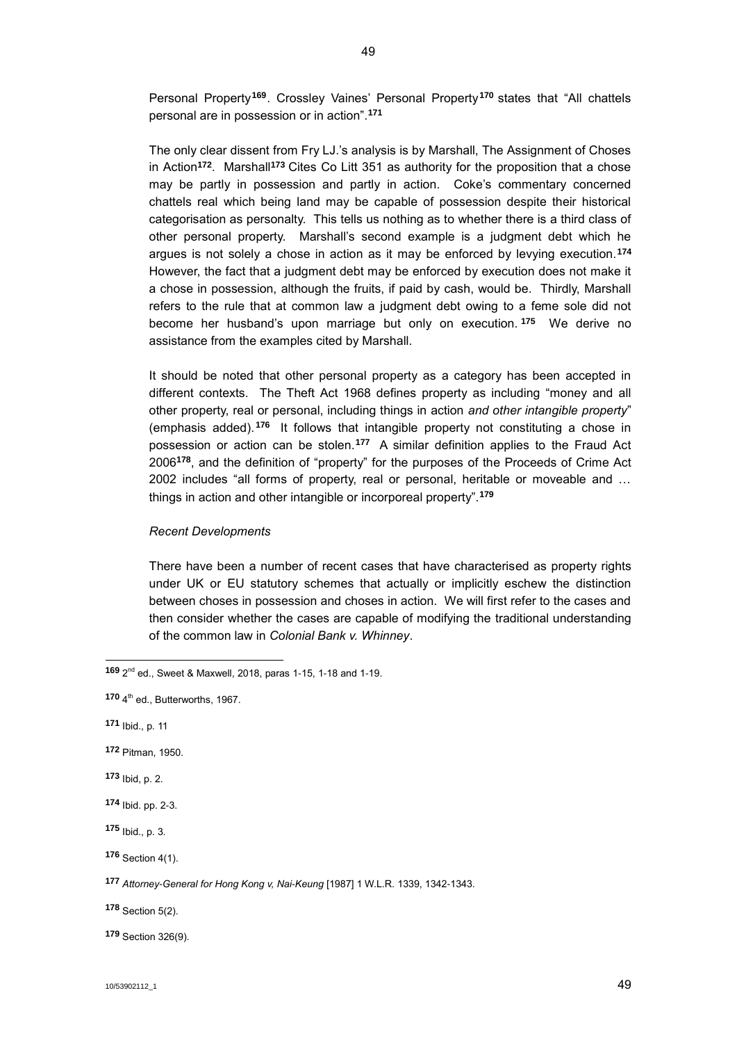Personal Property**<sup>169</sup>**. Crossley Vaines' Personal Property**<sup>170</sup>** states that "All chattels personal are in possession or in action".**<sup>171</sup>**

The only clear dissent from Fry LJ.'s analysis is by Marshall, The Assignment of Choses in Action**<sup>172</sup>**. Marshall**<sup>173</sup>** Cites Co Litt 351 as authority for the proposition that a chose may be partly in possession and partly in action. Coke's commentary concerned chattels real which being land may be capable of possession despite their historical categorisation as personalty. This tells us nothing as to whether there is a third class of other personal property. Marshall's second example is a judgment debt which he argues is not solely a chose in action as it may be enforced by levying execution.**<sup>174</sup>** However, the fact that a judgment debt may be enforced by execution does not make it a chose in possession, although the fruits, if paid by cash, would be. Thirdly, Marshall refers to the rule that at common law a judgment debt owing to a feme sole did not become her husband's upon marriage but only on execution. **<sup>175</sup>** We derive no assistance from the examples cited by Marshall.

It should be noted that other personal property as a category has been accepted in different contexts. The Theft Act 1968 defines property as including "money and all other property, real or personal, including things in action *and other intangible property*" (emphasis added).**<sup>176</sup>** It follows that intangible property not constituting a chose in possession or action can be stolen.**<sup>177</sup>** A similar definition applies to the Fraud Act 2006**<sup>178</sup>**, and the definition of "property" for the purposes of the Proceeds of Crime Act 2002 includes "all forms of property, real or personal, heritable or moveable and … things in action and other intangible or incorporeal property".**<sup>179</sup>**

#### *Recent Developments*

There have been a number of recent cases that have characterised as property rights under UK or EU statutory schemes that actually or implicitly eschew the distinction between choses in possession and choses in action. We will first refer to the cases and then consider whether the cases are capable of modifying the traditional understanding of the common law in *Colonial Bank v. Whinney*.

-

**<sup>172</sup>** Pitman, 1950.

**<sup>173</sup>** Ibid, p. 2.

**<sup>174</sup>** Ibid. pp. 2-3.

**<sup>176</sup>** Section 4(1).

**<sup>178</sup>** Section 5(2).

**<sup>179</sup>** Section 326(9).

**<sup>169</sup>** 2 nd ed., Sweet & Maxwell, 2018, paras 1-15, 1-18 and 1-19.

<sup>170 4&</sup>lt;sup>th</sup> ed., Butterworths, 1967.

**<sup>171</sup>** Ibid., p. 11

**<sup>175</sup>** Ibid., p. 3.

**<sup>177</sup>** *Attorney-General for Hong Kong v, Nai-Keung* [1987] 1 W.L.R. 1339, 1342-1343.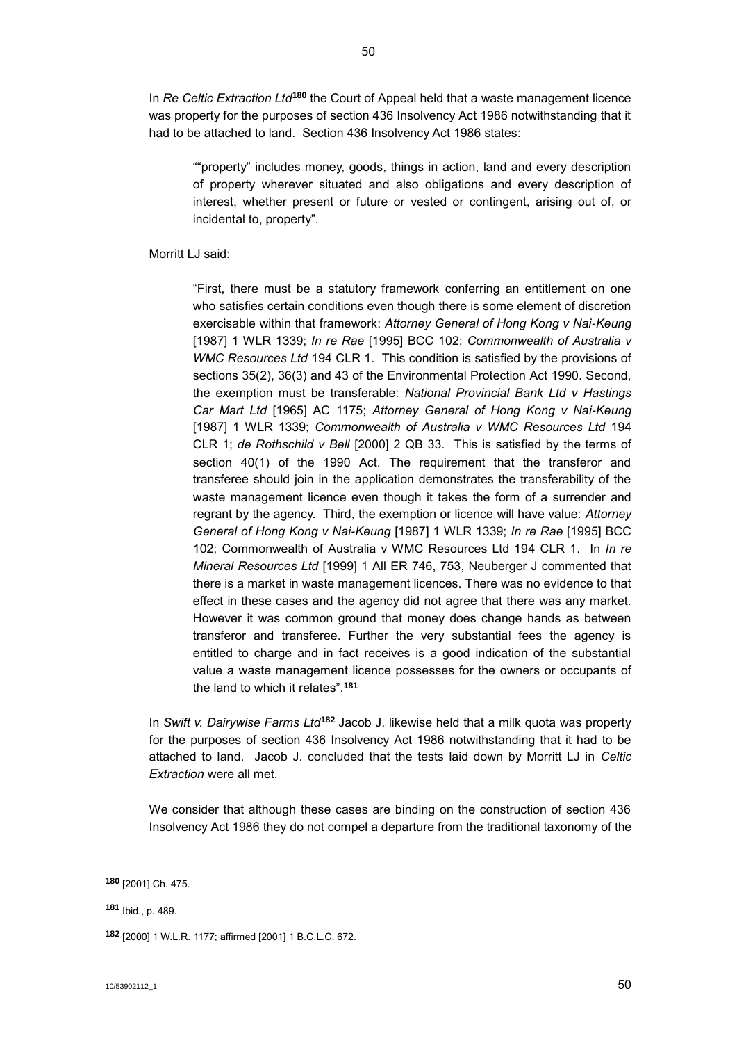In *Re Celtic Extraction Ltd***<sup>180</sup>** the Court of Appeal held that a waste management licence was property for the purposes of section 436 Insolvency Act 1986 notwithstanding that it had to be attached to land. Section 436 Insolvency Act 1986 states:

""property" includes money, goods, things in action, land and every description of property wherever situated and also obligations and every description of interest, whether present or future or vested or contingent, arising out of, or incidental to, property".

## Morritt L.I said:

"First, there must be a statutory framework conferring an entitlement on one who satisfies certain conditions even though there is some element of discretion exercisable within that framework: *Attorney General of Hong Kong v Nai-Keung* [1987] 1 WLR 1339; *In re Rae* [1995] BCC 102; *Commonwealth of Australia v WMC Resources Ltd* 194 CLR 1. This condition is satisfied by the provisions of sections 35(2), 36(3) and 43 of the Environmental Protection Act 1990. Second, the exemption must be transferable: *National Provincial Bank Ltd v Hastings Car Mart Ltd* [1965] AC 1175; *Attorney General of Hong Kong v Nai-Keung* [1987] 1 WLR 1339; *Commonwealth of Australia v WMC Resources Ltd* 194 CLR 1; *de Rothschild v Bell* [2000] 2 QB 33. This is satisfied by the terms of section 40(1) of the 1990 Act. The requirement that the transferor and transferee should join in the application demonstrates the transferability of the waste management licence even though it takes the form of a surrender and regrant by the agency. Third, the exemption or licence will have value: *Attorney General of Hong Kong v Nai-Keung* [1987] 1 WLR 1339; *In re Rae* [1995] BCC 102; Commonwealth of Australia v WMC Resources Ltd 194 CLR 1. In *In re Mineral Resources Ltd* [1999] 1 All ER 746, 753, Neuberger J commented that there is a market in waste management licences. There was no evidence to that effect in these cases and the agency did not agree that there was any market. However it was common ground that money does change hands as between transferor and transferee. Further the very substantial fees the agency is entitled to charge and in fact receives is a good indication of the substantial value a waste management licence possesses for the owners or occupants of the land to which it relates".**<sup>181</sup>**

In *Swift v. Dairywise Farms Ltd***<sup>182</sup>** Jacob J. likewise held that a milk quota was property for the purposes of section 436 Insolvency Act 1986 notwithstanding that it had to be attached to land. Jacob J. concluded that the tests laid down by Morritt LJ in *Celtic Extraction* were all met.

We consider that although these cases are binding on the construction of section 436 Insolvency Act 1986 they do not compel a departure from the traditional taxonomy of the

**<sup>180</sup>** [2001] Ch. 475.

**<sup>181</sup>** Ibid., p. 489.

**<sup>182</sup>** [2000] 1 W.L.R. 1177; affirmed [2001] 1 B.C.L.C. 672.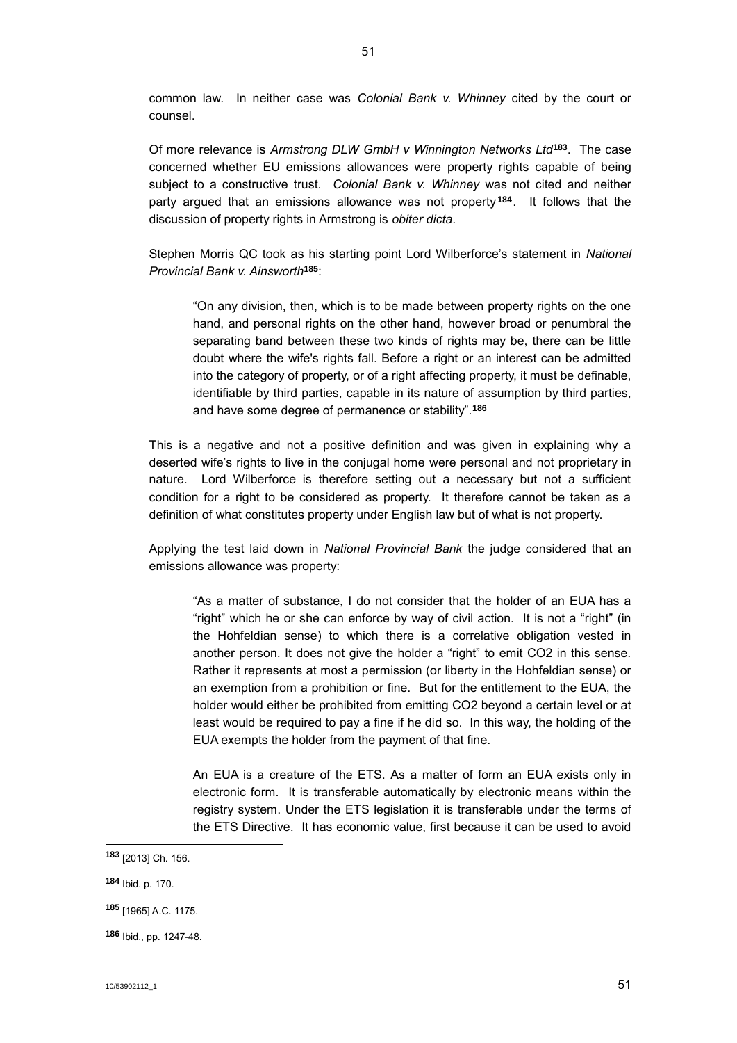common law. In neither case was *Colonial Bank v. Whinney* cited by the court or counsel.

Of more relevance is *Armstrong DLW GmbH v Winnington Networks Ltd***<sup>183</sup>**. The case concerned whether EU emissions allowances were property rights capable of being subject to a constructive trust. *Colonial Bank v. Whinney* was not cited and neither party argued that an emissions allowance was not property **<sup>184</sup>**. It follows that the discussion of property rights in Armstrong is *obiter dicta*.

Stephen Morris QC took as his starting point Lord Wilberforce's statement in *National Provincial Bank v. Ainsworth***<sup>185</sup>**:

"On any division, then, which is to be made between property rights on the one hand, and personal rights on the other hand, however broad or penumbral the separating band between these two kinds of rights may be, there can be little doubt where the wife's rights fall. Before a right or an interest can be admitted into the category of property, or of a right affecting property, it must be definable, identifiable by third parties, capable in its nature of assumption by third parties, and have some degree of permanence or stability".**<sup>186</sup>**

This is a negative and not a positive definition and was given in explaining why a deserted wife's rights to live in the conjugal home were personal and not proprietary in nature. Lord Wilberforce is therefore setting out a necessary but not a sufficient condition for a right to be considered as property. It therefore cannot be taken as a definition of what constitutes property under English law but of what is not property.

Applying the test laid down in *National Provincial Bank* the judge considered that an emissions allowance was property:

"As a matter of substance, I do not consider that the holder of an EUA has a "right" which he or she can enforce by way of civil action. It is not a "right" (in the Hohfeldian sense) to which there is a correlative obligation vested in another person. It does not give the holder a "right" to emit CO2 in this sense. Rather it represents at most a permission (or liberty in the Hohfeldian sense) or an exemption from a prohibition or fine. But for the entitlement to the EUA, the holder would either be prohibited from emitting CO2 beyond a certain level or at least would be required to pay a fine if he did so. In this way, the holding of the EUA exempts the holder from the payment of that fine.

An EUA is a creature of the ETS. As a matter of form an EUA exists only in electronic form. It is transferable automatically by electronic means within the registry system. Under the ETS legislation it is transferable under the terms of the ETS Directive. It has economic value, first because it can be used to avoid

**<sup>183</sup>** [2013] Ch. 156.

**<sup>184</sup>** Ibid. p. 170.

**<sup>185</sup>** [1965] A.C. 1175.

**<sup>186</sup>** Ibid., pp. 1247-48.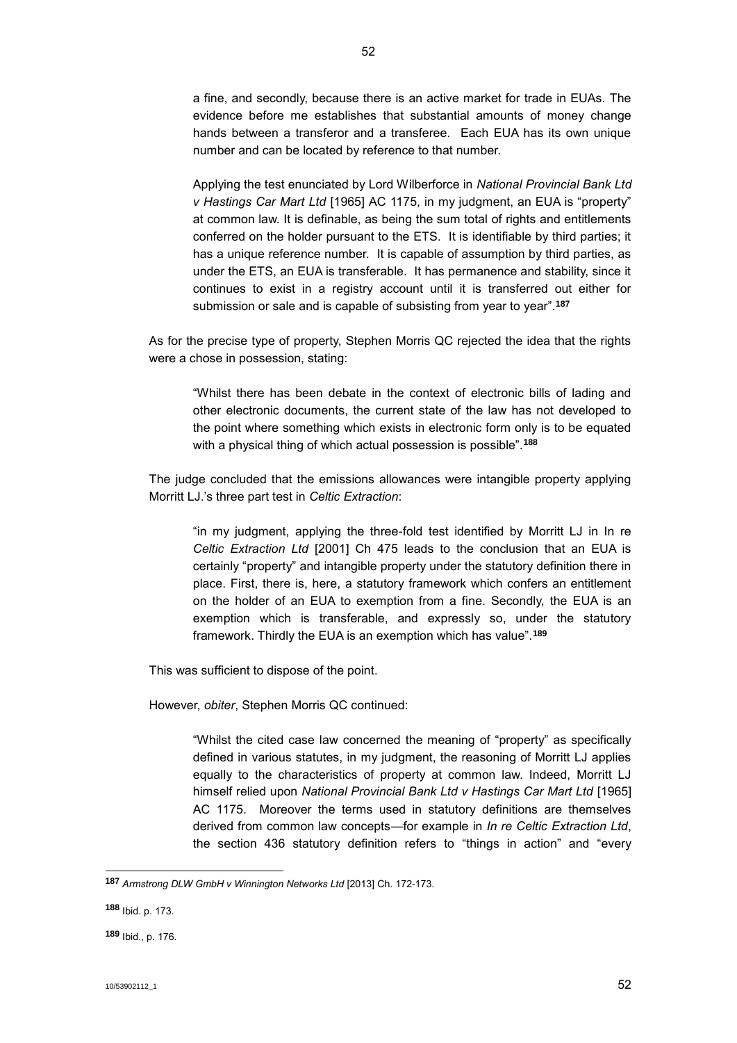a fine, and secondly, because there is an active market for trade in EUAs. The evidence before me establishes that substantial amounts of money change hands between a transferor and a transferee. Each EUA has its own unique number and can be located by reference to that number.

Applying the test enunciated by Lord Wilberforce in *National Provincial Bank Ltd v Hastings Car Mart Ltd* [1965] AC 1175, in my judgment, an EUA is "property" at common law. It is definable, as being the sum total of rights and entitlements conferred on the holder pursuant to the ETS. It is identifiable by third parties; it has a unique reference number. It is capable of assumption by third parties, as under the ETS, an EUA is transferable. It has permanence and stability, since it continues to exist in a registry account until it is transferred out either for submission or sale and is capable of subsisting from year to year".**<sup>187</sup>**

As for the precise type of property, Stephen Morris QC rejected the idea that the rights were a chose in possession, stating:

"Whilst there has been debate in the context of electronic bills of lading and other electronic documents, the current state of the law has not developed to the point where something which exists in electronic form only is to be equated with a physical thing of which actual possession is possible".**<sup>188</sup>**

The judge concluded that the emissions allowances were intangible property applying Morritt LJ.'s three part test in *Celtic Extraction*:

"in my judgment, applying the three-fold test identified by Morritt LJ in In re *Celtic Extraction Ltd* [2001] Ch 475 leads to the conclusion that an EUA is certainly "property" and intangible property under the statutory definition there in place. First, there is, here, a statutory framework which confers an entitlement on the holder of an EUA to exemption from a fine. Secondly, the EUA is an exemption which is transferable, and expressly so, under the statutory framework. Thirdly the EUA is an exemption which has value".**<sup>189</sup>**

This was sufficient to dispose of the point.

However, *obiter*, Stephen Morris QC continued:

"Whilst the cited case law concerned the meaning of "property" as specifically defined in various statutes, in my judgment, the reasoning of Morritt LJ applies equally to the characteristics of property at common law. Indeed, Morritt LJ himself relied upon *National Provincial Bank Ltd v Hastings Car Mart Ltd* [1965] AC 1175. Moreover the terms used in statutory definitions are themselves derived from common law concepts—for example in *In re Celtic Extraction Ltd*, the section 436 statutory definition refers to "things in action" and "every

**<sup>187</sup>** *Armstrong DLW GmbH v Winnington Networks Ltd* [2013] Ch. 172-173.

**<sup>188</sup>** Ibid. p. 173.

**<sup>189</sup>** Ibid., p. 176.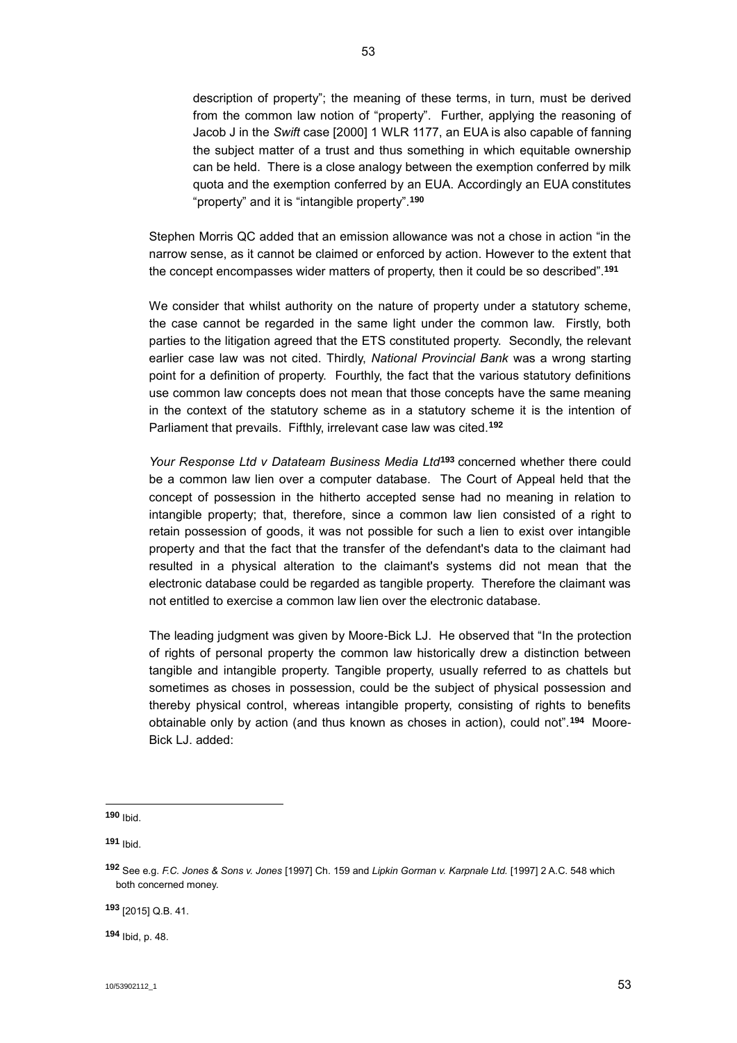description of property"; the meaning of these terms, in turn, must be derived from the common law notion of "property". Further, applying the reasoning of Jacob J in the *Swift* case [2000] 1 WLR 1177, an EUA is also capable of fanning the subject matter of a trust and thus something in which equitable ownership can be held. There is a close analogy between the exemption conferred by milk quota and the exemption conferred by an EUA. Accordingly an EUA constitutes "property" and it is "intangible property".**<sup>190</sup>**

Stephen Morris QC added that an emission allowance was not a chose in action "in the narrow sense, as it cannot be claimed or enforced by action. However to the extent that the concept encompasses wider matters of property, then it could be so described".**<sup>191</sup>**

We consider that whilst authority on the nature of property under a statutory scheme, the case cannot be regarded in the same light under the common law. Firstly, both parties to the litigation agreed that the ETS constituted property. Secondly, the relevant earlier case law was not cited. Thirdly, *National Provincial Bank* was a wrong starting point for a definition of property. Fourthly, the fact that the various statutory definitions use common law concepts does not mean that those concepts have the same meaning in the context of the statutory scheme as in a statutory scheme it is the intention of Parliament that prevails. Fifthly, irrelevant case law was cited.**<sup>192</sup>**

*Your Response Ltd v Datateam Business Media Ltd***<sup>193</sup>** concerned whether there could be a common law lien over a computer database. The Court of Appeal held that the concept of possession in the hitherto accepted sense had no meaning in relation to intangible property; that, therefore, since a common law lien consisted of a right to retain possession of goods, it was not possible for such a lien to exist over intangible property and that the fact that the transfer of the defendant's data to the claimant had resulted in a physical alteration to the claimant's systems did not mean that the electronic database could be regarded as tangible property. Therefore the claimant was not entitled to exercise a common law lien over the electronic database.

The leading judgment was given by Moore-Bick LJ. He observed that "In the protection of rights of personal property the common law historically drew a distinction between tangible and intangible property. Tangible property, usually referred to as chattels but sometimes as choses in possession, could be the subject of physical possession and thereby physical control, whereas intangible property, consisting of rights to benefits obtainable only by action (and thus known as choses in action), could not".**<sup>194</sup>** Moore-Bick LJ. added:

-

**<sup>191</sup>** Ibid.

**<sup>193</sup>** [2015] Q.B. 41.

**<sup>194</sup>** Ibid, p. 48.

**<sup>190</sup>** Ibid.

**<sup>192</sup>** See e.g. *F.C. Jones & Sons v. Jones* [1997] Ch. 159 and *Lipkin Gorman v. Karpnale Ltd.* [1997] 2 A.C. 548 which both concerned money.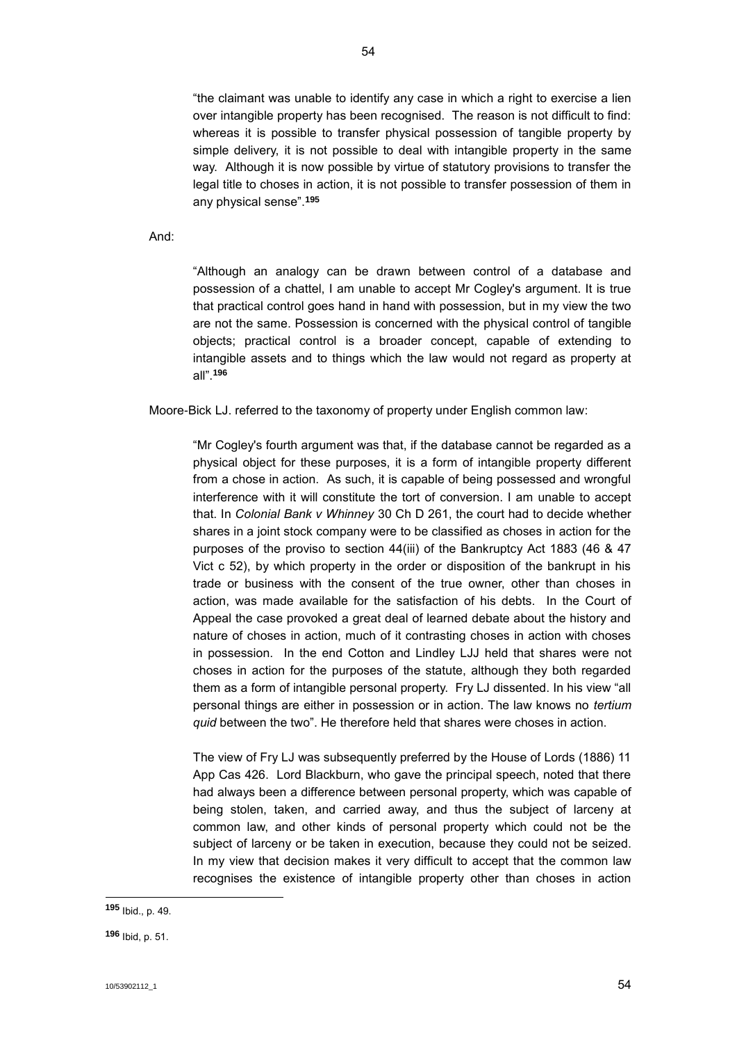"the claimant was unable to identify any case in which a right to exercise a lien over intangible property has been recognised. The reason is not difficult to find: whereas it is possible to transfer physical possession of tangible property by simple delivery, it is not possible to deal with intangible property in the same way. Although it is now possible by virtue of statutory provisions to transfer the legal title to choses in action, it is not possible to transfer possession of them in any physical sense".**<sup>195</sup>**

And:

"Although an analogy can be drawn between control of a database and possession of a chattel, I am unable to accept Mr Cogley's argument. It is true that practical control goes hand in hand with possession, but in my view the two are not the same. Possession is concerned with the physical control of tangible objects; practical control is a broader concept, capable of extending to intangible assets and to things which the law would not regard as property at all".**<sup>196</sup>**

Moore-Bick LJ. referred to the taxonomy of property under English common law:

"Mr Cogley's fourth argument was that, if the database cannot be regarded as a physical object for these purposes, it is a form of intangible property different from a chose in action. As such, it is capable of being possessed and wrongful interference with it will constitute the tort of conversion. I am unable to accept that. In *Colonial Bank v Whinney* 30 Ch D 261, the court had to decide whether shares in a joint stock company were to be classified as choses in action for the purposes of the proviso to section 44(iii) of the Bankruptcy Act 1883 (46 & 47 Vict c 52), by which property in the order or disposition of the bankrupt in his trade or business with the consent of the true owner, other than choses in action, was made available for the satisfaction of his debts. In the Court of Appeal the case provoked a great deal of learned debate about the history and nature of choses in action, much of it contrasting choses in action with choses in possession. In the end Cotton and Lindley LJJ held that shares were not choses in action for the purposes of the statute, although they both regarded them as a form of intangible personal property. Fry LJ dissented. In his view "all personal things are either in possession or in action. The law knows no *tertium quid* between the two". He therefore held that shares were choses in action.

The view of Fry LJ was subsequently preferred by the House of Lords (1886) 11 App Cas 426. Lord Blackburn, who gave the principal speech, noted that there had always been a difference between personal property, which was capable of being stolen, taken, and carried away, and thus the subject of larceny at common law, and other kinds of personal property which could not be the subject of larceny or be taken in execution, because they could not be seized. In my view that decision makes it very difficult to accept that the common law recognises the existence of intangible property other than choses in action

**<sup>195</sup>** Ibid., p. 49.

**<sup>196</sup>** Ibid, p. 51.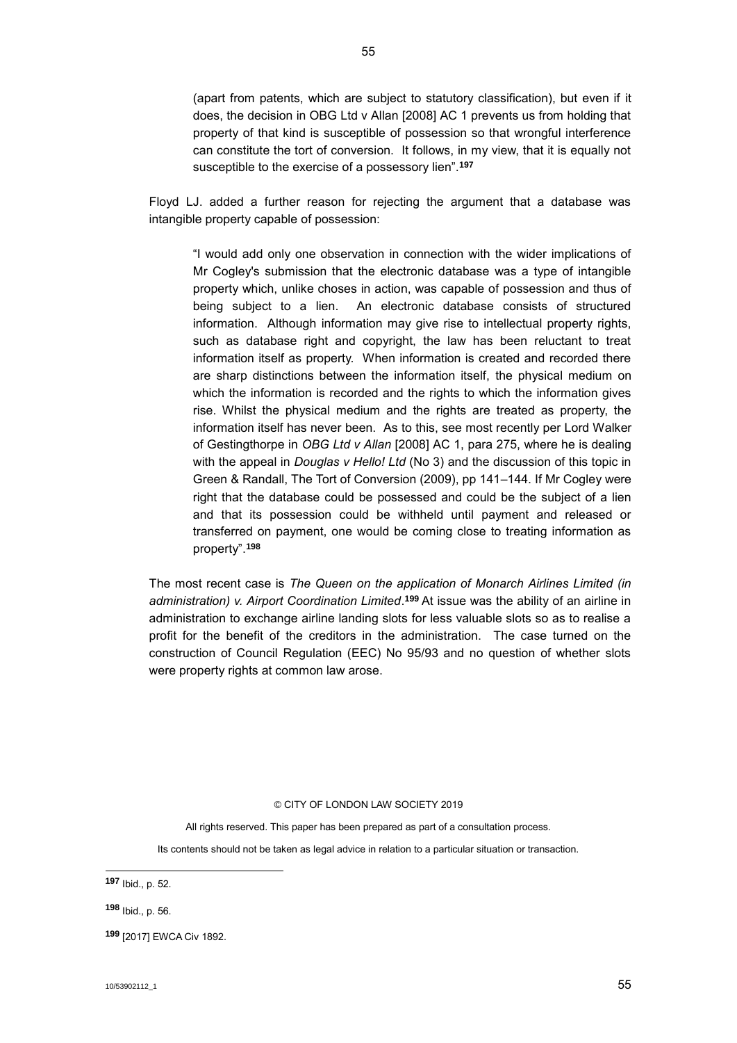(apart from patents, which are subject to statutory classification), but even if it does, the decision in OBG Ltd v Allan [2008] AC 1 prevents us from holding that property of that kind is susceptible of possession so that wrongful interference can constitute the tort of conversion. It follows, in my view, that it is equally not susceptible to the exercise of a possessory lien".**<sup>197</sup>**

Floyd LJ. added a further reason for rejecting the argument that a database was intangible property capable of possession:

"I would add only one observation in connection with the wider implications of Mr Cogley's submission that the electronic database was a type of intangible property which, unlike choses in action, was capable of possession and thus of being subject to a lien. An electronic database consists of structured information. Although information may give rise to intellectual property rights, such as database right and copyright, the law has been reluctant to treat information itself as property. When information is created and recorded there are sharp distinctions between the information itself, the physical medium on which the information is recorded and the rights to which the information gives rise. Whilst the physical medium and the rights are treated as property, the information itself has never been. As to this, see most recently per Lord Walker of Gestingthorpe in *OBG Ltd v Allan* [2008] AC 1, para 275, where he is dealing with the appeal in *Douglas v Hello! Ltd* (No 3) and the discussion of this topic in Green & Randall, The Tort of Conversion (2009), pp 141–144. If Mr Cogley were right that the database could be possessed and could be the subject of a lien and that its possession could be withheld until payment and released or transferred on payment, one would be coming close to treating information as property".**<sup>198</sup>**

The most recent case is *The Queen on the application of Monarch Airlines Limited (in administration) v. Airport Coordination Limited*. **<sup>199</sup>** At issue was the ability of an airline in administration to exchange airline landing slots for less valuable slots so as to realise a profit for the benefit of the creditors in the administration. The case turned on the construction of Council Regulation (EEC) No 95/93 and no question of whether slots were property rights at common law arose.

#### © CITY OF LONDON LAW SOCIETY 2019

All rights reserved. This paper has been prepared as part of a consultation process.

Its contents should not be taken as legal advice in relation to a particular situation or transaction.

**<sup>197</sup>** Ibid., p. 52.

**<sup>198</sup>** Ibid., p. 56.

**<sup>199</sup>** [2017] EWCA Civ 1892.